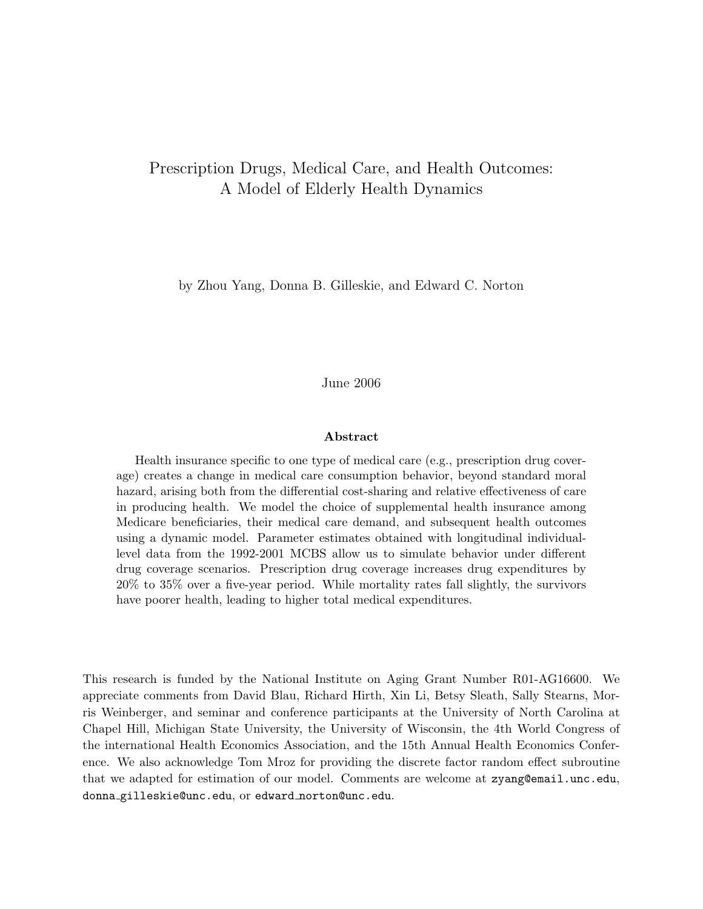### Prescription Drugs, Medical Care, and Health Outcomes: A Model of Elderly Health Dynamics

by Zhou Yang, Donna B. Gilleskie, and Edward C. Norton

#### June 2006

#### Abstract

Health insurance specific to one type of medical care (e.g., prescription drug coverage) creates a change in medical care consumption behavior, beyond standard moral hazard, arising both from the differential cost-sharing and relative effectiveness of care in producing health. We model the choice of supplemental health insurance among Medicare beneficiaries, their medical care demand, and subsequent health outcomes using a dynamic model. Parameter estimates obtained with longitudinal individuallevel data from the 1992-2001 MCBS allow us to simulate behavior under different drug coverage scenarios. Prescription drug coverage increases drug expenditures by 20% to 35% over a five-year period. While mortality rates fall slightly, the survivors have poorer health, leading to higher total medical expenditures.

This research is funded by the National Institute on Aging Grant Number R01-AG16600. We appreciate comments from David Blau, Richard Hirth, Xin Li, Betsy Sleath, Sally Stearns, Morris Weinberger, and seminar and conference participants at the University of North Carolina at Chapel Hill, Michigan State University, the University of Wisconsin, the 4th World Congress of the international Health Economics Association, and the 15th Annual Health Economics Conference. We also acknowledge Tom Mroz for providing the discrete factor random effect subroutine that we adapted for estimation of our model. Comments are welcome at zyang@email.unc.edu, donna gilleskie@unc.edu, or edward norton@unc.edu.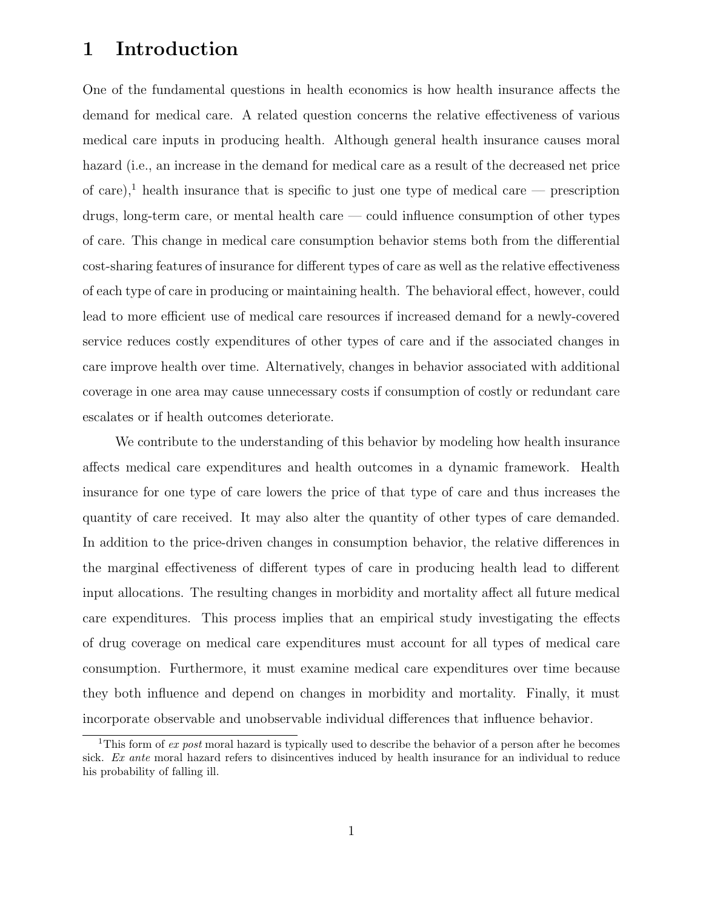## 1 Introduction

One of the fundamental questions in health economics is how health insurance affects the demand for medical care. A related question concerns the relative effectiveness of various medical care inputs in producing health. Although general health insurance causes moral hazard (i.e., an increase in the demand for medical care as a result of the decreased net price of care),<sup>1</sup> health insurance that is specific to just one type of medical care — prescription drugs, long-term care, or mental health care — could influence consumption of other types of care. This change in medical care consumption behavior stems both from the differential cost-sharing features of insurance for different types of care as well as the relative effectiveness of each type of care in producing or maintaining health. The behavioral effect, however, could lead to more efficient use of medical care resources if increased demand for a newly-covered service reduces costly expenditures of other types of care and if the associated changes in care improve health over time. Alternatively, changes in behavior associated with additional coverage in one area may cause unnecessary costs if consumption of costly or redundant care escalates or if health outcomes deteriorate.

We contribute to the understanding of this behavior by modeling how health insurance affects medical care expenditures and health outcomes in a dynamic framework. Health insurance for one type of care lowers the price of that type of care and thus increases the quantity of care received. It may also alter the quantity of other types of care demanded. In addition to the price-driven changes in consumption behavior, the relative differences in the marginal effectiveness of different types of care in producing health lead to different input allocations. The resulting changes in morbidity and mortality affect all future medical care expenditures. This process implies that an empirical study investigating the effects of drug coverage on medical care expenditures must account for all types of medical care consumption. Furthermore, it must examine medical care expenditures over time because they both influence and depend on changes in morbidity and mortality. Finally, it must incorporate observable and unobservable individual differences that influence behavior.

<sup>&</sup>lt;sup>1</sup>This form of *ex post* moral hazard is typically used to describe the behavior of a person after he becomes sick. Ex ante moral hazard refers to disincentives induced by health insurance for an individual to reduce his probability of falling ill.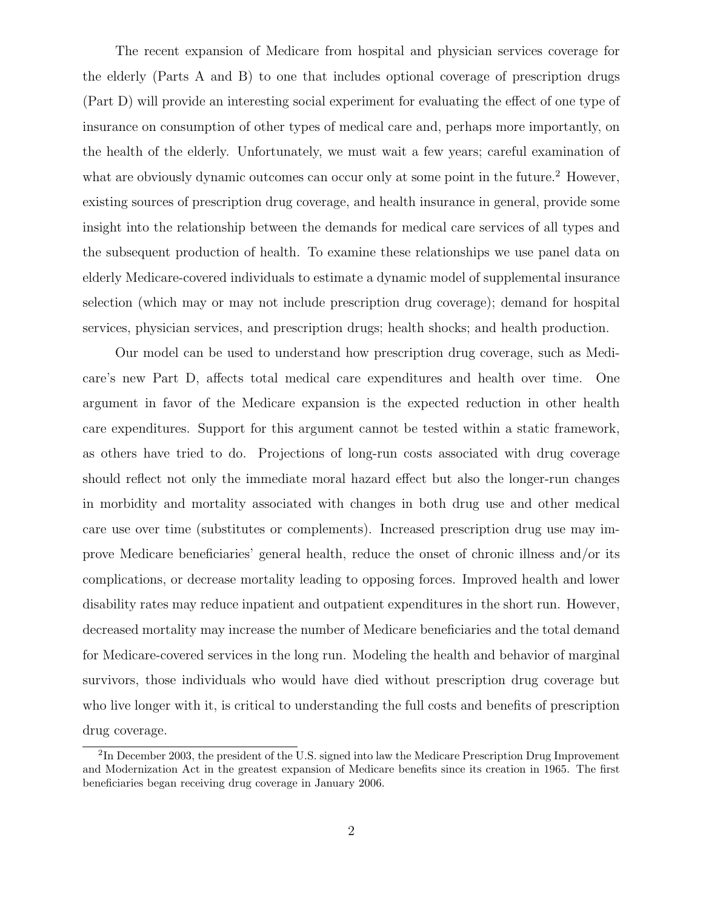The recent expansion of Medicare from hospital and physician services coverage for the elderly (Parts A and B) to one that includes optional coverage of prescription drugs (Part D) will provide an interesting social experiment for evaluating the effect of one type of insurance on consumption of other types of medical care and, perhaps more importantly, on the health of the elderly. Unfortunately, we must wait a few years; careful examination of what are obviously dynamic outcomes can occur only at some point in the future.<sup>2</sup> However, existing sources of prescription drug coverage, and health insurance in general, provide some insight into the relationship between the demands for medical care services of all types and the subsequent production of health. To examine these relationships we use panel data on elderly Medicare-covered individuals to estimate a dynamic model of supplemental insurance selection (which may or may not include prescription drug coverage); demand for hospital services, physician services, and prescription drugs; health shocks; and health production.

Our model can be used to understand how prescription drug coverage, such as Medicare's new Part D, affects total medical care expenditures and health over time. One argument in favor of the Medicare expansion is the expected reduction in other health care expenditures. Support for this argument cannot be tested within a static framework, as others have tried to do. Projections of long-run costs associated with drug coverage should reflect not only the immediate moral hazard effect but also the longer-run changes in morbidity and mortality associated with changes in both drug use and other medical care use over time (substitutes or complements). Increased prescription drug use may improve Medicare beneficiaries' general health, reduce the onset of chronic illness and/or its complications, or decrease mortality leading to opposing forces. Improved health and lower disability rates may reduce inpatient and outpatient expenditures in the short run. However, decreased mortality may increase the number of Medicare beneficiaries and the total demand for Medicare-covered services in the long run. Modeling the health and behavior of marginal survivors, those individuals who would have died without prescription drug coverage but who live longer with it, is critical to understanding the full costs and benefits of prescription drug coverage.

<sup>&</sup>lt;sup>2</sup>In December 2003, the president of the U.S. signed into law the Medicare Prescription Drug Improvement and Modernization Act in the greatest expansion of Medicare benefits since its creation in 1965. The first beneficiaries began receiving drug coverage in January 2006.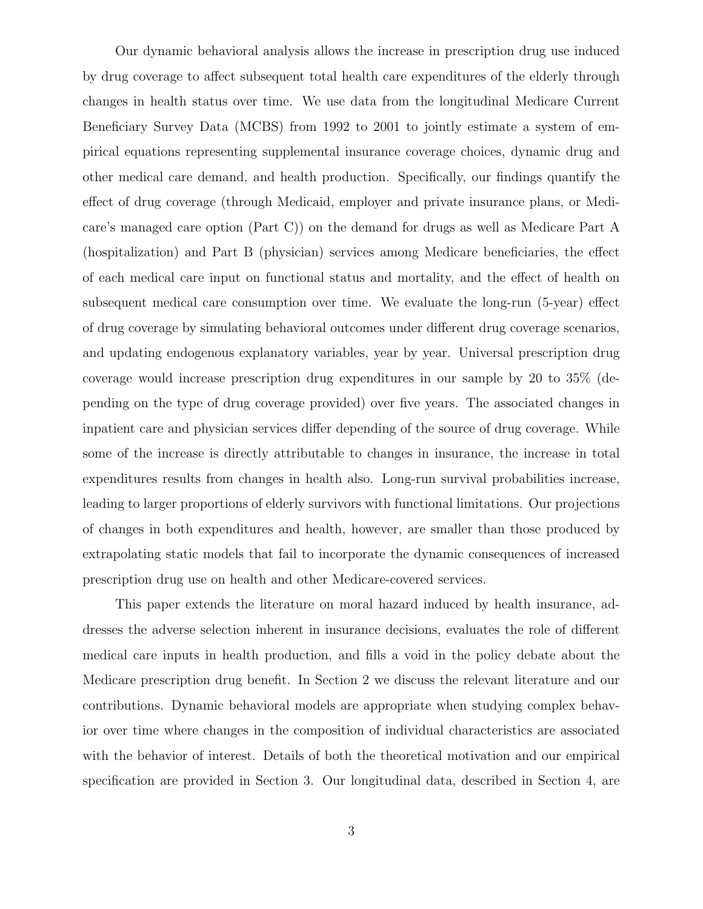Our dynamic behavioral analysis allows the increase in prescription drug use induced by drug coverage to affect subsequent total health care expenditures of the elderly through changes in health status over time. We use data from the longitudinal Medicare Current Beneficiary Survey Data (MCBS) from 1992 to 2001 to jointly estimate a system of empirical equations representing supplemental insurance coverage choices, dynamic drug and other medical care demand, and health production. Specifically, our findings quantify the effect of drug coverage (through Medicaid, employer and private insurance plans, or Medicare's managed care option (Part C)) on the demand for drugs as well as Medicare Part A (hospitalization) and Part B (physician) services among Medicare beneficiaries, the effect of each medical care input on functional status and mortality, and the effect of health on subsequent medical care consumption over time. We evaluate the long-run (5-year) effect of drug coverage by simulating behavioral outcomes under different drug coverage scenarios, and updating endogenous explanatory variables, year by year. Universal prescription drug coverage would increase prescription drug expenditures in our sample by 20 to 35% (depending on the type of drug coverage provided) over five years. The associated changes in inpatient care and physician services differ depending of the source of drug coverage. While some of the increase is directly attributable to changes in insurance, the increase in total expenditures results from changes in health also. Long-run survival probabilities increase, leading to larger proportions of elderly survivors with functional limitations. Our projections of changes in both expenditures and health, however, are smaller than those produced by extrapolating static models that fail to incorporate the dynamic consequences of increased prescription drug use on health and other Medicare-covered services.

This paper extends the literature on moral hazard induced by health insurance, addresses the adverse selection inherent in insurance decisions, evaluates the role of different medical care inputs in health production, and fills a void in the policy debate about the Medicare prescription drug benefit. In Section 2 we discuss the relevant literature and our contributions. Dynamic behavioral models are appropriate when studying complex behavior over time where changes in the composition of individual characteristics are associated with the behavior of interest. Details of both the theoretical motivation and our empirical specification are provided in Section 3. Our longitudinal data, described in Section 4, are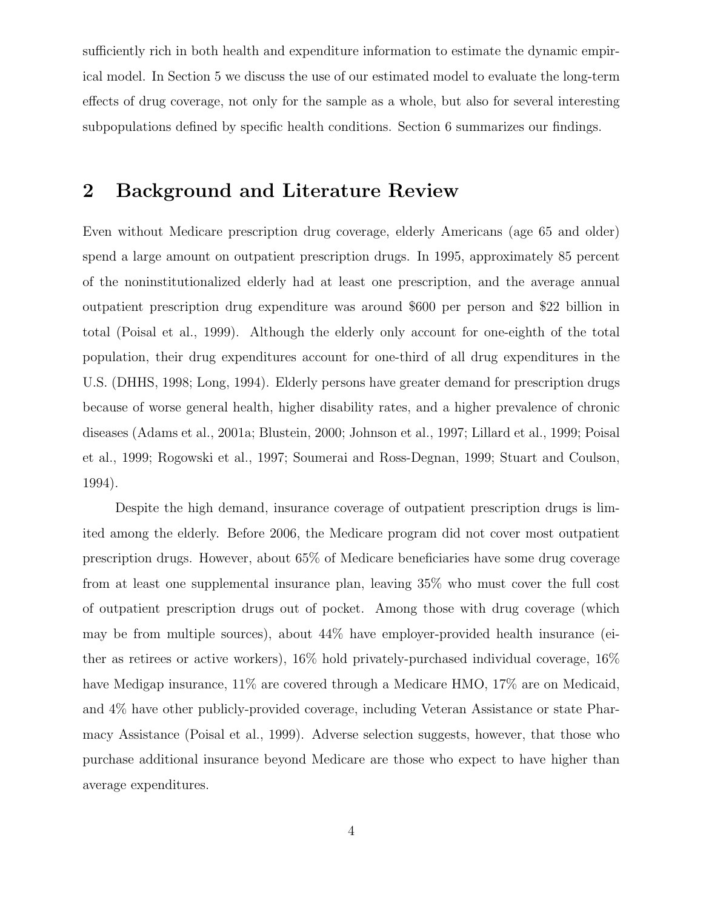sufficiently rich in both health and expenditure information to estimate the dynamic empirical model. In Section 5 we discuss the use of our estimated model to evaluate the long-term effects of drug coverage, not only for the sample as a whole, but also for several interesting subpopulations defined by specific health conditions. Section 6 summarizes our findings.

# 2 Background and Literature Review

Even without Medicare prescription drug coverage, elderly Americans (age 65 and older) spend a large amount on outpatient prescription drugs. In 1995, approximately 85 percent of the noninstitutionalized elderly had at least one prescription, and the average annual outpatient prescription drug expenditure was around \$600 per person and \$22 billion in total (Poisal et al., 1999). Although the elderly only account for one-eighth of the total population, their drug expenditures account for one-third of all drug expenditures in the U.S. (DHHS, 1998; Long, 1994). Elderly persons have greater demand for prescription drugs because of worse general health, higher disability rates, and a higher prevalence of chronic diseases (Adams et al., 2001a; Blustein, 2000; Johnson et al., 1997; Lillard et al., 1999; Poisal et al., 1999; Rogowski et al., 1997; Soumerai and Ross-Degnan, 1999; Stuart and Coulson, 1994).

Despite the high demand, insurance coverage of outpatient prescription drugs is limited among the elderly. Before 2006, the Medicare program did not cover most outpatient prescription drugs. However, about 65% of Medicare beneficiaries have some drug coverage from at least one supplemental insurance plan, leaving 35% who must cover the full cost of outpatient prescription drugs out of pocket. Among those with drug coverage (which may be from multiple sources), about 44% have employer-provided health insurance (either as retirees or active workers), 16% hold privately-purchased individual coverage, 16% have Medigap insurance,  $11\%$  are covered through a Medicare HMO,  $17\%$  are on Medicaid, and 4% have other publicly-provided coverage, including Veteran Assistance or state Pharmacy Assistance (Poisal et al., 1999). Adverse selection suggests, however, that those who purchase additional insurance beyond Medicare are those who expect to have higher than average expenditures.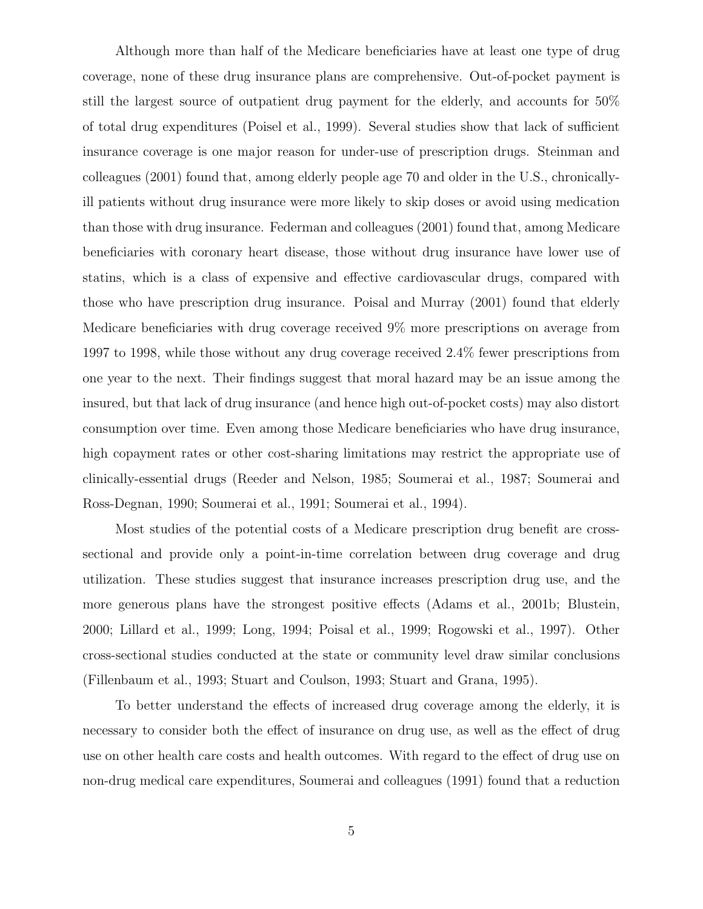Although more than half of the Medicare beneficiaries have at least one type of drug coverage, none of these drug insurance plans are comprehensive. Out-of-pocket payment is still the largest source of outpatient drug payment for the elderly, and accounts for 50% of total drug expenditures (Poisel et al., 1999). Several studies show that lack of sufficient insurance coverage is one major reason for under-use of prescription drugs. Steinman and colleagues (2001) found that, among elderly people age 70 and older in the U.S., chronicallyill patients without drug insurance were more likely to skip doses or avoid using medication than those with drug insurance. Federman and colleagues (2001) found that, among Medicare beneficiaries with coronary heart disease, those without drug insurance have lower use of statins, which is a class of expensive and effective cardiovascular drugs, compared with those who have prescription drug insurance. Poisal and Murray (2001) found that elderly Medicare beneficiaries with drug coverage received 9% more prescriptions on average from 1997 to 1998, while those without any drug coverage received 2.4% fewer prescriptions from one year to the next. Their findings suggest that moral hazard may be an issue among the insured, but that lack of drug insurance (and hence high out-of-pocket costs) may also distort consumption over time. Even among those Medicare beneficiaries who have drug insurance, high copayment rates or other cost-sharing limitations may restrict the appropriate use of clinically-essential drugs (Reeder and Nelson, 1985; Soumerai et al., 1987; Soumerai and Ross-Degnan, 1990; Soumerai et al., 1991; Soumerai et al., 1994).

Most studies of the potential costs of a Medicare prescription drug benefit are crosssectional and provide only a point-in-time correlation between drug coverage and drug utilization. These studies suggest that insurance increases prescription drug use, and the more generous plans have the strongest positive effects (Adams et al., 2001b; Blustein, 2000; Lillard et al., 1999; Long, 1994; Poisal et al., 1999; Rogowski et al., 1997). Other cross-sectional studies conducted at the state or community level draw similar conclusions (Fillenbaum et al., 1993; Stuart and Coulson, 1993; Stuart and Grana, 1995).

To better understand the effects of increased drug coverage among the elderly, it is necessary to consider both the effect of insurance on drug use, as well as the effect of drug use on other health care costs and health outcomes. With regard to the effect of drug use on non-drug medical care expenditures, Soumerai and colleagues (1991) found that a reduction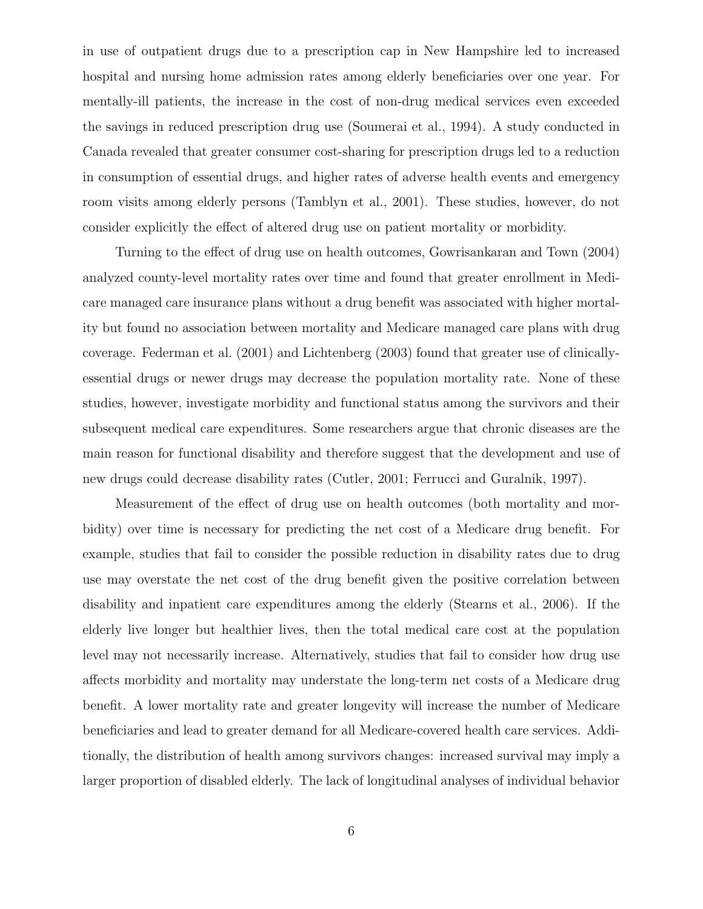in use of outpatient drugs due to a prescription cap in New Hampshire led to increased hospital and nursing home admission rates among elderly beneficiaries over one year. For mentally-ill patients, the increase in the cost of non-drug medical services even exceeded the savings in reduced prescription drug use (Soumerai et al., 1994). A study conducted in Canada revealed that greater consumer cost-sharing for prescription drugs led to a reduction in consumption of essential drugs, and higher rates of adverse health events and emergency room visits among elderly persons (Tamblyn et al., 2001). These studies, however, do not consider explicitly the effect of altered drug use on patient mortality or morbidity.

Turning to the effect of drug use on health outcomes, Gowrisankaran and Town (2004) analyzed county-level mortality rates over time and found that greater enrollment in Medicare managed care insurance plans without a drug benefit was associated with higher mortality but found no association between mortality and Medicare managed care plans with drug coverage. Federman et al. (2001) and Lichtenberg (2003) found that greater use of clinicallyessential drugs or newer drugs may decrease the population mortality rate. None of these studies, however, investigate morbidity and functional status among the survivors and their subsequent medical care expenditures. Some researchers argue that chronic diseases are the main reason for functional disability and therefore suggest that the development and use of new drugs could decrease disability rates (Cutler, 2001; Ferrucci and Guralnik, 1997).

Measurement of the effect of drug use on health outcomes (both mortality and morbidity) over time is necessary for predicting the net cost of a Medicare drug benefit. For example, studies that fail to consider the possible reduction in disability rates due to drug use may overstate the net cost of the drug benefit given the positive correlation between disability and inpatient care expenditures among the elderly (Stearns et al., 2006). If the elderly live longer but healthier lives, then the total medical care cost at the population level may not necessarily increase. Alternatively, studies that fail to consider how drug use affects morbidity and mortality may understate the long-term net costs of a Medicare drug benefit. A lower mortality rate and greater longevity will increase the number of Medicare beneficiaries and lead to greater demand for all Medicare-covered health care services. Additionally, the distribution of health among survivors changes: increased survival may imply a larger proportion of disabled elderly. The lack of longitudinal analyses of individual behavior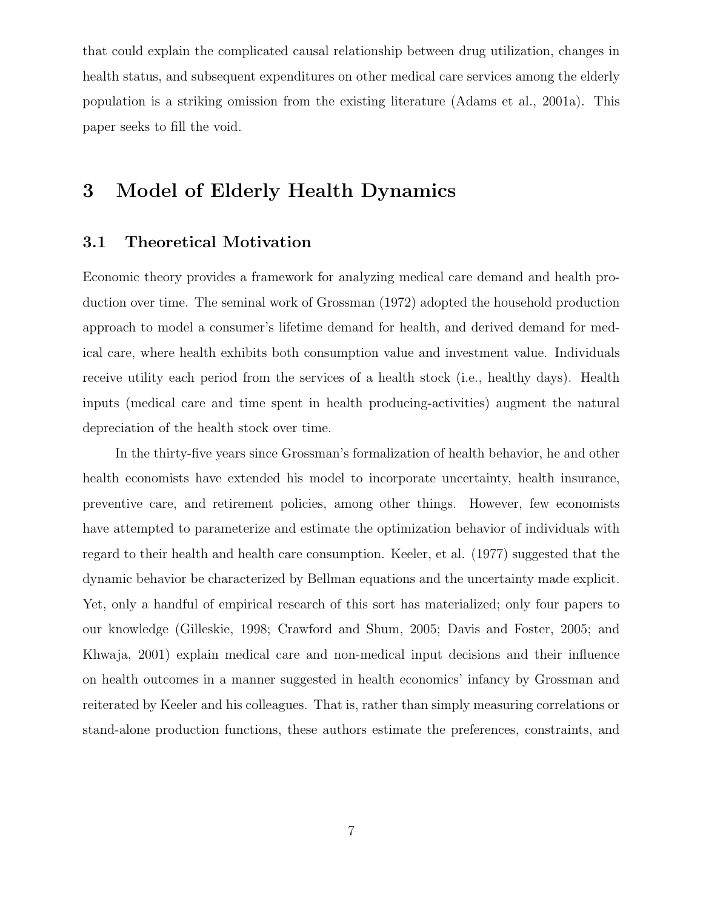that could explain the complicated causal relationship between drug utilization, changes in health status, and subsequent expenditures on other medical care services among the elderly population is a striking omission from the existing literature (Adams et al., 2001a). This paper seeks to fill the void.

# 3 Model of Elderly Health Dynamics

### 3.1 Theoretical Motivation

Economic theory provides a framework for analyzing medical care demand and health production over time. The seminal work of Grossman (1972) adopted the household production approach to model a consumer's lifetime demand for health, and derived demand for medical care, where health exhibits both consumption value and investment value. Individuals receive utility each period from the services of a health stock (i.e., healthy days). Health inputs (medical care and time spent in health producing-activities) augment the natural depreciation of the health stock over time.

In the thirty-five years since Grossman's formalization of health behavior, he and other health economists have extended his model to incorporate uncertainty, health insurance, preventive care, and retirement policies, among other things. However, few economists have attempted to parameterize and estimate the optimization behavior of individuals with regard to their health and health care consumption. Keeler, et al. (1977) suggested that the dynamic behavior be characterized by Bellman equations and the uncertainty made explicit. Yet, only a handful of empirical research of this sort has materialized; only four papers to our knowledge (Gilleskie, 1998; Crawford and Shum, 2005; Davis and Foster, 2005; and Khwaja, 2001) explain medical care and non-medical input decisions and their influence on health outcomes in a manner suggested in health economics' infancy by Grossman and reiterated by Keeler and his colleagues. That is, rather than simply measuring correlations or stand-alone production functions, these authors estimate the preferences, constraints, and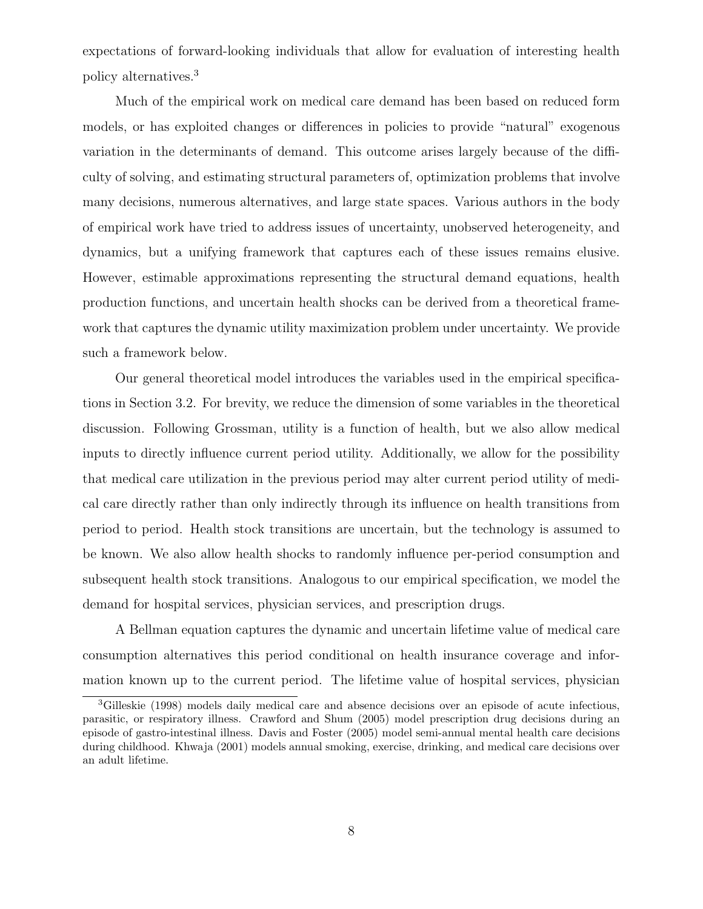expectations of forward-looking individuals that allow for evaluation of interesting health policy alternatives.<sup>3</sup>

Much of the empirical work on medical care demand has been based on reduced form models, or has exploited changes or differences in policies to provide "natural" exogenous variation in the determinants of demand. This outcome arises largely because of the difficulty of solving, and estimating structural parameters of, optimization problems that involve many decisions, numerous alternatives, and large state spaces. Various authors in the body of empirical work have tried to address issues of uncertainty, unobserved heterogeneity, and dynamics, but a unifying framework that captures each of these issues remains elusive. However, estimable approximations representing the structural demand equations, health production functions, and uncertain health shocks can be derived from a theoretical framework that captures the dynamic utility maximization problem under uncertainty. We provide such a framework below.

Our general theoretical model introduces the variables used in the empirical specifications in Section 3.2. For brevity, we reduce the dimension of some variables in the theoretical discussion. Following Grossman, utility is a function of health, but we also allow medical inputs to directly influence current period utility. Additionally, we allow for the possibility that medical care utilization in the previous period may alter current period utility of medical care directly rather than only indirectly through its influence on health transitions from period to period. Health stock transitions are uncertain, but the technology is assumed to be known. We also allow health shocks to randomly influence per-period consumption and subsequent health stock transitions. Analogous to our empirical specification, we model the demand for hospital services, physician services, and prescription drugs.

A Bellman equation captures the dynamic and uncertain lifetime value of medical care consumption alternatives this period conditional on health insurance coverage and information known up to the current period. The lifetime value of hospital services, physician

<sup>3</sup>Gilleskie (1998) models daily medical care and absence decisions over an episode of acute infectious, parasitic, or respiratory illness. Crawford and Shum (2005) model prescription drug decisions during an episode of gastro-intestinal illness. Davis and Foster (2005) model semi-annual mental health care decisions during childhood. Khwaja (2001) models annual smoking, exercise, drinking, and medical care decisions over an adult lifetime.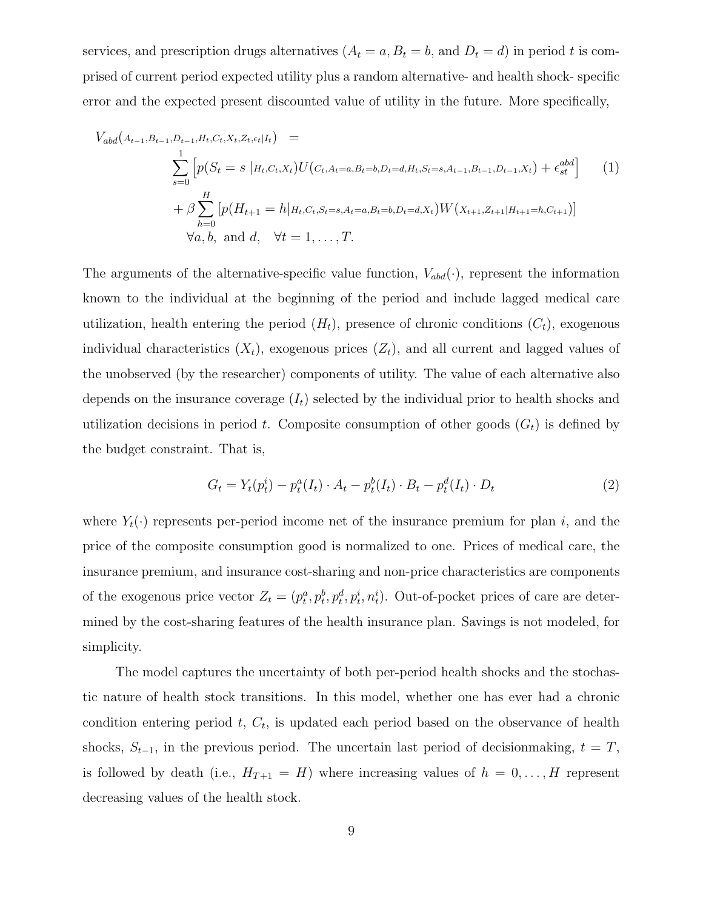services, and prescription drugs alternatives  $(A_t = a, B_t = b, \text{ and } D_t = d)$  in period t is comprised of current period expected utility plus a random alternative- and health shock- specific error and the expected present discounted value of utility in the future. More specifically,

$$
V_{abd}(A_{t-1},B_{t-1},D_{t-1},H_t,C_t,X_t,Z_t,\epsilon_t|I_t) =
$$
\n
$$
\sum_{s=0}^{1} \left[ p(S_t = s | H_t,C_t,X_t) U(C_t,A_t=a,B_t=b,D_t=d,H_t,S_t=s,A_{t-1},B_{t-1},D_{t-1},X_t) + \epsilon_{st}^{abd} \right]
$$
\n
$$
+ \beta \sum_{h=0}^{H} \left[ p(H_{t+1} = h | H_t,C_t,S_t=s,A_t=a,B_t=b,D_t=d,X_t) W(X_{t+1},Z_{t+1}|H_{t+1}=h,C_{t+1}) \right]
$$
\n
$$
\forall a, b, \text{ and } d, \quad \forall t = 1,\dots,T.
$$
\n(1)

The arguments of the alternative-specific value function,  $V_{abd}(\cdot)$ , represent the information known to the individual at the beginning of the period and include lagged medical care utilization, health entering the period  $(H_t)$ , presence of chronic conditions  $(C_t)$ , exogenous individual characteristics  $(X_t)$ , exogenous prices  $(Z_t)$ , and all current and lagged values of the unobserved (by the researcher) components of utility. The value of each alternative also depends on the insurance coverage  $(I_t)$  selected by the individual prior to health shocks and utilization decisions in period t. Composite consumption of other goods  $(G_t)$  is defined by the budget constraint. That is,

$$
G_t = Y_t(p_t^i) - p_t^a(I_t) \cdot A_t - p_t^b(I_t) \cdot B_t - p_t^d(I_t) \cdot D_t \tag{2}
$$

where  $Y_t(\cdot)$  represents per-period income net of the insurance premium for plan i, and the price of the composite consumption good is normalized to one. Prices of medical care, the insurance premium, and insurance cost-sharing and non-price characteristics are components of the exogenous price vector  $Z_t = (p_t^a, p_t^b, p_t^d, p_t^i, n_t^i)$ . Out-of-pocket prices of care are determined by the cost-sharing features of the health insurance plan. Savings is not modeled, for simplicity.

The model captures the uncertainty of both per-period health shocks and the stochastic nature of health stock transitions. In this model, whether one has ever had a chronic condition entering period  $t, C_t$ , is updated each period based on the observance of health shocks,  $S_{t-1}$ , in the previous period. The uncertain last period of decisionmaking,  $t = T$ , is followed by death (i.e.,  $H_{T+1} = H$ ) where increasing values of  $h = 0, ..., H$  represent decreasing values of the health stock.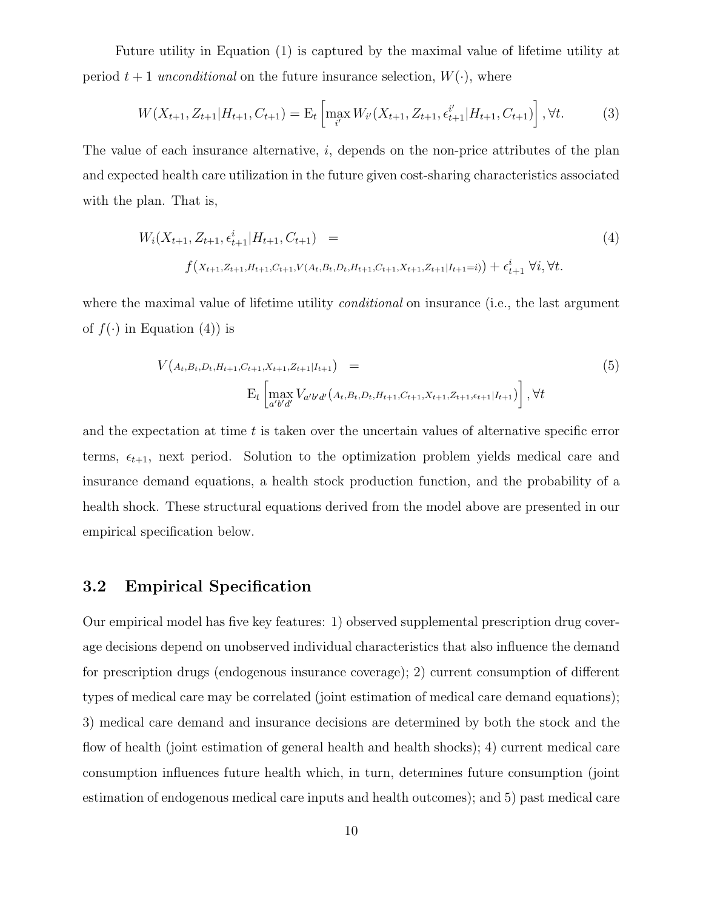Future utility in Equation (1) is captured by the maximal value of lifetime utility at period  $t + 1$  unconditional on the future insurance selection,  $W(\cdot)$ , where

$$
W(X_{t+1}, Z_{t+1}|H_{t+1}, C_{t+1}) = \mathcal{E}_t \left[ \max_{i'} W_{i'}(X_{t+1}, Z_{t+1}, \epsilon_{t+1}^{i'} | H_{t+1}, C_{t+1}) \right], \forall t.
$$
 (3)

The value of each insurance alternative, *i*, depends on the non-price attributes of the plan and expected health care utilization in the future given cost-sharing characteristics associated with the plan. That is,

$$
W_i(X_{t+1}, Z_{t+1}, \epsilon_{t+1}^i | H_{t+1}, C_{t+1}) =
$$
\n
$$
f(X_{t+1}, Z_{t+1}, H_{t+1}, C_{t+1}, V(A_t, B_t, D_t, H_{t+1}, C_{t+1}, X_{t+1}, Z_{t+1} | I_{t+1} = i)) + \epsilon_{t+1}^i \ \forall i, \forall t.
$$
\n
$$
(4)
$$

where the maximal value of lifetime utility *conditional* on insurance (i.e., the last argument of  $f(\cdot)$  in Equation (4)) is

$$
V(A_t, B_t, D_t, H_{t+1}, C_{t+1}, X_{t+1}, Z_{t+1} | I_{t+1}) =
$$
\n
$$
E_t \left[ \max_{a'b'd'} V_{a'b'd'}(A_t, B_t, D_t, H_{t+1}, C_{t+1}, X_{t+1}, Z_{t+1}, \epsilon_{t+1} | I_{t+1}) \right], \forall t
$$
\n(5)

and the expectation at time  $t$  is taken over the uncertain values of alternative specific error terms,  $\epsilon_{t+1}$ , next period. Solution to the optimization problem yields medical care and insurance demand equations, a health stock production function, and the probability of a health shock. These structural equations derived from the model above are presented in our empirical specification below.

### 3.2 Empirical Specification

Our empirical model has five key features: 1) observed supplemental prescription drug coverage decisions depend on unobserved individual characteristics that also influence the demand for prescription drugs (endogenous insurance coverage); 2) current consumption of different types of medical care may be correlated (joint estimation of medical care demand equations); 3) medical care demand and insurance decisions are determined by both the stock and the flow of health (joint estimation of general health and health shocks); 4) current medical care consumption influences future health which, in turn, determines future consumption (joint estimation of endogenous medical care inputs and health outcomes); and 5) past medical care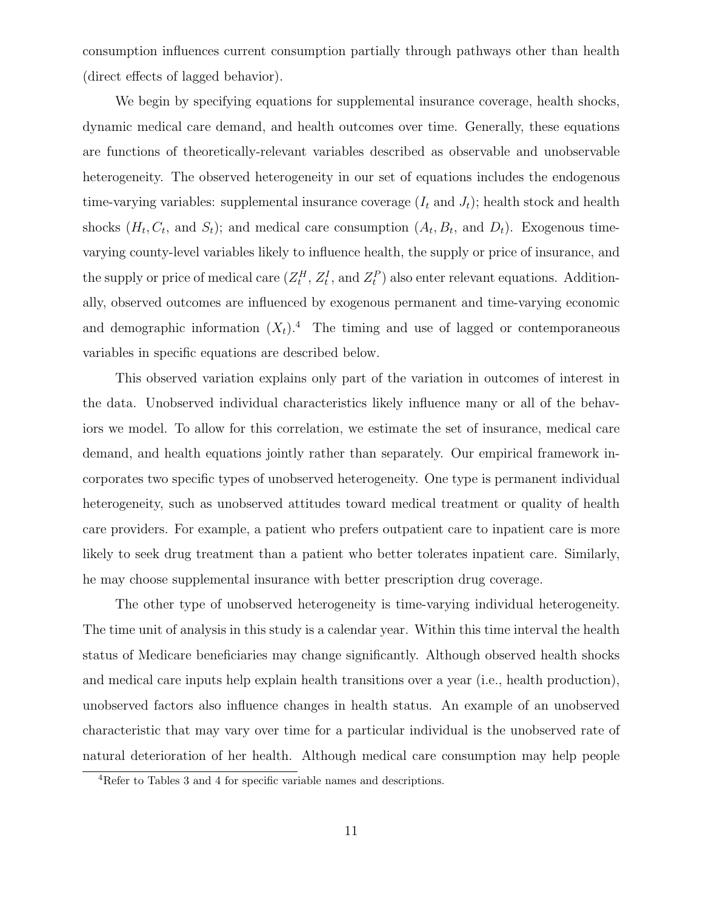consumption influences current consumption partially through pathways other than health (direct effects of lagged behavior).

We begin by specifying equations for supplemental insurance coverage, health shocks, dynamic medical care demand, and health outcomes over time. Generally, these equations are functions of theoretically-relevant variables described as observable and unobservable heterogeneity. The observed heterogeneity in our set of equations includes the endogenous time-varying variables: supplemental insurance coverage  $(I_t \text{ and } J_t)$ ; health stock and health shocks  $(H_t, C_t, \text{ and } S_t)$ ; and medical care consumption  $(A_t, B_t, \text{ and } D_t)$ . Exogenous timevarying county-level variables likely to influence health, the supply or price of insurance, and the supply or price of medical care  $(Z_t^H, Z_t^I, \text{ and } Z_t^P)$  also enter relevant equations. Additionally, observed outcomes are influenced by exogenous permanent and time-varying economic and demographic information  $(X_t)$ .<sup>4</sup> The timing and use of lagged or contemporaneous variables in specific equations are described below.

This observed variation explains only part of the variation in outcomes of interest in the data. Unobserved individual characteristics likely influence many or all of the behaviors we model. To allow for this correlation, we estimate the set of insurance, medical care demand, and health equations jointly rather than separately. Our empirical framework incorporates two specific types of unobserved heterogeneity. One type is permanent individual heterogeneity, such as unobserved attitudes toward medical treatment or quality of health care providers. For example, a patient who prefers outpatient care to inpatient care is more likely to seek drug treatment than a patient who better tolerates inpatient care. Similarly, he may choose supplemental insurance with better prescription drug coverage.

The other type of unobserved heterogeneity is time-varying individual heterogeneity. The time unit of analysis in this study is a calendar year. Within this time interval the health status of Medicare beneficiaries may change significantly. Although observed health shocks and medical care inputs help explain health transitions over a year (i.e., health production), unobserved factors also influence changes in health status. An example of an unobserved characteristic that may vary over time for a particular individual is the unobserved rate of natural deterioration of her health. Although medical care consumption may help people

<sup>&</sup>lt;sup>4</sup>Refer to Tables 3 and 4 for specific variable names and descriptions.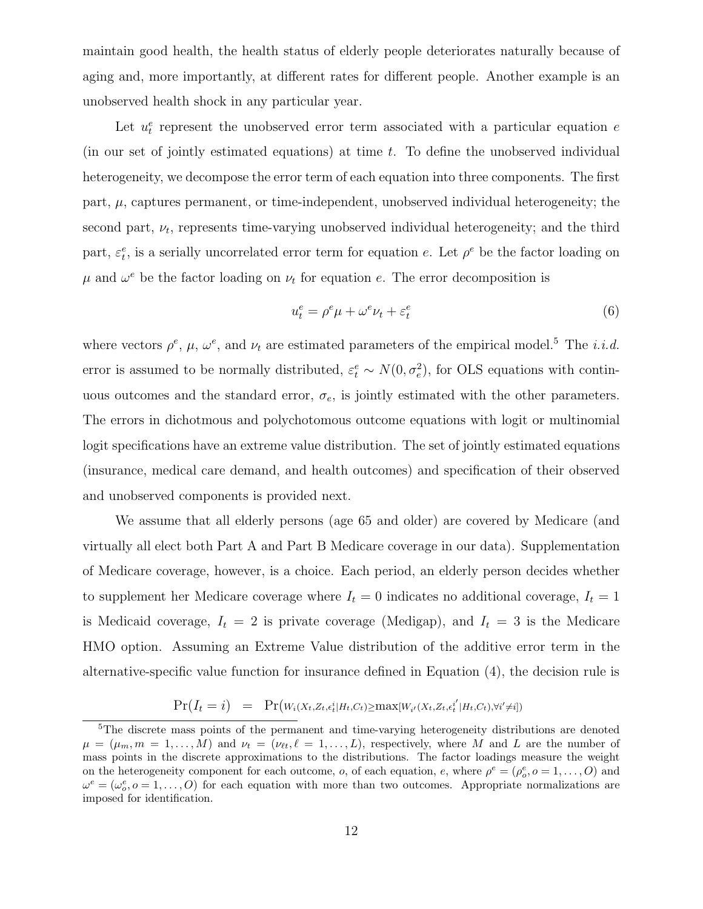maintain good health, the health status of elderly people deteriorates naturally because of aging and, more importantly, at different rates for different people. Another example is an unobserved health shock in any particular year.

Let  $u_t^e$  represent the unobserved error term associated with a particular equation e (in our set of jointly estimated equations) at time  $t$ . To define the unobserved individual heterogeneity, we decompose the error term of each equation into three components. The first part,  $\mu$ , captures permanent, or time-independent, unobserved individual heterogeneity; the second part,  $\nu_t$ , represents time-varying unobserved individual heterogeneity; and the third part,  $\varepsilon_t^e$ , is a serially uncorrelated error term for equation e. Let  $\rho^e$  be the factor loading on  $\mu$  and  $\omega^e$  be the factor loading on  $\nu_t$  for equation e. The error decomposition is

$$
u_t^e = \rho^e \mu + \omega^e \nu_t + \varepsilon_t^e \tag{6}
$$

where vectors  $\rho^e$ ,  $\mu$ ,  $\omega^e$ , and  $\nu_t$  are estimated parameters of the empirical model.<sup>5</sup> The *i.i.d.* error is assumed to be normally distributed,  $\varepsilon_t^e \sim N(0, \sigma_e^2)$ , for OLS equations with continuous outcomes and the standard error,  $\sigma_e$ , is jointly estimated with the other parameters. The errors in dichotmous and polychotomous outcome equations with logit or multinomial logit specifications have an extreme value distribution. The set of jointly estimated equations (insurance, medical care demand, and health outcomes) and specification of their observed and unobserved components is provided next.

We assume that all elderly persons (age 65 and older) are covered by Medicare (and virtually all elect both Part A and Part B Medicare coverage in our data). Supplementation of Medicare coverage, however, is a choice. Each period, an elderly person decides whether to supplement her Medicare coverage where  $I_t = 0$  indicates no additional coverage,  $I_t = 1$ is Medicaid coverage,  $I_t = 2$  is private coverage (Medigap), and  $I_t = 3$  is the Medicare HMO option. Assuming an Extreme Value distribution of the additive error term in the alternative-specific value function for insurance defined in Equation (4), the decision rule is

$$
Pr(I_t = i) = Pr(W_i(X_t, Z_t, \epsilon_t^i | H_t, C_t) \geq max[W_{i'}(X_t, Z_t, \epsilon_t^{i'} | H_t, C_t), \forall i' \neq i])
$$

<sup>5</sup>The discrete mass points of the permanent and time-varying heterogeneity distributions are denoted  $\mu = (\mu_m, m = 1, \ldots, M)$  and  $\nu_t = (\nu_{tt}, \ell = 1, \ldots, L)$ , respectively, where M and L are the number of mass points in the discrete approximations to the distributions. The factor loadings measure the weight on the heterogeneity component for each outcome,  $o$ , of each equation,  $e$ , where  $\rho^e = (\rho_o^e, o = 1, \ldots, O)$  and  $\omega^e = (\omega_o^e, o = 1, \ldots, O)$  for each equation with more than two outcomes. Appropriate normalizations are imposed for identification.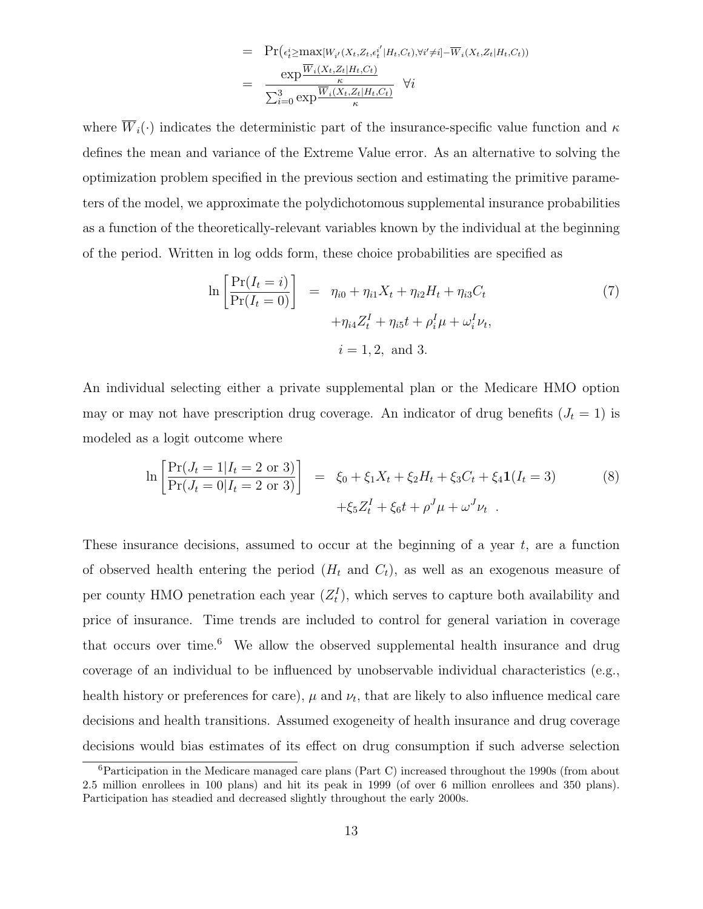$$
= \Pr(\epsilon_t^i \ge \max[W_{i'}(X_t, Z_t, \epsilon_t^{i'} | H_t, C_t), \forall i' \ne i] - \overline{W}_i(X_t, Z_t | H_t, C_t))
$$

$$
= \frac{\exp \frac{\overline{W}_i(X_t, Z_t | H_t, C_t)}{\kappa}}{\sum_{i=0}^3 \exp \frac{\overline{W}_i(X_t, Z_t | H_t, C_t)}{\kappa}} \quad \forall i
$$

where  $\overline{W}_i(\cdot)$  indicates the deterministic part of the insurance-specific value function and  $\kappa$ defines the mean and variance of the Extreme Value error. As an alternative to solving the optimization problem specified in the previous section and estimating the primitive parameters of the model, we approximate the polydichotomous supplemental insurance probabilities as a function of the theoretically-relevant variables known by the individual at the beginning of the period. Written in log odds form, these choice probabilities are specified as

$$
\ln\left[\frac{\Pr(I_t = i)}{\Pr(I_t = 0)}\right] = \eta_{i0} + \eta_{i1}X_t + \eta_{i2}H_t + \eta_{i3}C_t + \eta_{i4}Z_t^I + \eta_{i5}t + \rho_i^I\mu + \omega_i^I\nu_t, \ni = 1, 2, \text{ and } 3.
$$
\n(7)

An individual selecting either a private supplemental plan or the Medicare HMO option may or may not have prescription drug coverage. An indicator of drug benefits  $(J_t = 1)$  is modeled as a logit outcome where

$$
\ln\left[\frac{\Pr(J_t=1|I_t=2 \text{ or } 3)}{\Pr(J_t=0|I_t=2 \text{ or } 3)}\right] = \xi_0 + \xi_1 X_t + \xi_2 H_t + \xi_3 C_t + \xi_4 \mathbf{1}(I_t=3) \tag{8}
$$

$$
+ \xi_5 Z_t^I + \xi_6 t + \rho^J \mu + \omega^J \nu_t .
$$

These insurance decisions, assumed to occur at the beginning of a year  $t$ , are a function of observed health entering the period  $(H_t$  and  $C_t$ ), as well as an exogenous measure of per county HMO penetration each year  $(Z_t^I)$ , which serves to capture both availability and price of insurance. Time trends are included to control for general variation in coverage that occurs over time.<sup>6</sup> We allow the observed supplemental health insurance and drug coverage of an individual to be influenced by unobservable individual characteristics (e.g., health history or preferences for care),  $\mu$  and  $\nu_t$ , that are likely to also influence medical care decisions and health transitions. Assumed exogeneity of health insurance and drug coverage decisions would bias estimates of its effect on drug consumption if such adverse selection

 ${}^{6}$ Participation in the Medicare managed care plans (Part C) increased throughout the 1990s (from about 2.5 million enrollees in 100 plans) and hit its peak in 1999 (of over 6 million enrollees and 350 plans). Participation has steadied and decreased slightly throughout the early 2000s.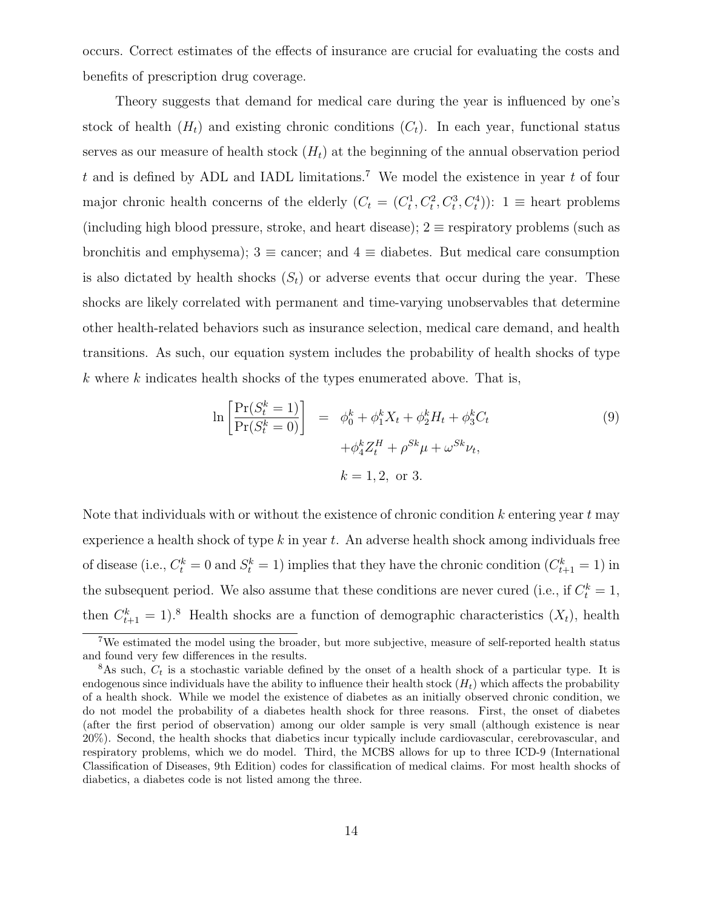occurs. Correct estimates of the effects of insurance are crucial for evaluating the costs and benefits of prescription drug coverage.

Theory suggests that demand for medical care during the year is influenced by one's stock of health  $(H_t)$  and existing chronic conditions  $(C_t)$ . In each year, functional status serves as our measure of health stock  $(H_t)$  at the beginning of the annual observation period t and is defined by ADL and IADL limitations.<sup>7</sup> We model the existence in year t of four major chronic health concerns of the elderly  $(C_t = (C_t^1, C_t^2, C_t^3, C_t^4))$ :  $1 \equiv$  heart problems (including high blood pressure, stroke, and heart disease);  $2 \equiv$  respiratory problems (such as bronchitis and emphysema);  $3 \equiv$  cancer; and  $4 \equiv$  diabetes. But medical care consumption is also dictated by health shocks  $(S_t)$  or adverse events that occur during the year. These shocks are likely correlated with permanent and time-varying unobservables that determine other health-related behaviors such as insurance selection, medical care demand, and health transitions. As such, our equation system includes the probability of health shocks of type  $k$  where  $k$  indicates health shocks of the types enumerated above. That is,

$$
\ln \left[ \frac{\Pr(S_t^k = 1)}{\Pr(S_t^k = 0)} \right] = \phi_0^k + \phi_1^k X_t + \phi_2^k H_t + \phi_3^k C_t + \phi_4^k Z_t^H + \rho^{Sk} \mu + \omega^{Sk} \nu_t, k = 1, 2, \text{ or } 3.
$$
\n(9)

Note that individuals with or without the existence of chronic condition  $k$  entering year  $t$  may experience a health shock of type  $k$  in year  $t$ . An adverse health shock among individuals free of disease (i.e.,  $C_t^k = 0$  and  $S_t^k = 1$ ) implies that they have the chronic condition  $(C_{t+1}^k = 1)$  in the subsequent period. We also assume that these conditions are never cured (i.e., if  $C_t^k = 1$ , then  $C_{t+1}^k = 1$ .<sup>8</sup> Health shocks are a function of demographic characteristics  $(X_t)$ , health

<sup>7</sup>We estimated the model using the broader, but more subjective, measure of self-reported health status and found very few differences in the results.

 $8$ As such,  $C_t$  is a stochastic variable defined by the onset of a health shock of a particular type. It is endogenous since individuals have the ability to influence their health stock  $(H_t)$  which affects the probability of a health shock. While we model the existence of diabetes as an initially observed chronic condition, we do not model the probability of a diabetes health shock for three reasons. First, the onset of diabetes (after the first period of observation) among our older sample is very small (although existence is near 20%). Second, the health shocks that diabetics incur typically include cardiovascular, cerebrovascular, and respiratory problems, which we do model. Third, the MCBS allows for up to three ICD-9 (International Classification of Diseases, 9th Edition) codes for classification of medical claims. For most health shocks of diabetics, a diabetes code is not listed among the three.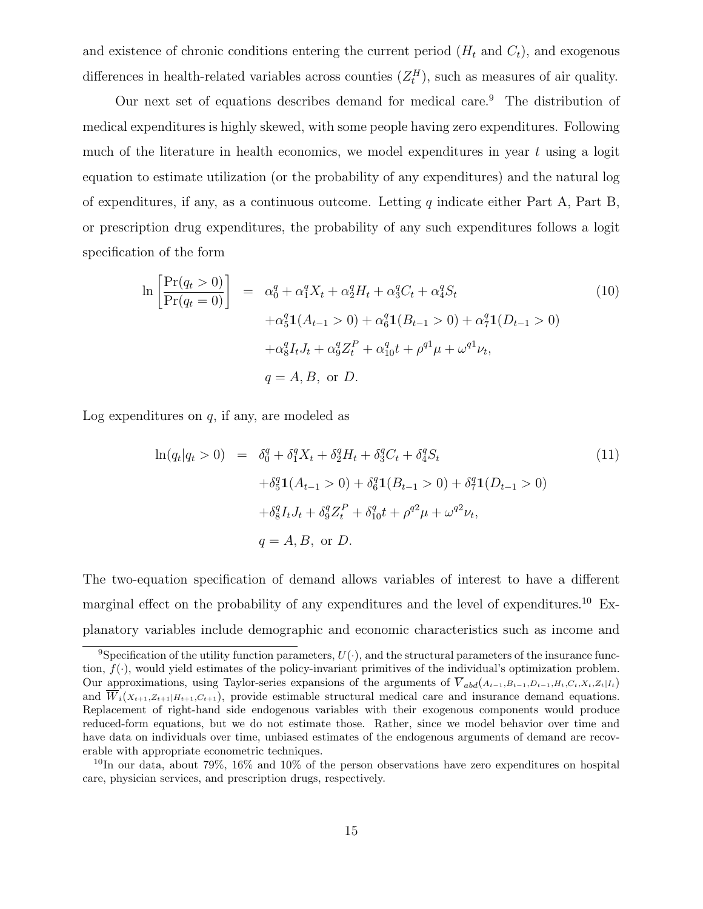and existence of chronic conditions entering the current period  $(H_t \text{ and } C_t)$ , and exogenous differences in health-related variables across counties  $(Z_t^H)$ , such as measures of air quality.

Our next set of equations describes demand for medical care.<sup>9</sup> The distribution of medical expenditures is highly skewed, with some people having zero expenditures. Following much of the literature in health economics, we model expenditures in year  $t$  using a logit equation to estimate utilization (or the probability of any expenditures) and the natural log of expenditures, if any, as a continuous outcome. Letting  $q$  indicate either Part A, Part B, or prescription drug expenditures, the probability of any such expenditures follows a logit specification of the form

$$
\ln\left[\frac{\Pr(q_t > 0)}{\Pr(q_t = 0)}\right] = \alpha_0^q + \alpha_1^q X_t + \alpha_2^q H_t + \alpha_3^q C_t + \alpha_4^q S_t
$$
\n
$$
+ \alpha_5^q \mathbf{1}(A_{t-1} > 0) + \alpha_6^q \mathbf{1}(B_{t-1} > 0) + \alpha_7^q \mathbf{1}(D_{t-1} > 0)
$$
\n
$$
+ \alpha_8^q I_t J_t + \alpha_9^q Z_t^P + \alpha_{10}^q t + \rho^{q1} \mu + \omega^{q1} \nu_t,
$$
\n
$$
q = A, B, \text{ or } D.
$$
\n(10)

Log expenditures on  $q$ , if any, are modeled as

$$
\ln(q_t|q_t > 0) = \delta_0^q + \delta_1^q X_t + \delta_2^q H_t + \delta_3^q C_t + \delta_4^q S_t
$$
  
+ 
$$
\delta_5^q \mathbf{1}(A_{t-1} > 0) + \delta_6^q \mathbf{1}(B_{t-1} > 0) + \delta_7^q \mathbf{1}(D_{t-1} > 0)
$$
  
+ 
$$
\delta_8^q I_t J_t + \delta_9^q Z_t^P + \delta_{10}^q t + \rho^{q^2} \mu + \omega^{q^2} \nu_t,
$$
  

$$
q = A, B, \text{ or } D.
$$
 (11)

The two-equation specification of demand allows variables of interest to have a different marginal effect on the probability of any expenditures and the level of expenditures.<sup>10</sup> Explanatory variables include demographic and economic characteristics such as income and

<sup>&</sup>lt;sup>9</sup>Specification of the utility function parameters,  $U(\cdot)$ , and the structural parameters of the insurance function,  $f(\cdot)$ , would yield estimates of the policy-invariant primitives of the individual's optimization problem. Our approximations, using Taylor-series expansions of the arguments of  $\overline{V}_{abd}(A_{t-1},B_{t-1},D_{t-1},H_t,C_t,X_t,Z_t|I_t)$ and  $\overline{W}_i(X_{t+1},Z_{t+1}|H_{t+1},C_{t+1})$ , provide estimable structural medical care and insurance demand equations. Replacement of right-hand side endogenous variables with their exogenous components would produce reduced-form equations, but we do not estimate those. Rather, since we model behavior over time and have data on individuals over time, unbiased estimates of the endogenous arguments of demand are recoverable with appropriate econometric techniques.

<sup>&</sup>lt;sup>10</sup>In our data, about 79%, 16% and 10% of the person observations have zero expenditures on hospital care, physician services, and prescription drugs, respectively.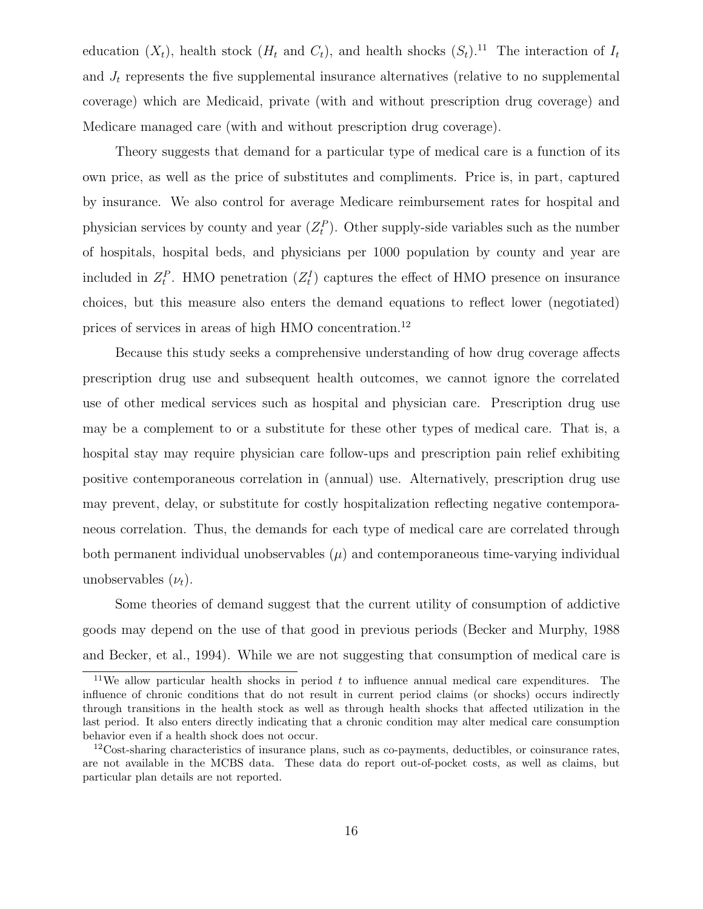education  $(X_t)$ , health stock  $(H_t$  and  $C_t)$ , and health shocks  $(S_t)$ .<sup>11</sup> The interaction of  $I_t$ and  $J_t$  represents the five supplemental insurance alternatives (relative to no supplemental coverage) which are Medicaid, private (with and without prescription drug coverage) and Medicare managed care (with and without prescription drug coverage).

Theory suggests that demand for a particular type of medical care is a function of its own price, as well as the price of substitutes and compliments. Price is, in part, captured by insurance. We also control for average Medicare reimbursement rates for hospital and physician services by county and year  $(Z_t^P)$ . Other supply-side variables such as the number of hospitals, hospital beds, and physicians per 1000 population by county and year are included in  $Z_t^P$ . HMO penetration  $(Z_t^I)$  captures the effect of HMO presence on insurance choices, but this measure also enters the demand equations to reflect lower (negotiated) prices of services in areas of high HMO concentration.<sup>12</sup>

Because this study seeks a comprehensive understanding of how drug coverage affects prescription drug use and subsequent health outcomes, we cannot ignore the correlated use of other medical services such as hospital and physician care. Prescription drug use may be a complement to or a substitute for these other types of medical care. That is, a hospital stay may require physician care follow-ups and prescription pain relief exhibiting positive contemporaneous correlation in (annual) use. Alternatively, prescription drug use may prevent, delay, or substitute for costly hospitalization reflecting negative contemporaneous correlation. Thus, the demands for each type of medical care are correlated through both permanent individual unobservables  $(\mu)$  and contemporaneous time-varying individual unobservables  $(\nu_t)$ .

Some theories of demand suggest that the current utility of consumption of addictive goods may depend on the use of that good in previous periods (Becker and Murphy, 1988 and Becker, et al., 1994). While we are not suggesting that consumption of medical care is

<sup>&</sup>lt;sup>11</sup>We allow particular health shocks in period  $t$  to influence annual medical care expenditures. The influence of chronic conditions that do not result in current period claims (or shocks) occurs indirectly through transitions in the health stock as well as through health shocks that affected utilization in the last period. It also enters directly indicating that a chronic condition may alter medical care consumption behavior even if a health shock does not occur.

 $12\text{Cost-sharing characteristics}$  of insurance plans, such as co-payments, deductibles, or coinsurance rates, are not available in the MCBS data. These data do report out-of-pocket costs, as well as claims, but particular plan details are not reported.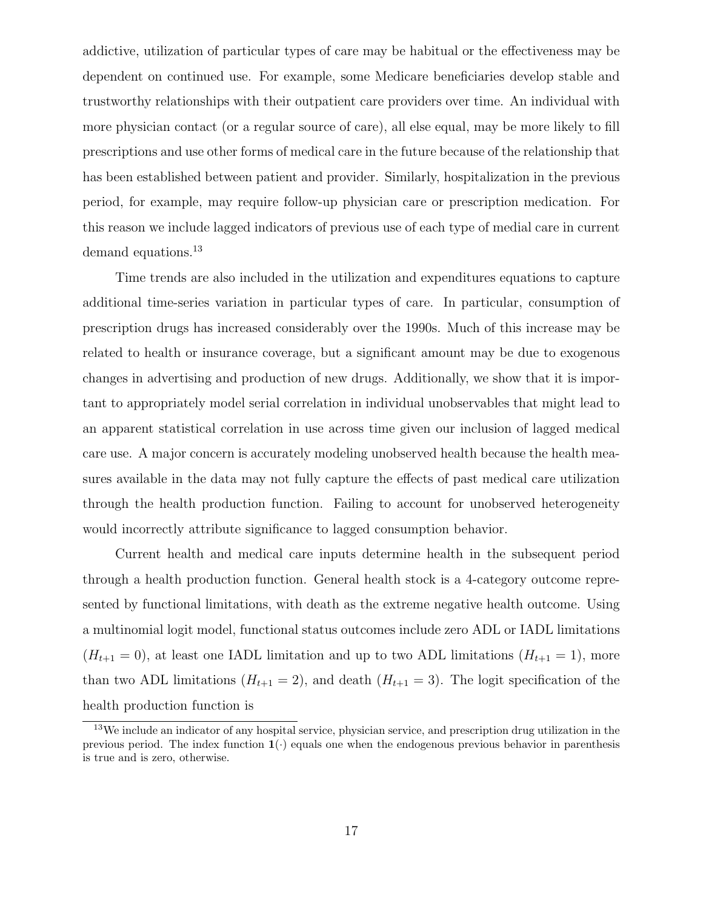addictive, utilization of particular types of care may be habitual or the effectiveness may be dependent on continued use. For example, some Medicare beneficiaries develop stable and trustworthy relationships with their outpatient care providers over time. An individual with more physician contact (or a regular source of care), all else equal, may be more likely to fill prescriptions and use other forms of medical care in the future because of the relationship that has been established between patient and provider. Similarly, hospitalization in the previous period, for example, may require follow-up physician care or prescription medication. For this reason we include lagged indicators of previous use of each type of medial care in current demand equations.<sup>13</sup>

Time trends are also included in the utilization and expenditures equations to capture additional time-series variation in particular types of care. In particular, consumption of prescription drugs has increased considerably over the 1990s. Much of this increase may be related to health or insurance coverage, but a significant amount may be due to exogenous changes in advertising and production of new drugs. Additionally, we show that it is important to appropriately model serial correlation in individual unobservables that might lead to an apparent statistical correlation in use across time given our inclusion of lagged medical care use. A major concern is accurately modeling unobserved health because the health measures available in the data may not fully capture the effects of past medical care utilization through the health production function. Failing to account for unobserved heterogeneity would incorrectly attribute significance to lagged consumption behavior.

Current health and medical care inputs determine health in the subsequent period through a health production function. General health stock is a 4-category outcome represented by functional limitations, with death as the extreme negative health outcome. Using a multinomial logit model, functional status outcomes include zero ADL or IADL limitations  $(H_{t+1} = 0)$ , at least one IADL limitation and up to two ADL limitations  $(H_{t+1} = 1)$ , more than two ADL limitations  $(H_{t+1} = 2)$ , and death  $(H_{t+1} = 3)$ . The logit specification of the health production function is

<sup>&</sup>lt;sup>13</sup>We include an indicator of any hospital service, physician service, and prescription drug utilization in the previous period. The index function  $\mathbf{1}(\cdot)$  equals one when the endogenous previous behavior in parenthesis is true and is zero, otherwise.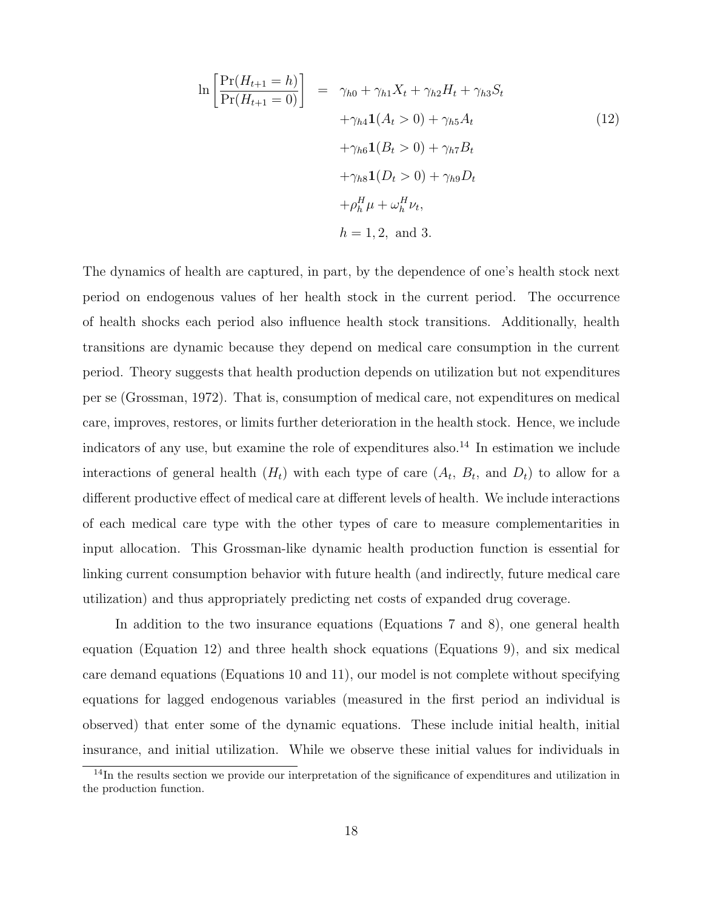$$
\ln\left[\frac{\Pr(H_{t+1} = h)}{\Pr(H_{t+1} = 0)}\right] = \gamma_{h0} + \gamma_{h1}X_t + \gamma_{h2}H_t + \gamma_{h3}S_t
$$

$$
+ \gamma_{h4}\mathbf{1}(A_t > 0) + \gamma_{h5}A_t
$$

$$
+ \gamma_{h6}\mathbf{1}(B_t > 0) + \gamma_{h7}B_t
$$

$$
+ \gamma_{h8}\mathbf{1}(D_t > 0) + \gamma_{h9}D_t
$$

$$
+ \rho_h^H \mu + \omega_h^H \nu_t,
$$

$$
h = 1, 2, \text{ and } 3.
$$

The dynamics of health are captured, in part, by the dependence of one's health stock next period on endogenous values of her health stock in the current period. The occurrence of health shocks each period also influence health stock transitions. Additionally, health transitions are dynamic because they depend on medical care consumption in the current period. Theory suggests that health production depends on utilization but not expenditures per se (Grossman, 1972). That is, consumption of medical care, not expenditures on medical care, improves, restores, or limits further deterioration in the health stock. Hence, we include indicators of any use, but examine the role of expenditures also.<sup>14</sup> In estimation we include interactions of general health  $(H_t)$  with each type of care  $(A_t, B_t, A_t)$  to allow for a different productive effect of medical care at different levels of health. We include interactions of each medical care type with the other types of care to measure complementarities in input allocation. This Grossman-like dynamic health production function is essential for linking current consumption behavior with future health (and indirectly, future medical care utilization) and thus appropriately predicting net costs of expanded drug coverage.

In addition to the two insurance equations (Equations 7 and 8), one general health equation (Equation 12) and three health shock equations (Equations 9), and six medical care demand equations (Equations 10 and 11), our model is not complete without specifying equations for lagged endogenous variables (measured in the first period an individual is observed) that enter some of the dynamic equations. These include initial health, initial insurance, and initial utilization. While we observe these initial values for individuals in

<sup>&</sup>lt;sup>14</sup>In the results section we provide our interpretation of the significance of expenditures and utilization in the production function.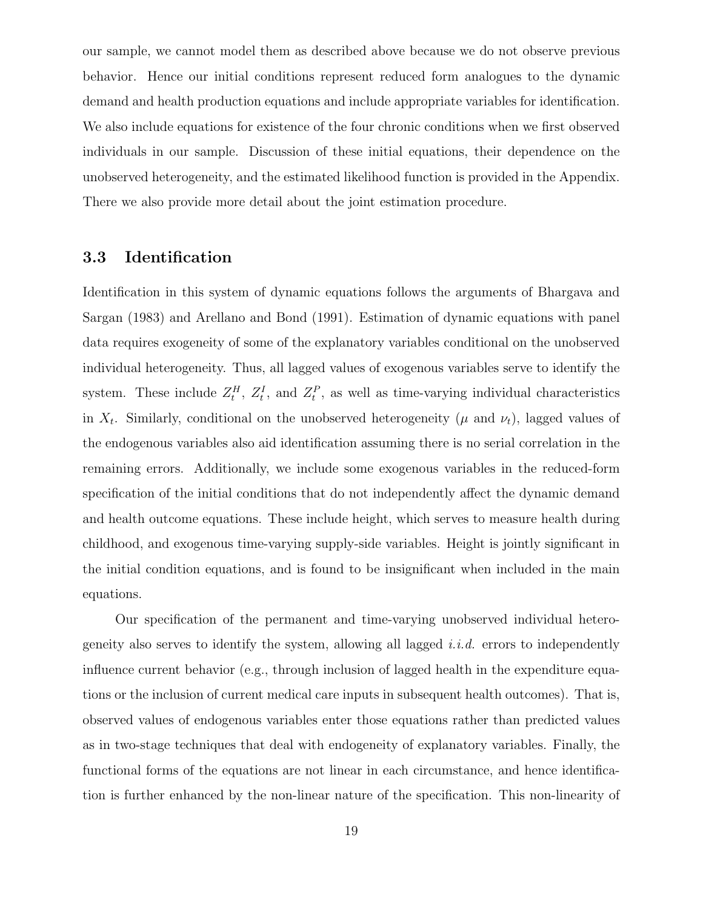our sample, we cannot model them as described above because we do not observe previous behavior. Hence our initial conditions represent reduced form analogues to the dynamic demand and health production equations and include appropriate variables for identification. We also include equations for existence of the four chronic conditions when we first observed individuals in our sample. Discussion of these initial equations, their dependence on the unobserved heterogeneity, and the estimated likelihood function is provided in the Appendix. There we also provide more detail about the joint estimation procedure.

### 3.3 Identification

Identification in this system of dynamic equations follows the arguments of Bhargava and Sargan (1983) and Arellano and Bond (1991). Estimation of dynamic equations with panel data requires exogeneity of some of the explanatory variables conditional on the unobserved individual heterogeneity. Thus, all lagged values of exogenous variables serve to identify the system. These include  $Z_t^H$ ,  $Z_t^I$ , and  $Z_t^P$ , as well as time-varying individual characteristics in  $X_t$ . Similarly, conditional on the unobserved heterogeneity ( $\mu$  and  $\nu_t$ ), lagged values of the endogenous variables also aid identification assuming there is no serial correlation in the remaining errors. Additionally, we include some exogenous variables in the reduced-form specification of the initial conditions that do not independently affect the dynamic demand and health outcome equations. These include height, which serves to measure health during childhood, and exogenous time-varying supply-side variables. Height is jointly significant in the initial condition equations, and is found to be insignificant when included in the main equations.

Our specification of the permanent and time-varying unobserved individual heterogeneity also serves to identify the system, allowing all lagged *i.i.d.* errors to independently influence current behavior (e.g., through inclusion of lagged health in the expenditure equations or the inclusion of current medical care inputs in subsequent health outcomes). That is, observed values of endogenous variables enter those equations rather than predicted values as in two-stage techniques that deal with endogeneity of explanatory variables. Finally, the functional forms of the equations are not linear in each circumstance, and hence identification is further enhanced by the non-linear nature of the specification. This non-linearity of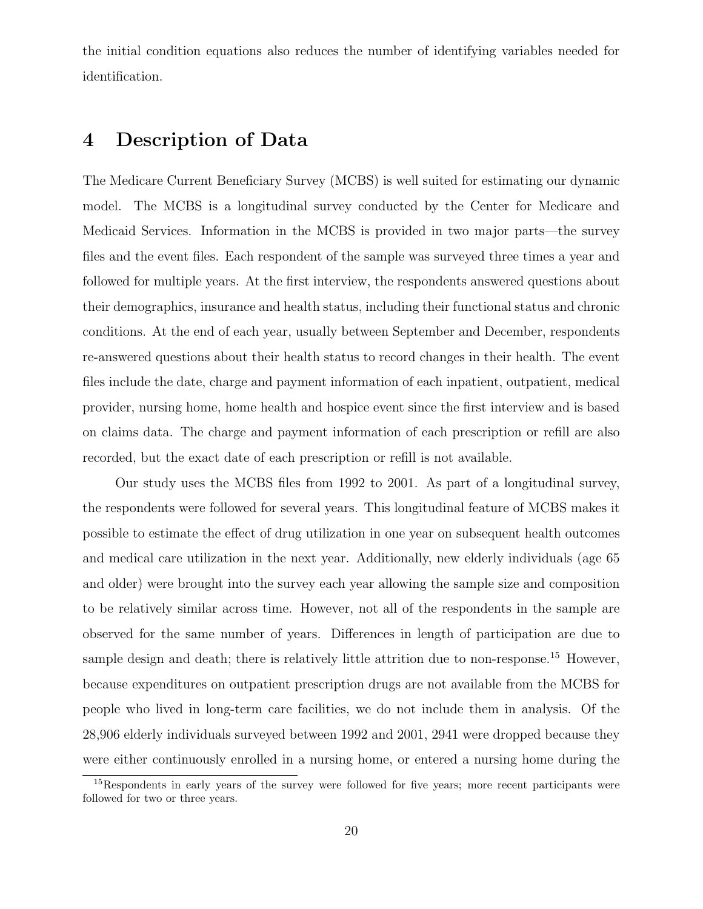the initial condition equations also reduces the number of identifying variables needed for identification.

## 4 Description of Data

The Medicare Current Beneficiary Survey (MCBS) is well suited for estimating our dynamic model. The MCBS is a longitudinal survey conducted by the Center for Medicare and Medicaid Services. Information in the MCBS is provided in two major parts—the survey files and the event files. Each respondent of the sample was surveyed three times a year and followed for multiple years. At the first interview, the respondents answered questions about their demographics, insurance and health status, including their functional status and chronic conditions. At the end of each year, usually between September and December, respondents re-answered questions about their health status to record changes in their health. The event files include the date, charge and payment information of each inpatient, outpatient, medical provider, nursing home, home health and hospice event since the first interview and is based on claims data. The charge and payment information of each prescription or refill are also recorded, but the exact date of each prescription or refill is not available.

Our study uses the MCBS files from 1992 to 2001. As part of a longitudinal survey, the respondents were followed for several years. This longitudinal feature of MCBS makes it possible to estimate the effect of drug utilization in one year on subsequent health outcomes and medical care utilization in the next year. Additionally, new elderly individuals (age 65 and older) were brought into the survey each year allowing the sample size and composition to be relatively similar across time. However, not all of the respondents in the sample are observed for the same number of years. Differences in length of participation are due to sample design and death; there is relatively little attrition due to non-response.<sup>15</sup> However, because expenditures on outpatient prescription drugs are not available from the MCBS for people who lived in long-term care facilities, we do not include them in analysis. Of the 28,906 elderly individuals surveyed between 1992 and 2001, 2941 were dropped because they were either continuously enrolled in a nursing home, or entered a nursing home during the

<sup>&</sup>lt;sup>15</sup>Respondents in early years of the survey were followed for five years; more recent participants were followed for two or three years.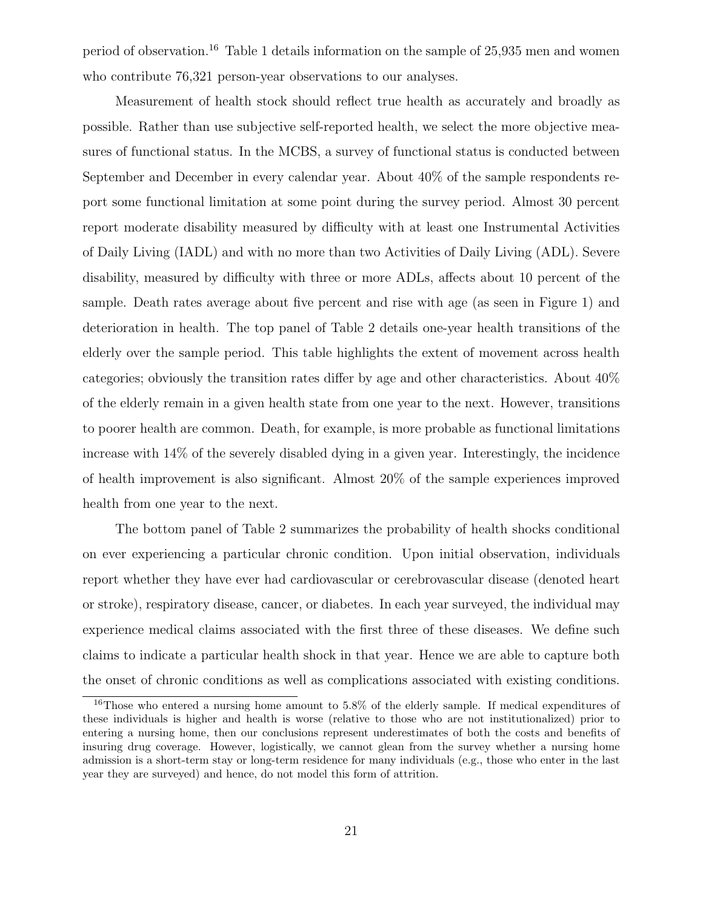period of observation.<sup>16</sup> Table 1 details information on the sample of 25,935 men and women who contribute 76,321 person-year observations to our analyses.

Measurement of health stock should reflect true health as accurately and broadly as possible. Rather than use subjective self-reported health, we select the more objective measures of functional status. In the MCBS, a survey of functional status is conducted between September and December in every calendar year. About 40% of the sample respondents report some functional limitation at some point during the survey period. Almost 30 percent report moderate disability measured by difficulty with at least one Instrumental Activities of Daily Living (IADL) and with no more than two Activities of Daily Living (ADL). Severe disability, measured by difficulty with three or more ADLs, affects about 10 percent of the sample. Death rates average about five percent and rise with age (as seen in Figure 1) and deterioration in health. The top panel of Table 2 details one-year health transitions of the elderly over the sample period. This table highlights the extent of movement across health categories; obviously the transition rates differ by age and other characteristics. About 40% of the elderly remain in a given health state from one year to the next. However, transitions to poorer health are common. Death, for example, is more probable as functional limitations increase with 14% of the severely disabled dying in a given year. Interestingly, the incidence of health improvement is also significant. Almost 20% of the sample experiences improved health from one year to the next.

The bottom panel of Table 2 summarizes the probability of health shocks conditional on ever experiencing a particular chronic condition. Upon initial observation, individuals report whether they have ever had cardiovascular or cerebrovascular disease (denoted heart or stroke), respiratory disease, cancer, or diabetes. In each year surveyed, the individual may experience medical claims associated with the first three of these diseases. We define such claims to indicate a particular health shock in that year. Hence we are able to capture both the onset of chronic conditions as well as complications associated with existing conditions.

<sup>&</sup>lt;sup>16</sup>Those who entered a nursing home amount to 5.8% of the elderly sample. If medical expenditures of these individuals is higher and health is worse (relative to those who are not institutionalized) prior to entering a nursing home, then our conclusions represent underestimates of both the costs and benefits of insuring drug coverage. However, logistically, we cannot glean from the survey whether a nursing home admission is a short-term stay or long-term residence for many individuals (e.g., those who enter in the last year they are surveyed) and hence, do not model this form of attrition.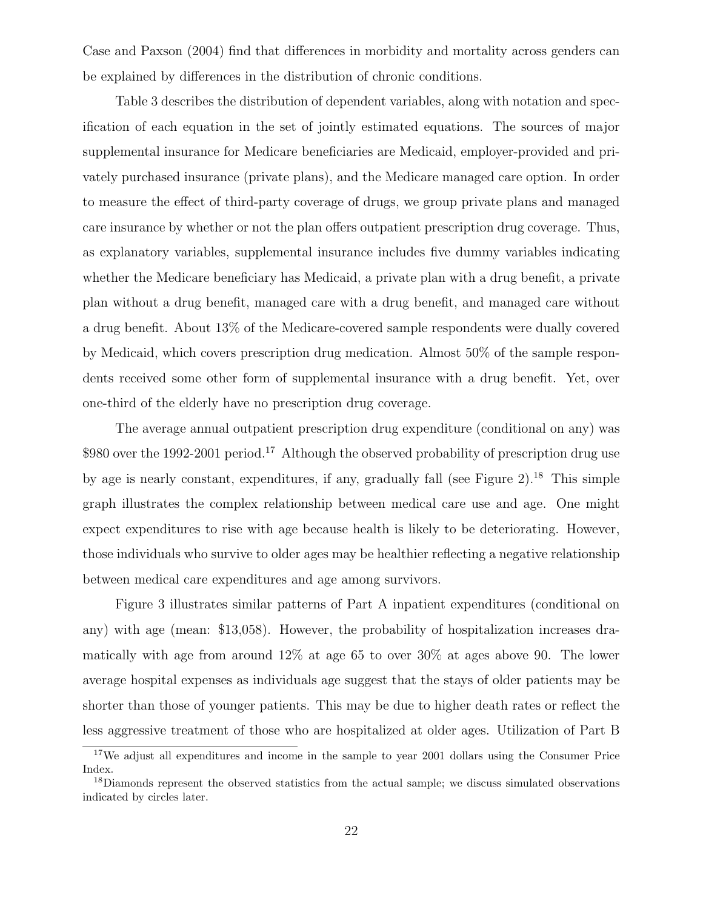Case and Paxson (2004) find that differences in morbidity and mortality across genders can be explained by differences in the distribution of chronic conditions.

Table 3 describes the distribution of dependent variables, along with notation and specification of each equation in the set of jointly estimated equations. The sources of major supplemental insurance for Medicare beneficiaries are Medicaid, employer-provided and privately purchased insurance (private plans), and the Medicare managed care option. In order to measure the effect of third-party coverage of drugs, we group private plans and managed care insurance by whether or not the plan offers outpatient prescription drug coverage. Thus, as explanatory variables, supplemental insurance includes five dummy variables indicating whether the Medicare beneficiary has Medicaid, a private plan with a drug benefit, a private plan without a drug benefit, managed care with a drug benefit, and managed care without a drug benefit. About 13% of the Medicare-covered sample respondents were dually covered by Medicaid, which covers prescription drug medication. Almost 50% of the sample respondents received some other form of supplemental insurance with a drug benefit. Yet, over one-third of the elderly have no prescription drug coverage.

The average annual outpatient prescription drug expenditure (conditional on any) was \$980 over the 1992-2001 period.<sup>17</sup> Although the observed probability of prescription drug use by age is nearly constant, expenditures, if any, gradually fall (see Figure 2).<sup>18</sup> This simple graph illustrates the complex relationship between medical care use and age. One might expect expenditures to rise with age because health is likely to be deteriorating. However, those individuals who survive to older ages may be healthier reflecting a negative relationship between medical care expenditures and age among survivors.

Figure 3 illustrates similar patterns of Part A inpatient expenditures (conditional on any) with age (mean: \$13,058). However, the probability of hospitalization increases dramatically with age from around 12% at age 65 to over 30% at ages above 90. The lower average hospital expenses as individuals age suggest that the stays of older patients may be shorter than those of younger patients. This may be due to higher death rates or reflect the less aggressive treatment of those who are hospitalized at older ages. Utilization of Part B

<sup>&</sup>lt;sup>17</sup>We adjust all expenditures and income in the sample to year 2001 dollars using the Consumer Price Index.

<sup>&</sup>lt;sup>18</sup>Diamonds represent the observed statistics from the actual sample; we discuss simulated observations indicated by circles later.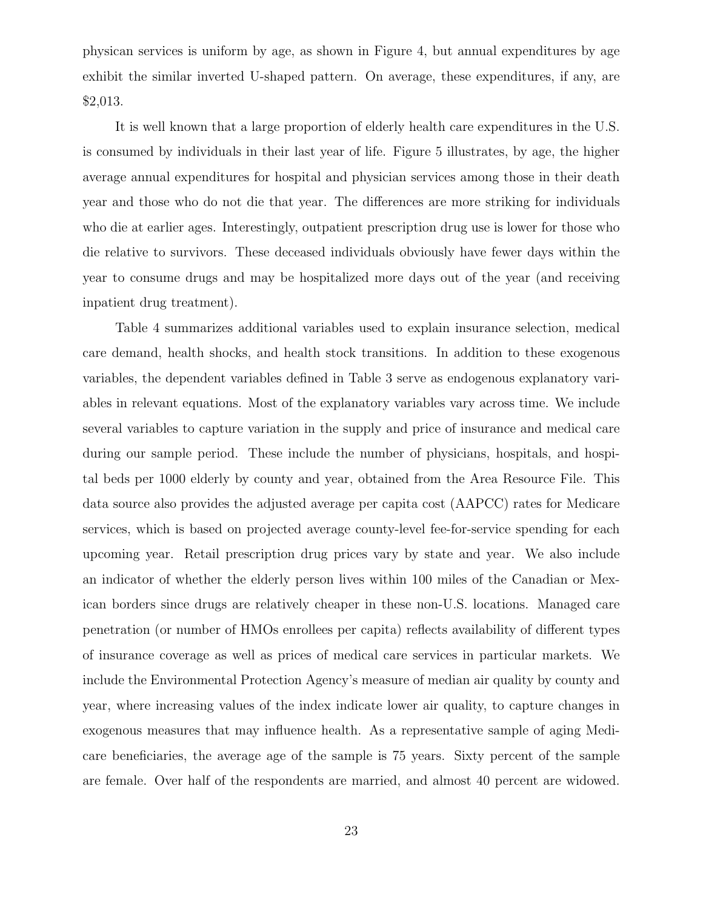physican services is uniform by age, as shown in Figure 4, but annual expenditures by age exhibit the similar inverted U-shaped pattern. On average, these expenditures, if any, are \$2,013.

It is well known that a large proportion of elderly health care expenditures in the U.S. is consumed by individuals in their last year of life. Figure 5 illustrates, by age, the higher average annual expenditures for hospital and physician services among those in their death year and those who do not die that year. The differences are more striking for individuals who die at earlier ages. Interestingly, outpatient prescription drug use is lower for those who die relative to survivors. These deceased individuals obviously have fewer days within the year to consume drugs and may be hospitalized more days out of the year (and receiving inpatient drug treatment).

Table 4 summarizes additional variables used to explain insurance selection, medical care demand, health shocks, and health stock transitions. In addition to these exogenous variables, the dependent variables defined in Table 3 serve as endogenous explanatory variables in relevant equations. Most of the explanatory variables vary across time. We include several variables to capture variation in the supply and price of insurance and medical care during our sample period. These include the number of physicians, hospitals, and hospital beds per 1000 elderly by county and year, obtained from the Area Resource File. This data source also provides the adjusted average per capita cost (AAPCC) rates for Medicare services, which is based on projected average county-level fee-for-service spending for each upcoming year. Retail prescription drug prices vary by state and year. We also include an indicator of whether the elderly person lives within 100 miles of the Canadian or Mexican borders since drugs are relatively cheaper in these non-U.S. locations. Managed care penetration (or number of HMOs enrollees per capita) reflects availability of different types of insurance coverage as well as prices of medical care services in particular markets. We include the Environmental Protection Agency's measure of median air quality by county and year, where increasing values of the index indicate lower air quality, to capture changes in exogenous measures that may influence health. As a representative sample of aging Medicare beneficiaries, the average age of the sample is 75 years. Sixty percent of the sample are female. Over half of the respondents are married, and almost 40 percent are widowed.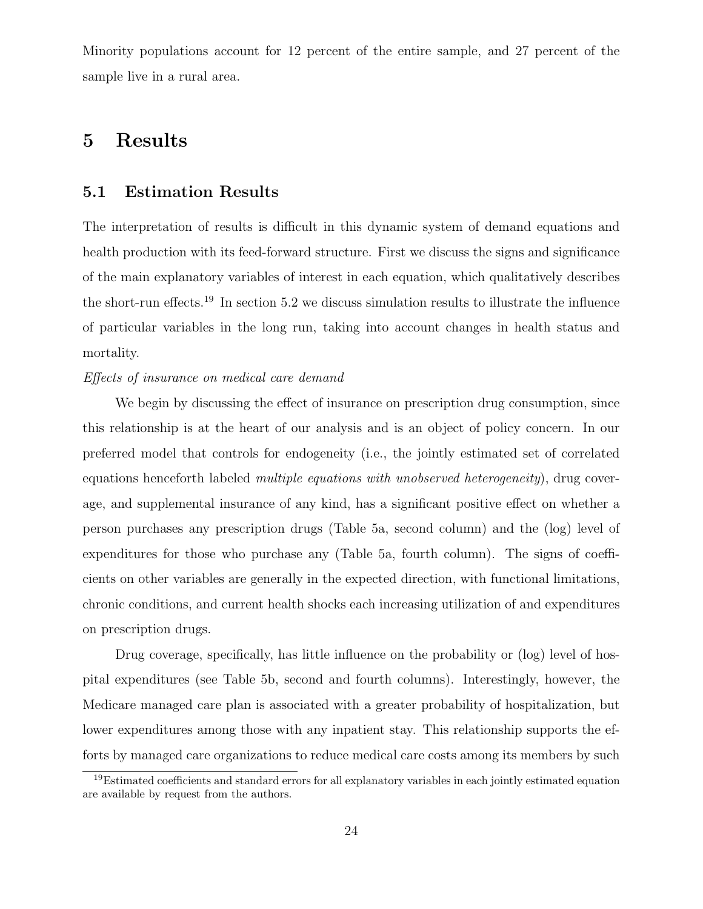Minority populations account for 12 percent of the entire sample, and 27 percent of the sample live in a rural area.

## 5 Results

#### 5.1 Estimation Results

The interpretation of results is difficult in this dynamic system of demand equations and health production with its feed-forward structure. First we discuss the signs and significance of the main explanatory variables of interest in each equation, which qualitatively describes the short-run effects.<sup>19</sup> In section 5.2 we discuss simulation results to illustrate the influence of particular variables in the long run, taking into account changes in health status and mortality.

#### Effects of insurance on medical care demand

We begin by discussing the effect of insurance on prescription drug consumption, since this relationship is at the heart of our analysis and is an object of policy concern. In our preferred model that controls for endogeneity (i.e., the jointly estimated set of correlated equations henceforth labeled *multiple equations with unobserved heterogeneity*), drug coverage, and supplemental insurance of any kind, has a significant positive effect on whether a person purchases any prescription drugs (Table 5a, second column) and the (log) level of expenditures for those who purchase any (Table 5a, fourth column). The signs of coefficients on other variables are generally in the expected direction, with functional limitations, chronic conditions, and current health shocks each increasing utilization of and expenditures on prescription drugs.

Drug coverage, specifically, has little influence on the probability or (log) level of hospital expenditures (see Table 5b, second and fourth columns). Interestingly, however, the Medicare managed care plan is associated with a greater probability of hospitalization, but lower expenditures among those with any inpatient stay. This relationship supports the efforts by managed care organizations to reduce medical care costs among its members by such

<sup>19</sup>Estimated coefficients and standard errors for all explanatory variables in each jointly estimated equation are available by request from the authors.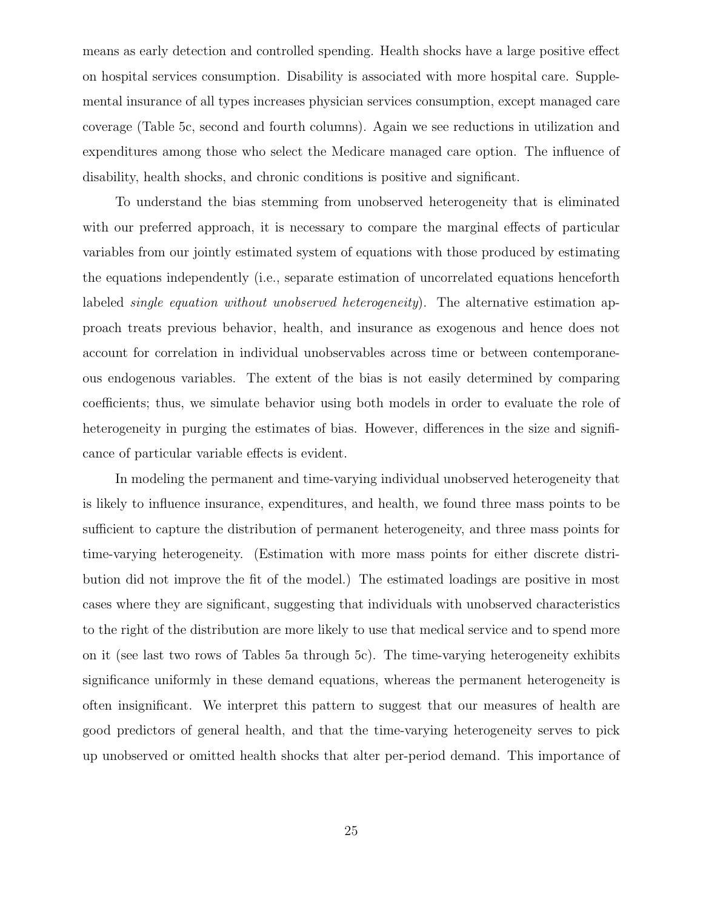means as early detection and controlled spending. Health shocks have a large positive effect on hospital services consumption. Disability is associated with more hospital care. Supplemental insurance of all types increases physician services consumption, except managed care coverage (Table 5c, second and fourth columns). Again we see reductions in utilization and expenditures among those who select the Medicare managed care option. The influence of disability, health shocks, and chronic conditions is positive and significant.

To understand the bias stemming from unobserved heterogeneity that is eliminated with our preferred approach, it is necessary to compare the marginal effects of particular variables from our jointly estimated system of equations with those produced by estimating the equations independently (i.e., separate estimation of uncorrelated equations henceforth labeled *single equation without unobserved heterogeneity*). The alternative estimation approach treats previous behavior, health, and insurance as exogenous and hence does not account for correlation in individual unobservables across time or between contemporaneous endogenous variables. The extent of the bias is not easily determined by comparing coefficients; thus, we simulate behavior using both models in order to evaluate the role of heterogeneity in purging the estimates of bias. However, differences in the size and significance of particular variable effects is evident.

In modeling the permanent and time-varying individual unobserved heterogeneity that is likely to influence insurance, expenditures, and health, we found three mass points to be sufficient to capture the distribution of permanent heterogeneity, and three mass points for time-varying heterogeneity. (Estimation with more mass points for either discrete distribution did not improve the fit of the model.) The estimated loadings are positive in most cases where they are significant, suggesting that individuals with unobserved characteristics to the right of the distribution are more likely to use that medical service and to spend more on it (see last two rows of Tables 5a through 5c). The time-varying heterogeneity exhibits significance uniformly in these demand equations, whereas the permanent heterogeneity is often insignificant. We interpret this pattern to suggest that our measures of health are good predictors of general health, and that the time-varying heterogeneity serves to pick up unobserved or omitted health shocks that alter per-period demand. This importance of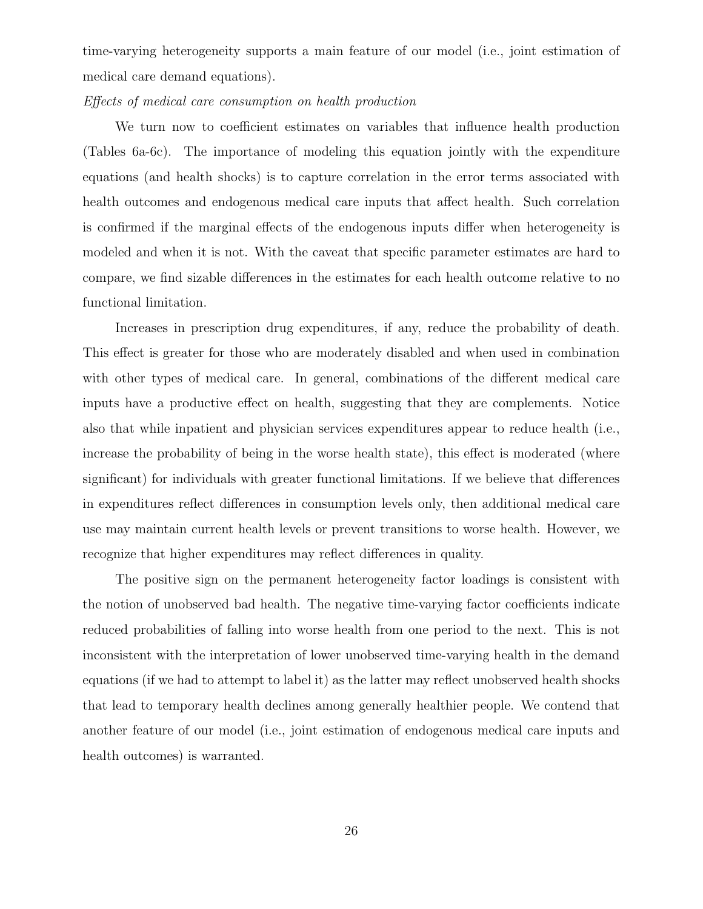time-varying heterogeneity supports a main feature of our model (i.e., joint estimation of medical care demand equations).

#### Effects of medical care consumption on health production

We turn now to coefficient estimates on variables that influence health production (Tables 6a-6c). The importance of modeling this equation jointly with the expenditure equations (and health shocks) is to capture correlation in the error terms associated with health outcomes and endogenous medical care inputs that affect health. Such correlation is confirmed if the marginal effects of the endogenous inputs differ when heterogeneity is modeled and when it is not. With the caveat that specific parameter estimates are hard to compare, we find sizable differences in the estimates for each health outcome relative to no functional limitation.

Increases in prescription drug expenditures, if any, reduce the probability of death. This effect is greater for those who are moderately disabled and when used in combination with other types of medical care. In general, combinations of the different medical care inputs have a productive effect on health, suggesting that they are complements. Notice also that while inpatient and physician services expenditures appear to reduce health (i.e., increase the probability of being in the worse health state), this effect is moderated (where significant) for individuals with greater functional limitations. If we believe that differences in expenditures reflect differences in consumption levels only, then additional medical care use may maintain current health levels or prevent transitions to worse health. However, we recognize that higher expenditures may reflect differences in quality.

The positive sign on the permanent heterogeneity factor loadings is consistent with the notion of unobserved bad health. The negative time-varying factor coefficients indicate reduced probabilities of falling into worse health from one period to the next. This is not inconsistent with the interpretation of lower unobserved time-varying health in the demand equations (if we had to attempt to label it) as the latter may reflect unobserved health shocks that lead to temporary health declines among generally healthier people. We contend that another feature of our model (i.e., joint estimation of endogenous medical care inputs and health outcomes) is warranted.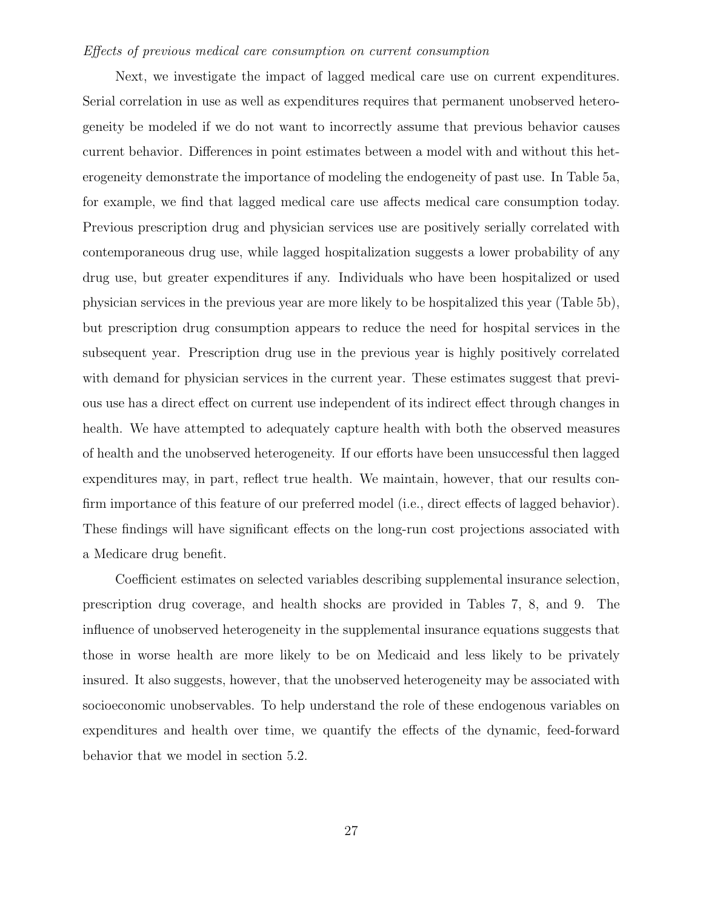#### Effects of previous medical care consumption on current consumption

Next, we investigate the impact of lagged medical care use on current expenditures. Serial correlation in use as well as expenditures requires that permanent unobserved heterogeneity be modeled if we do not want to incorrectly assume that previous behavior causes current behavior. Differences in point estimates between a model with and without this heterogeneity demonstrate the importance of modeling the endogeneity of past use. In Table 5a, for example, we find that lagged medical care use affects medical care consumption today. Previous prescription drug and physician services use are positively serially correlated with contemporaneous drug use, while lagged hospitalization suggests a lower probability of any drug use, but greater expenditures if any. Individuals who have been hospitalized or used physician services in the previous year are more likely to be hospitalized this year (Table 5b), but prescription drug consumption appears to reduce the need for hospital services in the subsequent year. Prescription drug use in the previous year is highly positively correlated with demand for physician services in the current year. These estimates suggest that previous use has a direct effect on current use independent of its indirect effect through changes in health. We have attempted to adequately capture health with both the observed measures of health and the unobserved heterogeneity. If our efforts have been unsuccessful then lagged expenditures may, in part, reflect true health. We maintain, however, that our results confirm importance of this feature of our preferred model (i.e., direct effects of lagged behavior). These findings will have significant effects on the long-run cost projections associated with a Medicare drug benefit.

Coefficient estimates on selected variables describing supplemental insurance selection, prescription drug coverage, and health shocks are provided in Tables 7, 8, and 9. The influence of unobserved heterogeneity in the supplemental insurance equations suggests that those in worse health are more likely to be on Medicaid and less likely to be privately insured. It also suggests, however, that the unobserved heterogeneity may be associated with socioeconomic unobservables. To help understand the role of these endogenous variables on expenditures and health over time, we quantify the effects of the dynamic, feed-forward behavior that we model in section 5.2.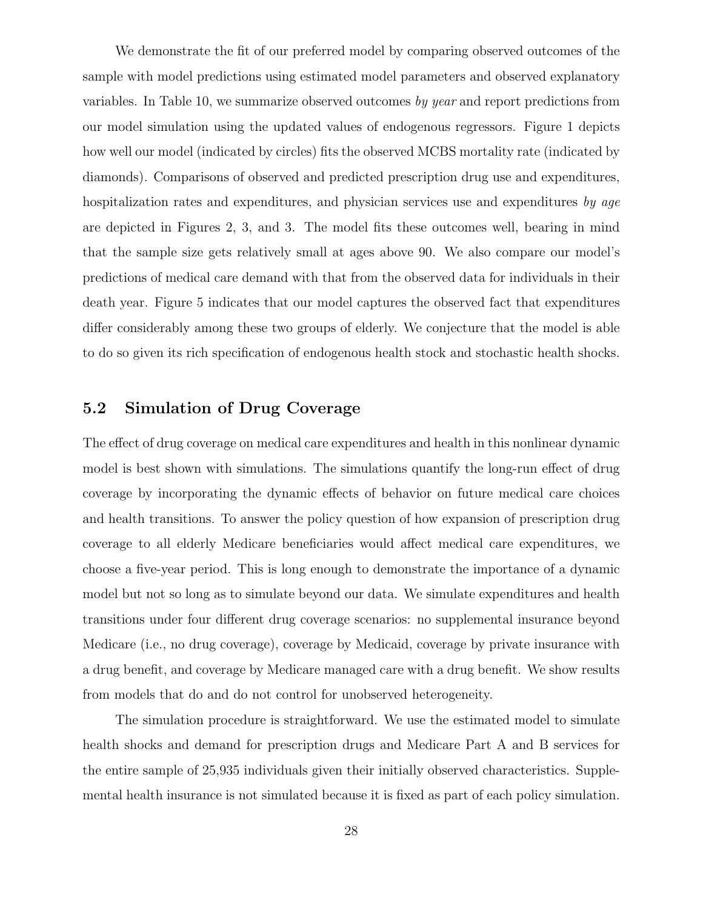We demonstrate the fit of our preferred model by comparing observed outcomes of the sample with model predictions using estimated model parameters and observed explanatory variables. In Table 10, we summarize observed outcomes by year and report predictions from our model simulation using the updated values of endogenous regressors. Figure 1 depicts how well our model (indicated by circles) fits the observed MCBS mortality rate (indicated by diamonds). Comparisons of observed and predicted prescription drug use and expenditures, hospitalization rates and expenditures, and physician services use and expenditures by age are depicted in Figures 2, 3, and 3. The model fits these outcomes well, bearing in mind that the sample size gets relatively small at ages above 90. We also compare our model's predictions of medical care demand with that from the observed data for individuals in their death year. Figure 5 indicates that our model captures the observed fact that expenditures differ considerably among these two groups of elderly. We conjecture that the model is able to do so given its rich specification of endogenous health stock and stochastic health shocks.

### 5.2 Simulation of Drug Coverage

The effect of drug coverage on medical care expenditures and health in this nonlinear dynamic model is best shown with simulations. The simulations quantify the long-run effect of drug coverage by incorporating the dynamic effects of behavior on future medical care choices and health transitions. To answer the policy question of how expansion of prescription drug coverage to all elderly Medicare beneficiaries would affect medical care expenditures, we choose a five-year period. This is long enough to demonstrate the importance of a dynamic model but not so long as to simulate beyond our data. We simulate expenditures and health transitions under four different drug coverage scenarios: no supplemental insurance beyond Medicare (i.e., no drug coverage), coverage by Medicaid, coverage by private insurance with a drug benefit, and coverage by Medicare managed care with a drug benefit. We show results from models that do and do not control for unobserved heterogeneity.

The simulation procedure is straightforward. We use the estimated model to simulate health shocks and demand for prescription drugs and Medicare Part A and B services for the entire sample of 25,935 individuals given their initially observed characteristics. Supplemental health insurance is not simulated because it is fixed as part of each policy simulation.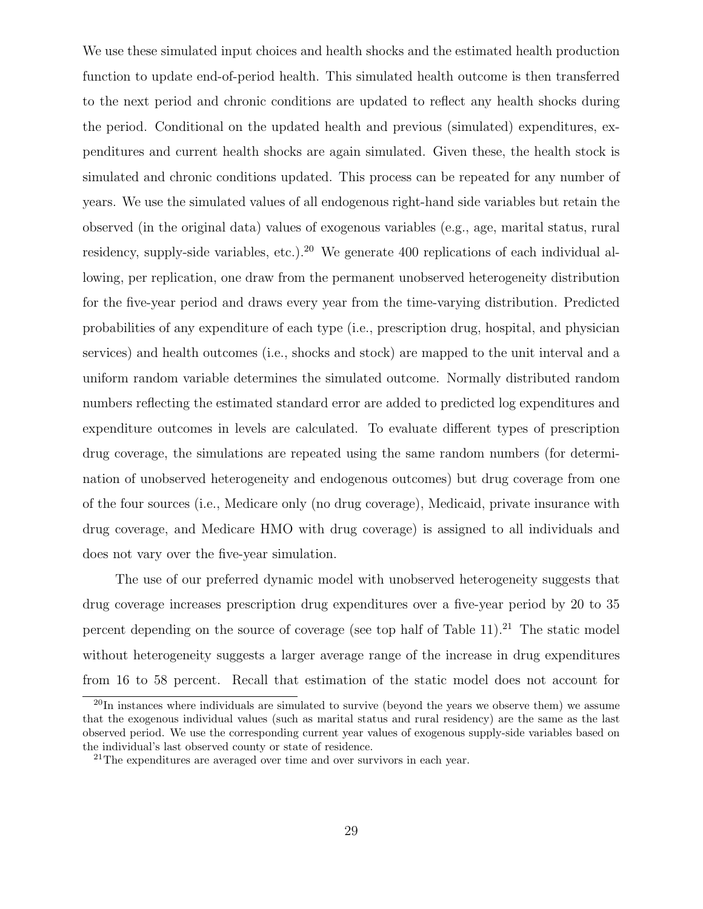We use these simulated input choices and health shocks and the estimated health production function to update end-of-period health. This simulated health outcome is then transferred to the next period and chronic conditions are updated to reflect any health shocks during the period. Conditional on the updated health and previous (simulated) expenditures, expenditures and current health shocks are again simulated. Given these, the health stock is simulated and chronic conditions updated. This process can be repeated for any number of years. We use the simulated values of all endogenous right-hand side variables but retain the observed (in the original data) values of exogenous variables (e.g., age, marital status, rural residency, supply-side variables, etc.).<sup>20</sup> We generate 400 replications of each individual allowing, per replication, one draw from the permanent unobserved heterogeneity distribution for the five-year period and draws every year from the time-varying distribution. Predicted probabilities of any expenditure of each type (i.e., prescription drug, hospital, and physician services) and health outcomes (i.e., shocks and stock) are mapped to the unit interval and a uniform random variable determines the simulated outcome. Normally distributed random numbers reflecting the estimated standard error are added to predicted log expenditures and expenditure outcomes in levels are calculated. To evaluate different types of prescription drug coverage, the simulations are repeated using the same random numbers (for determination of unobserved heterogeneity and endogenous outcomes) but drug coverage from one of the four sources (i.e., Medicare only (no drug coverage), Medicaid, private insurance with drug coverage, and Medicare HMO with drug coverage) is assigned to all individuals and does not vary over the five-year simulation.

The use of our preferred dynamic model with unobserved heterogeneity suggests that drug coverage increases prescription drug expenditures over a five-year period by 20 to 35 percent depending on the source of coverage (see top half of Table 11).<sup>21</sup> The static model without heterogeneity suggests a larger average range of the increase in drug expenditures from 16 to 58 percent. Recall that estimation of the static model does not account for

<sup>&</sup>lt;sup>20</sup>In instances where individuals are simulated to survive (beyond the years we observe them) we assume that the exogenous individual values (such as marital status and rural residency) are the same as the last observed period. We use the corresponding current year values of exogenous supply-side variables based on the individual's last observed county or state of residence.

 $21$ The expenditures are averaged over time and over survivors in each year.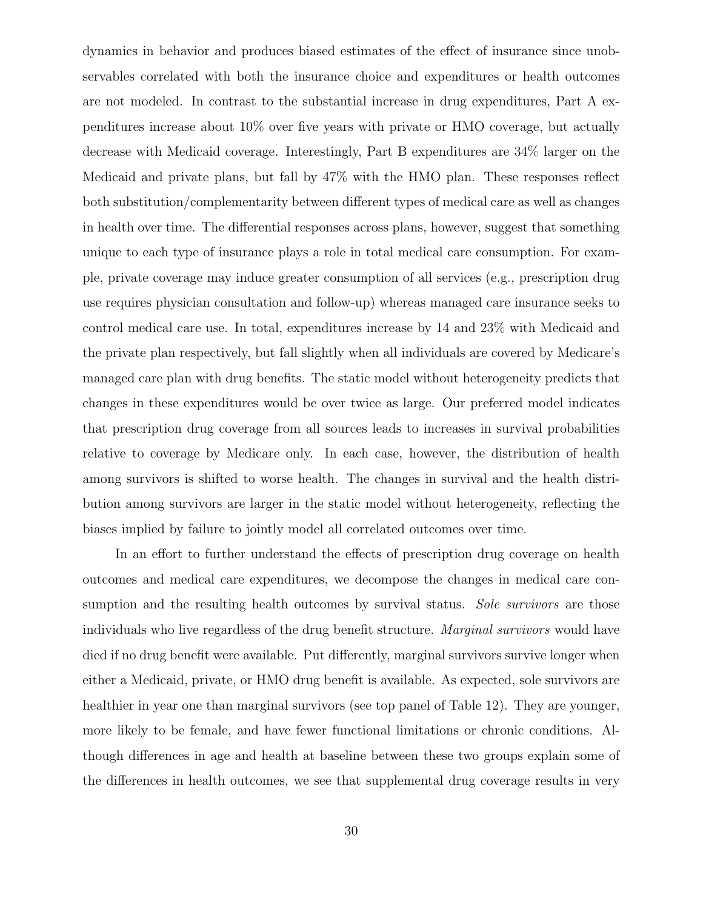dynamics in behavior and produces biased estimates of the effect of insurance since unobservables correlated with both the insurance choice and expenditures or health outcomes are not modeled. In contrast to the substantial increase in drug expenditures, Part A expenditures increase about 10% over five years with private or HMO coverage, but actually decrease with Medicaid coverage. Interestingly, Part B expenditures are 34% larger on the Medicaid and private plans, but fall by 47% with the HMO plan. These responses reflect both substitution/complementarity between different types of medical care as well as changes in health over time. The differential responses across plans, however, suggest that something unique to each type of insurance plays a role in total medical care consumption. For example, private coverage may induce greater consumption of all services (e.g., prescription drug use requires physician consultation and follow-up) whereas managed care insurance seeks to control medical care use. In total, expenditures increase by 14 and 23% with Medicaid and the private plan respectively, but fall slightly when all individuals are covered by Medicare's managed care plan with drug benefits. The static model without heterogeneity predicts that changes in these expenditures would be over twice as large. Our preferred model indicates that prescription drug coverage from all sources leads to increases in survival probabilities relative to coverage by Medicare only. In each case, however, the distribution of health among survivors is shifted to worse health. The changes in survival and the health distribution among survivors are larger in the static model without heterogeneity, reflecting the biases implied by failure to jointly model all correlated outcomes over time.

In an effort to further understand the effects of prescription drug coverage on health outcomes and medical care expenditures, we decompose the changes in medical care consumption and the resulting health outcomes by survival status. Sole survivors are those individuals who live regardless of the drug benefit structure. Marginal survivors would have died if no drug benefit were available. Put differently, marginal survivors survive longer when either a Medicaid, private, or HMO drug benefit is available. As expected, sole survivors are healthier in year one than marginal survivors (see top panel of Table 12). They are younger, more likely to be female, and have fewer functional limitations or chronic conditions. Although differences in age and health at baseline between these two groups explain some of the differences in health outcomes, we see that supplemental drug coverage results in very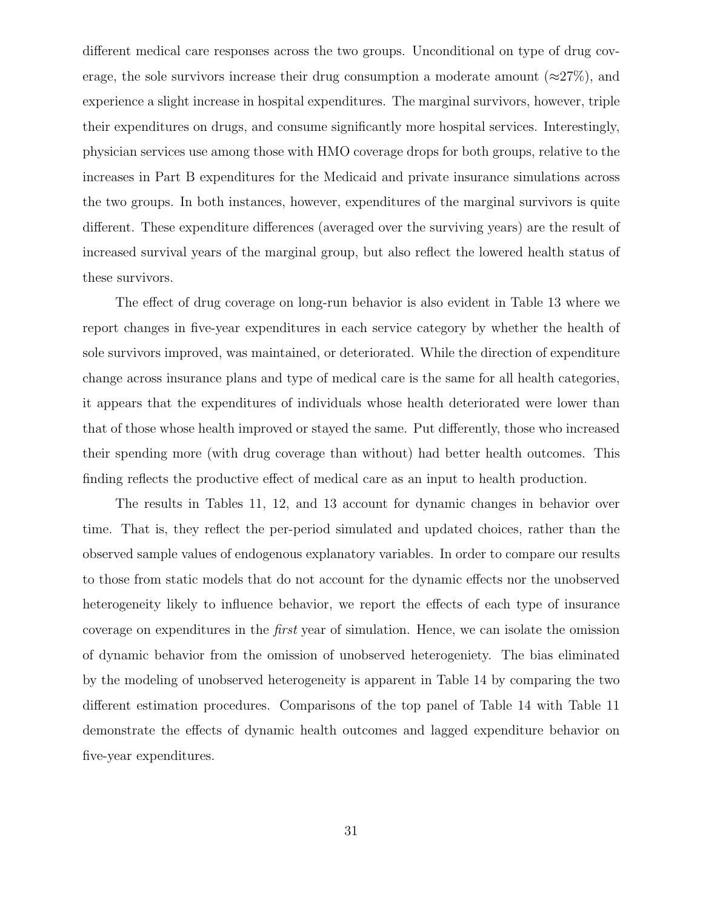different medical care responses across the two groups. Unconditional on type of drug coverage, the sole survivors increase their drug consumption a moderate amount ( $\approx 27\%$ ), and experience a slight increase in hospital expenditures. The marginal survivors, however, triple their expenditures on drugs, and consume significantly more hospital services. Interestingly, physician services use among those with HMO coverage drops for both groups, relative to the increases in Part B expenditures for the Medicaid and private insurance simulations across the two groups. In both instances, however, expenditures of the marginal survivors is quite different. These expenditure differences (averaged over the surviving years) are the result of increased survival years of the marginal group, but also reflect the lowered health status of these survivors.

The effect of drug coverage on long-run behavior is also evident in Table 13 where we report changes in five-year expenditures in each service category by whether the health of sole survivors improved, was maintained, or deteriorated. While the direction of expenditure change across insurance plans and type of medical care is the same for all health categories, it appears that the expenditures of individuals whose health deteriorated were lower than that of those whose health improved or stayed the same. Put differently, those who increased their spending more (with drug coverage than without) had better health outcomes. This finding reflects the productive effect of medical care as an input to health production.

The results in Tables 11, 12, and 13 account for dynamic changes in behavior over time. That is, they reflect the per-period simulated and updated choices, rather than the observed sample values of endogenous explanatory variables. In order to compare our results to those from static models that do not account for the dynamic effects nor the unobserved heterogeneity likely to influence behavior, we report the effects of each type of insurance coverage on expenditures in the first year of simulation. Hence, we can isolate the omission of dynamic behavior from the omission of unobserved heterogeniety. The bias eliminated by the modeling of unobserved heterogeneity is apparent in Table 14 by comparing the two different estimation procedures. Comparisons of the top panel of Table 14 with Table 11 demonstrate the effects of dynamic health outcomes and lagged expenditure behavior on five-year expenditures.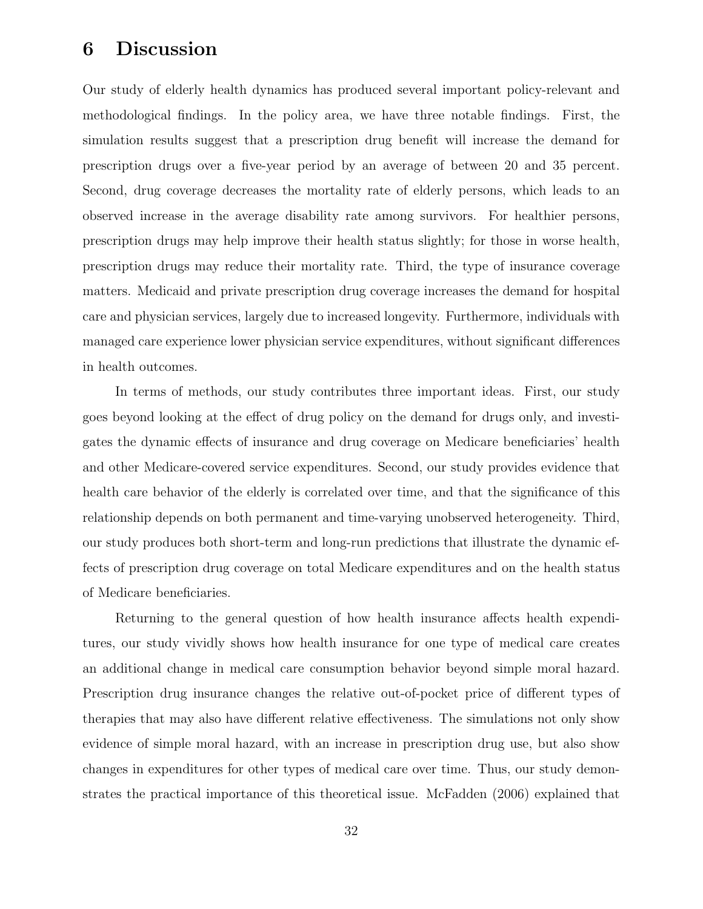## 6 Discussion

Our study of elderly health dynamics has produced several important policy-relevant and methodological findings. In the policy area, we have three notable findings. First, the simulation results suggest that a prescription drug benefit will increase the demand for prescription drugs over a five-year period by an average of between 20 and 35 percent. Second, drug coverage decreases the mortality rate of elderly persons, which leads to an observed increase in the average disability rate among survivors. For healthier persons, prescription drugs may help improve their health status slightly; for those in worse health, prescription drugs may reduce their mortality rate. Third, the type of insurance coverage matters. Medicaid and private prescription drug coverage increases the demand for hospital care and physician services, largely due to increased longevity. Furthermore, individuals with managed care experience lower physician service expenditures, without significant differences in health outcomes.

In terms of methods, our study contributes three important ideas. First, our study goes beyond looking at the effect of drug policy on the demand for drugs only, and investigates the dynamic effects of insurance and drug coverage on Medicare beneficiaries' health and other Medicare-covered service expenditures. Second, our study provides evidence that health care behavior of the elderly is correlated over time, and that the significance of this relationship depends on both permanent and time-varying unobserved heterogeneity. Third, our study produces both short-term and long-run predictions that illustrate the dynamic effects of prescription drug coverage on total Medicare expenditures and on the health status of Medicare beneficiaries.

Returning to the general question of how health insurance affects health expenditures, our study vividly shows how health insurance for one type of medical care creates an additional change in medical care consumption behavior beyond simple moral hazard. Prescription drug insurance changes the relative out-of-pocket price of different types of therapies that may also have different relative effectiveness. The simulations not only show evidence of simple moral hazard, with an increase in prescription drug use, but also show changes in expenditures for other types of medical care over time. Thus, our study demonstrates the practical importance of this theoretical issue. McFadden (2006) explained that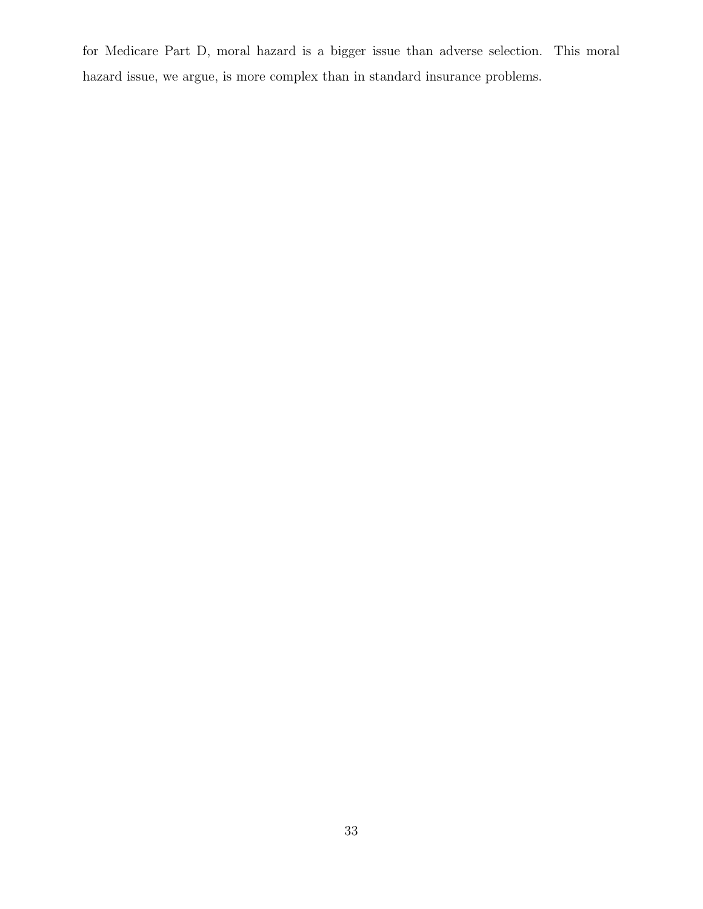for Medicare Part D, moral hazard is a bigger issue than adverse selection. This moral hazard issue, we argue, is more complex than in standard insurance problems.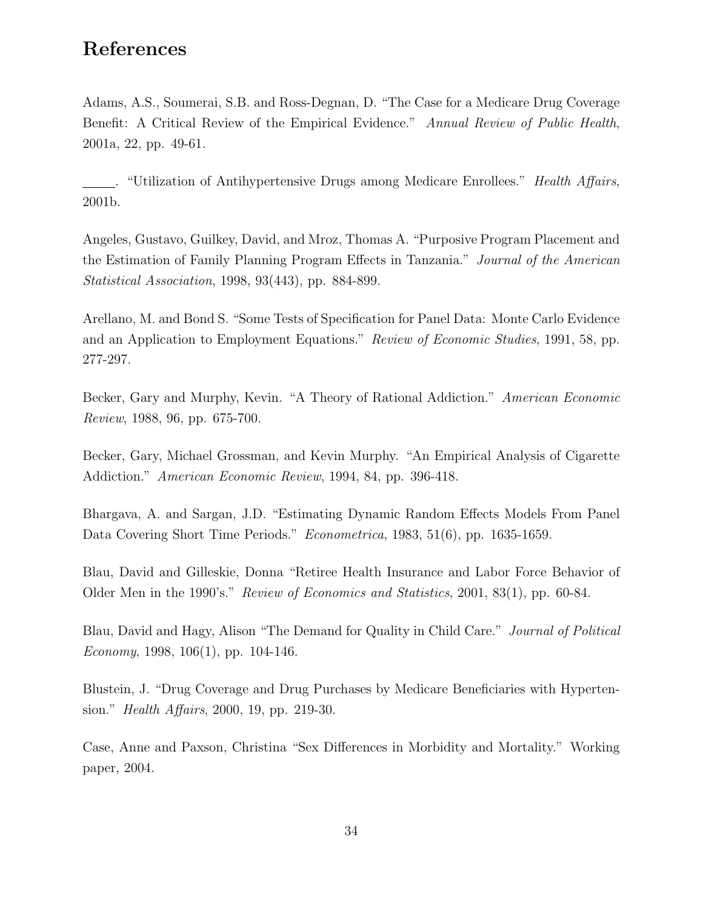## References

Adams, A.S., Soumerai, S.B. and Ross-Degnan, D. "The Case for a Medicare Drug Coverage Benefit: A Critical Review of the Empirical Evidence." Annual Review of Public Health, 2001a, 22, pp. 49-61.

. "Utilization of Antihypertensive Drugs among Medicare Enrollees." Health Affairs, 2001b.

Angeles, Gustavo, Guilkey, David, and Mroz, Thomas A. "Purposive Program Placement and the Estimation of Family Planning Program Effects in Tanzania." Journal of the American Statistical Association, 1998, 93(443), pp. 884-899.

Arellano, M. and Bond S. "Some Tests of Specification for Panel Data: Monte Carlo Evidence and an Application to Employment Equations." Review of Economic Studies, 1991, 58, pp. 277-297.

Becker, Gary and Murphy, Kevin. "A Theory of Rational Addiction." American Economic Review, 1988, 96, pp. 675-700.

Becker, Gary, Michael Grossman, and Kevin Murphy. "An Empirical Analysis of Cigarette Addiction." American Economic Review, 1994, 84, pp. 396-418.

Bhargava, A. and Sargan, J.D. "Estimating Dynamic Random Effects Models From Panel Data Covering Short Time Periods." Econometrica, 1983, 51(6), pp. 1635-1659.

Blau, David and Gilleskie, Donna "Retiree Health Insurance and Labor Force Behavior of Older Men in the 1990's." Review of Economics and Statistics, 2001, 83(1), pp. 60-84.

Blau, David and Hagy, Alison "The Demand for Quality in Child Care." Journal of Political Economy, 1998,  $106(1)$ , pp. 104-146.

Blustein, J. "Drug Coverage and Drug Purchases by Medicare Beneficiaries with Hypertension." Health Affairs, 2000, 19, pp. 219-30.

Case, Anne and Paxson, Christina "Sex Differences in Morbidity and Mortality." Working paper, 2004.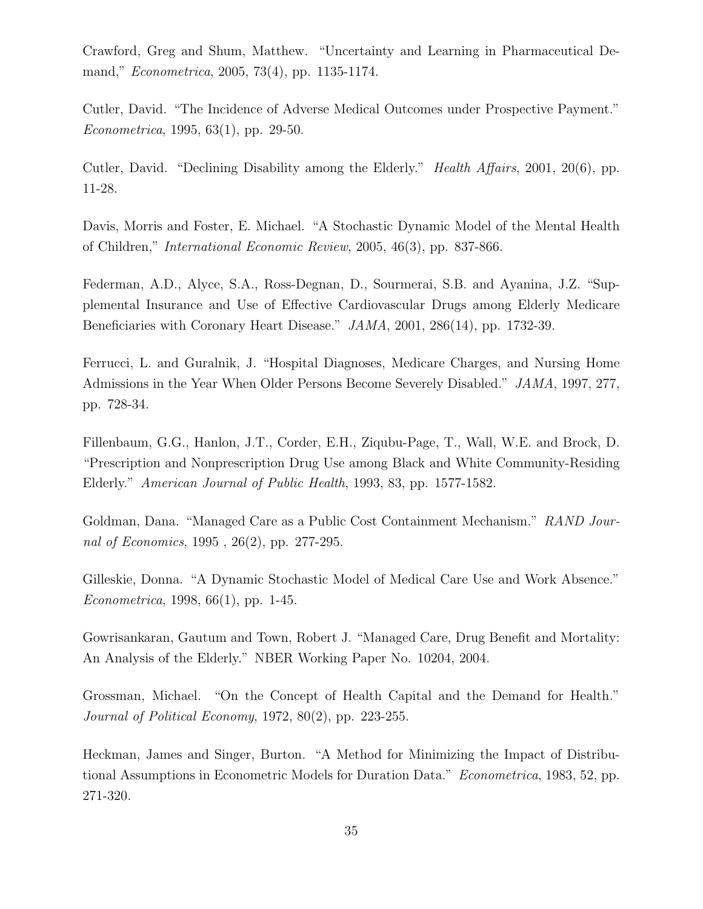Crawford, Greg and Shum, Matthew. "Uncertainty and Learning in Pharmaceutical Demand," Econometrica, 2005, 73(4), pp. 1135-1174.

Cutler, David. "The Incidence of Adverse Medical Outcomes under Prospective Payment." Econometrica, 1995, 63(1), pp. 29-50.

Cutler, David. "Declining Disability among the Elderly." Health Affairs, 2001, 20(6), pp. 11-28.

Davis, Morris and Foster, E. Michael. "A Stochastic Dynamic Model of the Mental Health of Children," International Economic Review, 2005, 46(3), pp. 837-866.

Federman, A.D., Alyce, S.A., Ross-Degnan, D., Sourmerai, S.B. and Ayanina, J.Z. "Supplemental Insurance and Use of Effective Cardiovascular Drugs among Elderly Medicare Beneficiaries with Coronary Heart Disease." JAMA, 2001, 286(14), pp. 1732-39.

Ferrucci, L. and Guralnik, J. "Hospital Diagnoses, Medicare Charges, and Nursing Home Admissions in the Year When Older Persons Become Severely Disabled." JAMA, 1997, 277, pp. 728-34.

Fillenbaum, G.G., Hanlon, J.T., Corder, E.H., Ziqubu-Page, T., Wall, W.E. and Brock, D. "Prescription and Nonprescription Drug Use among Black and White Community-Residing Elderly." American Journal of Public Health, 1993, 83, pp. 1577-1582.

Goldman, Dana. "Managed Care as a Public Cost Containment Mechanism." RAND Journal of Economics, 1995 , 26(2), pp. 277-295.

Gilleskie, Donna. "A Dynamic Stochastic Model of Medical Care Use and Work Absence." Econometrica, 1998, 66(1), pp. 1-45.

Gowrisankaran, Gautum and Town, Robert J. "Managed Care, Drug Benefit and Mortality: An Analysis of the Elderly." NBER Working Paper No. 10204, 2004.

Grossman, Michael. "On the Concept of Health Capital and the Demand for Health." Journal of Political Economy, 1972, 80(2), pp. 223-255.

Heckman, James and Singer, Burton. "A Method for Minimizing the Impact of Distributional Assumptions in Econometric Models for Duration Data." Econometrica, 1983, 52, pp. 271-320.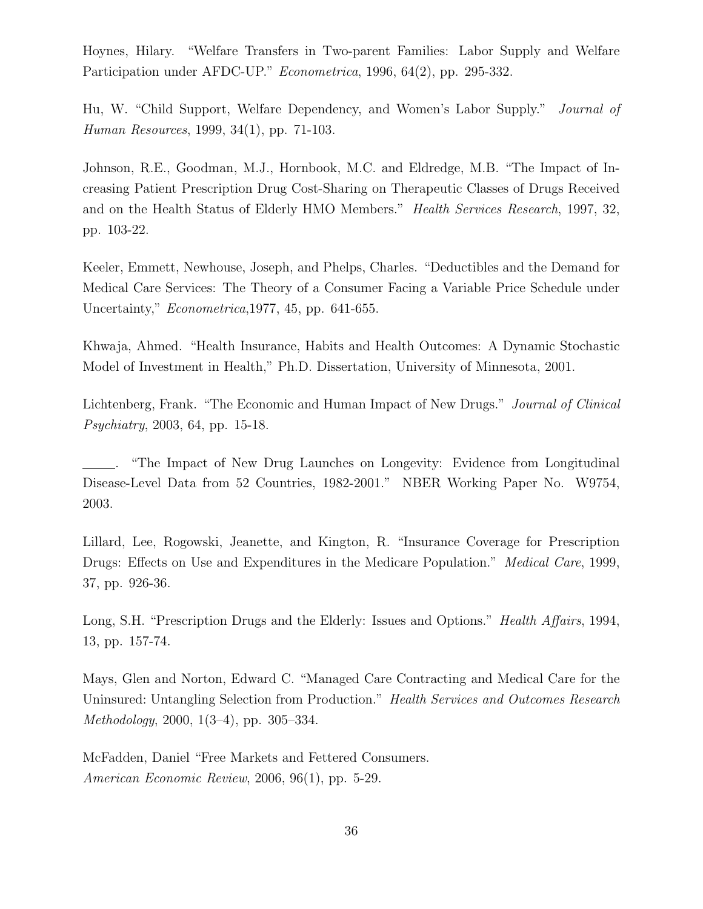Hoynes, Hilary. "Welfare Transfers in Two-parent Families: Labor Supply and Welfare Participation under AFDC-UP." *Econometrica*, 1996, 64(2), pp. 295-332.

Hu, W. "Child Support, Welfare Dependency, and Women's Labor Supply." Journal of Human Resources, 1999, 34(1), pp. 71-103.

Johnson, R.E., Goodman, M.J., Hornbook, M.C. and Eldredge, M.B. "The Impact of Increasing Patient Prescription Drug Cost-Sharing on Therapeutic Classes of Drugs Received and on the Health Status of Elderly HMO Members." Health Services Research, 1997, 32, pp. 103-22.

Keeler, Emmett, Newhouse, Joseph, and Phelps, Charles. "Deductibles and the Demand for Medical Care Services: The Theory of a Consumer Facing a Variable Price Schedule under Uncertainty," Econometrica,1977, 45, pp. 641-655.

Khwaja, Ahmed. "Health Insurance, Habits and Health Outcomes: A Dynamic Stochastic Model of Investment in Health," Ph.D. Dissertation, University of Minnesota, 2001.

Lichtenberg, Frank. "The Economic and Human Impact of New Drugs." *Journal of Clinical* Psychiatry, 2003, 64, pp. 15-18.

. "The Impact of New Drug Launches on Longevity: Evidence from Longitudinal Disease-Level Data from 52 Countries, 1982-2001." NBER Working Paper No. W9754, 2003.

Lillard, Lee, Rogowski, Jeanette, and Kington, R. "Insurance Coverage for Prescription Drugs: Effects on Use and Expenditures in the Medicare Population." *Medical Care*, 1999, 37, pp. 926-36.

Long, S.H. "Prescription Drugs and the Elderly: Issues and Options." *Health Affairs*, 1994, 13, pp. 157-74.

Mays, Glen and Norton, Edward C. "Managed Care Contracting and Medical Care for the Uninsured: Untangling Selection from Production." Health Services and Outcomes Research Methodology, 2000, 1(3–4), pp. 305–334.

McFadden, Daniel "Free Markets and Fettered Consumers. American Economic Review, 2006, 96(1), pp. 5-29.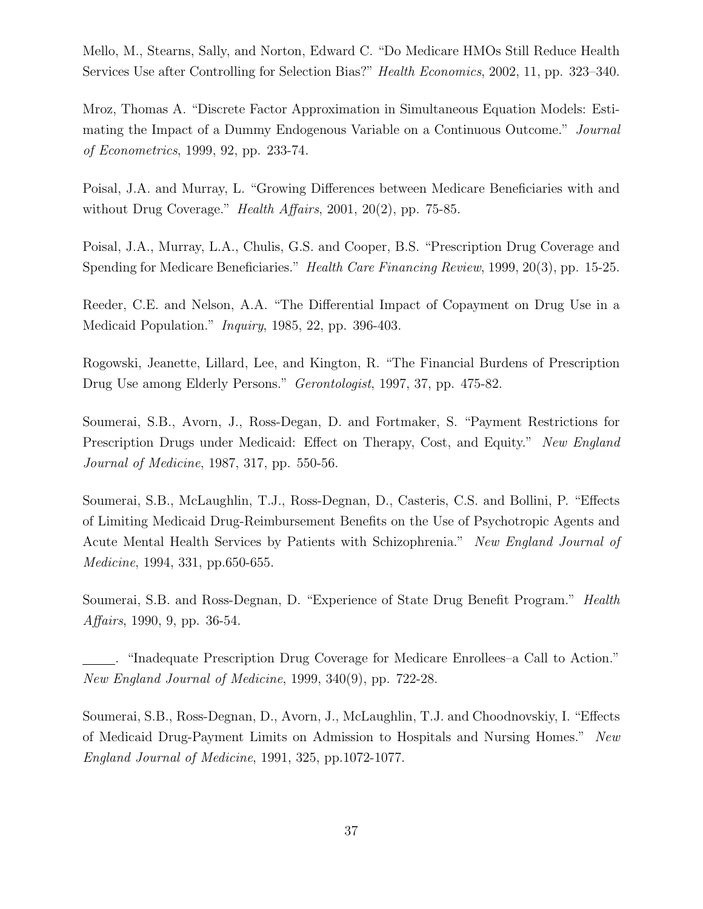Mello, M., Stearns, Sally, and Norton, Edward C. "Do Medicare HMOs Still Reduce Health Services Use after Controlling for Selection Bias?" Health Economics, 2002, 11, pp. 323–340.

Mroz, Thomas A. "Discrete Factor Approximation in Simultaneous Equation Models: Estimating the Impact of a Dummy Endogenous Variable on a Continuous Outcome." Journal of Econometrics, 1999, 92, pp. 233-74.

Poisal, J.A. and Murray, L. "Growing Differences between Medicare Beneficiaries with and without Drug Coverage." *Health Affairs*, 2001, 20(2), pp. 75-85.

Poisal, J.A., Murray, L.A., Chulis, G.S. and Cooper, B.S. "Prescription Drug Coverage and Spending for Medicare Beneficiaries." *Health Care Financing Review*, 1999, 20(3), pp. 15-25.

Reeder, C.E. and Nelson, A.A. "The Differential Impact of Copayment on Drug Use in a Medicaid Population." Inquiry, 1985, 22, pp. 396-403.

Rogowski, Jeanette, Lillard, Lee, and Kington, R. "The Financial Burdens of Prescription Drug Use among Elderly Persons." Gerontologist, 1997, 37, pp. 475-82.

Soumerai, S.B., Avorn, J., Ross-Degan, D. and Fortmaker, S. "Payment Restrictions for Prescription Drugs under Medicaid: Effect on Therapy, Cost, and Equity." New England Journal of Medicine, 1987, 317, pp. 550-56.

Soumerai, S.B., McLaughlin, T.J., Ross-Degnan, D., Casteris, C.S. and Bollini, P. "Effects of Limiting Medicaid Drug-Reimbursement Benefits on the Use of Psychotropic Agents and Acute Mental Health Services by Patients with Schizophrenia." New England Journal of Medicine, 1994, 331, pp.650-655.

Soumerai, S.B. and Ross-Degnan, D. "Experience of State Drug Benefit Program." Health Affairs, 1990, 9, pp. 36-54.

. "Inadequate Prescription Drug Coverage for Medicare Enrollees–a Call to Action." New England Journal of Medicine, 1999, 340(9), pp. 722-28.

Soumerai, S.B., Ross-Degnan, D., Avorn, J., McLaughlin, T.J. and Choodnovskiy, I. "Effects of Medicaid Drug-Payment Limits on Admission to Hospitals and Nursing Homes." New England Journal of Medicine, 1991, 325, pp.1072-1077.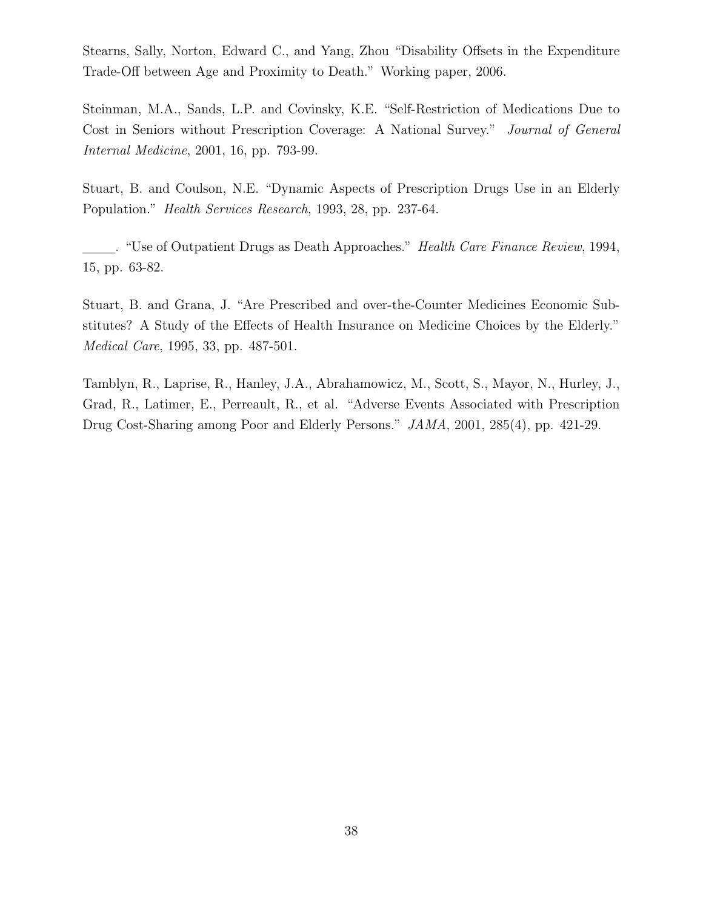Stearns, Sally, Norton, Edward C., and Yang, Zhou "Disability Offsets in the Expenditure Trade-Off between Age and Proximity to Death." Working paper, 2006.

Steinman, M.A., Sands, L.P. and Covinsky, K.E. "Self-Restriction of Medications Due to Cost in Seniors without Prescription Coverage: A National Survey." Journal of General Internal Medicine, 2001, 16, pp. 793-99.

Stuart, B. and Coulson, N.E. "Dynamic Aspects of Prescription Drugs Use in an Elderly Population." Health Services Research, 1993, 28, pp. 237-64.

. "Use of Outpatient Drugs as Death Approaches." Health Care Finance Review, 1994, 15, pp. 63-82.

Stuart, B. and Grana, J. "Are Prescribed and over-the-Counter Medicines Economic Substitutes? A Study of the Effects of Health Insurance on Medicine Choices by the Elderly." Medical Care, 1995, 33, pp. 487-501.

Tamblyn, R., Laprise, R., Hanley, J.A., Abrahamowicz, M., Scott, S., Mayor, N., Hurley, J., Grad, R., Latimer, E., Perreault, R., et al. "Adverse Events Associated with Prescription Drug Cost-Sharing among Poor and Elderly Persons." JAMA, 2001, 285(4), pp. 421-29.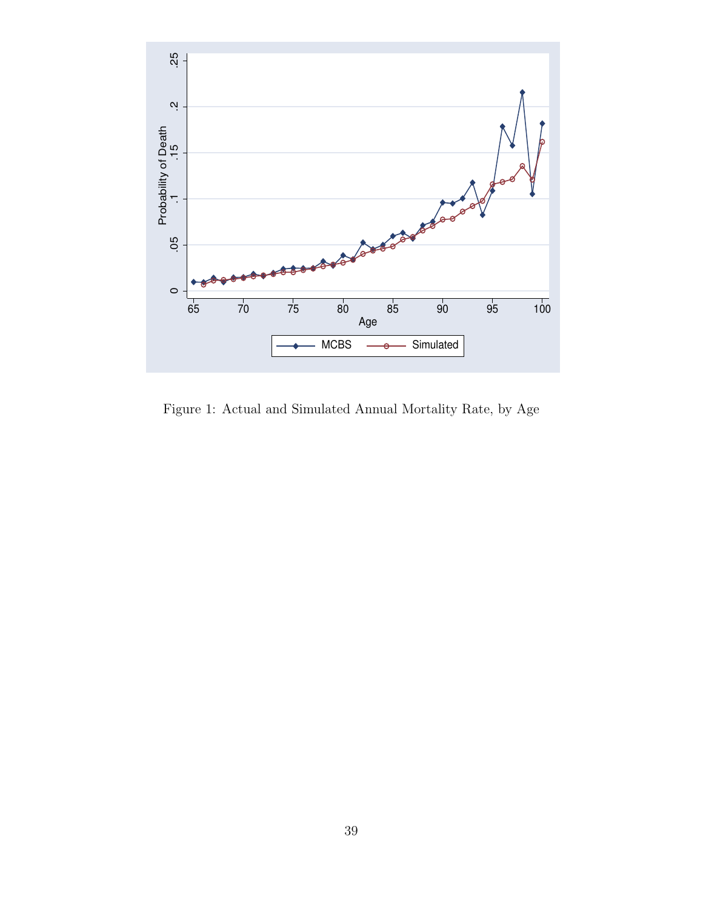

Figure 1: Actual and Simulated Annual Mortality Rate, by Age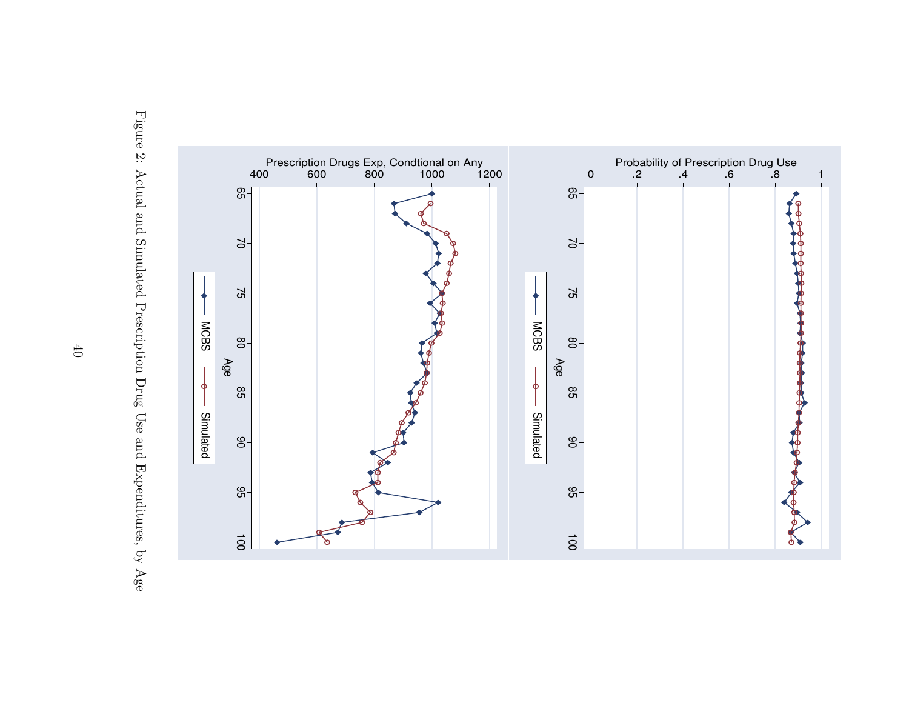

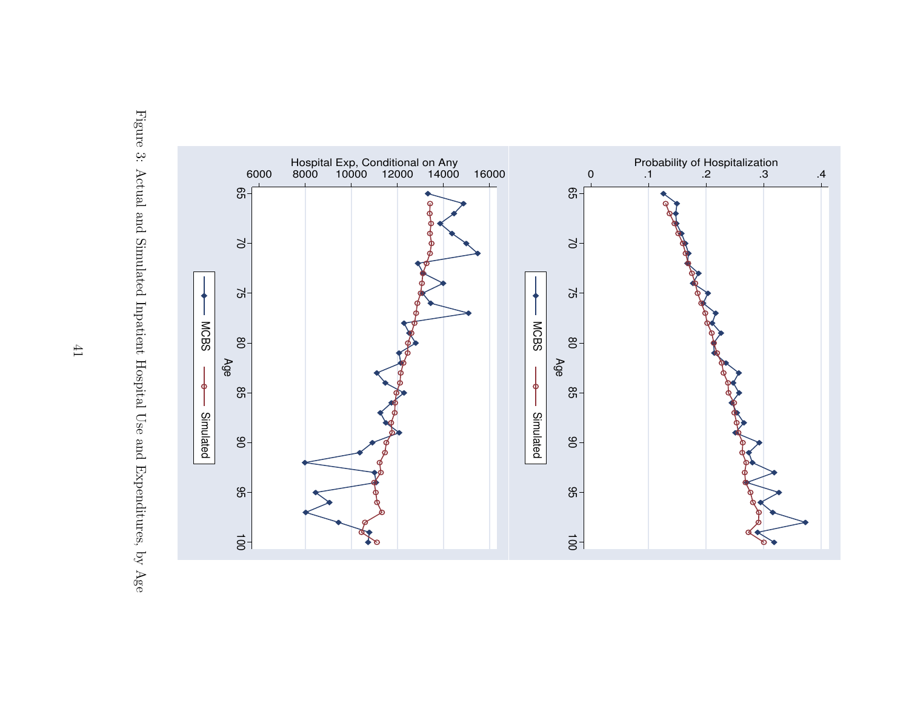

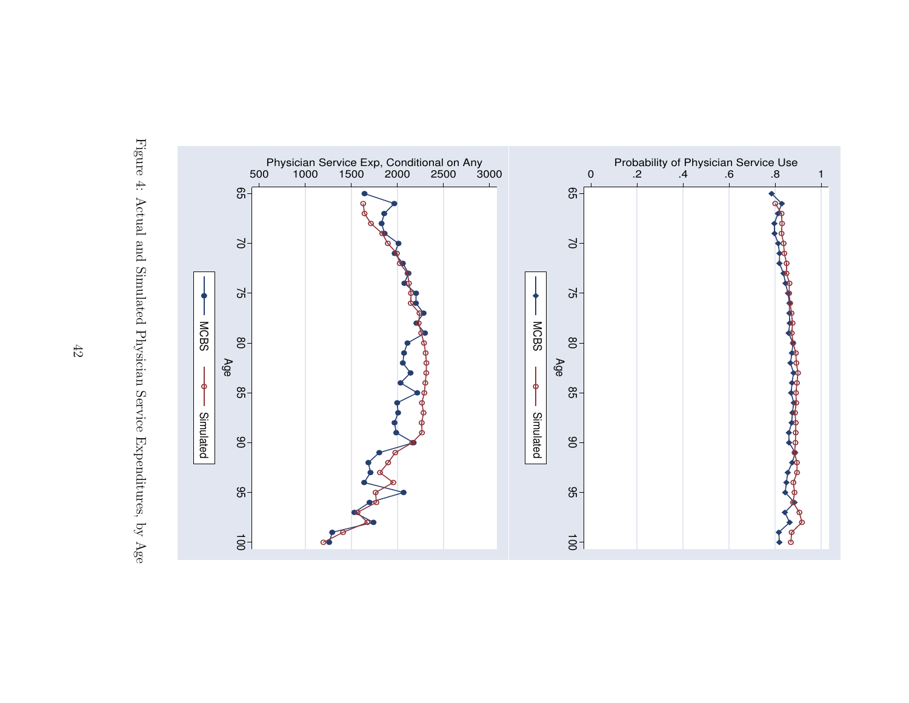

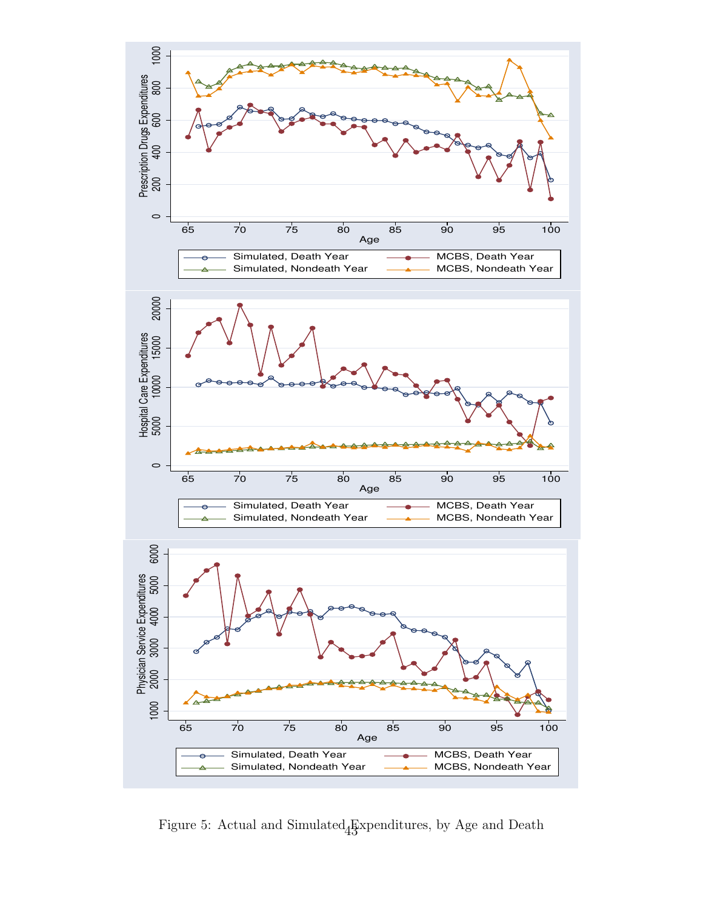

Figure 5: Actual and Simulated  $\frac{E}{43}$  spenditures, by Age and Death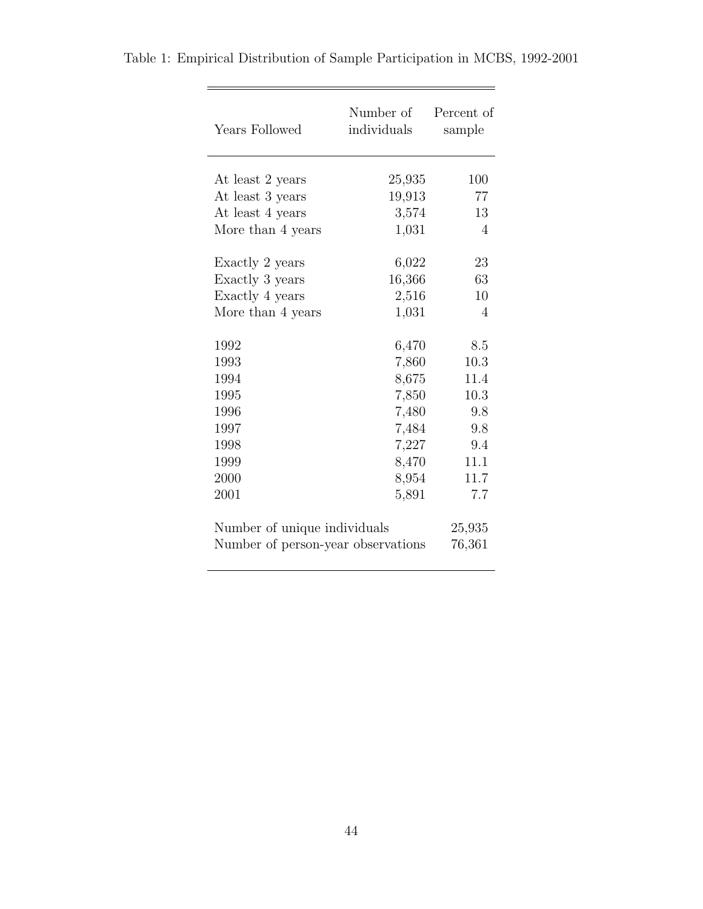| Years Followed                     | Number of<br>individuals | Percent of<br>sample |
|------------------------------------|--------------------------|----------------------|
| At least 2 years                   | 25,935                   | 100                  |
| At least 3 years                   | 19,913                   | 77                   |
| At least 4 years                   | 3,574                    | 13                   |
| More than 4 years                  | 1,031                    | $\Delta$             |
| Exactly 2 years                    | 6,022                    | 23                   |
| Exactly 3 years                    | 16,366                   | 63                   |
| Exactly 4 years                    | 2,516                    | 10                   |
| More than 4 years                  | 1,031                    | 4                    |
| 1992                               | 6,470                    | 8.5                  |
| 1993                               | 7,860                    | 10.3                 |
| 1994                               | 8,675                    | 11.4                 |
| 1995                               | 7,850                    | 10.3                 |
| 1996                               | 7,480                    | 9.8                  |
| 1997                               | 7,484                    | 9.8                  |
| 1998                               | 7,227                    | 9.4                  |
| 1999                               | 8,470                    | 11.1                 |
| 2000                               | 8,954                    | 11.7                 |
| 2001                               | 5,891                    | 7.7                  |
| Number of unique individuals       |                          | 25,935               |
| Number of person-year observations |                          | 76,361               |

Table 1: Empirical Distribution of Sample Participation in MCBS, 1992-2001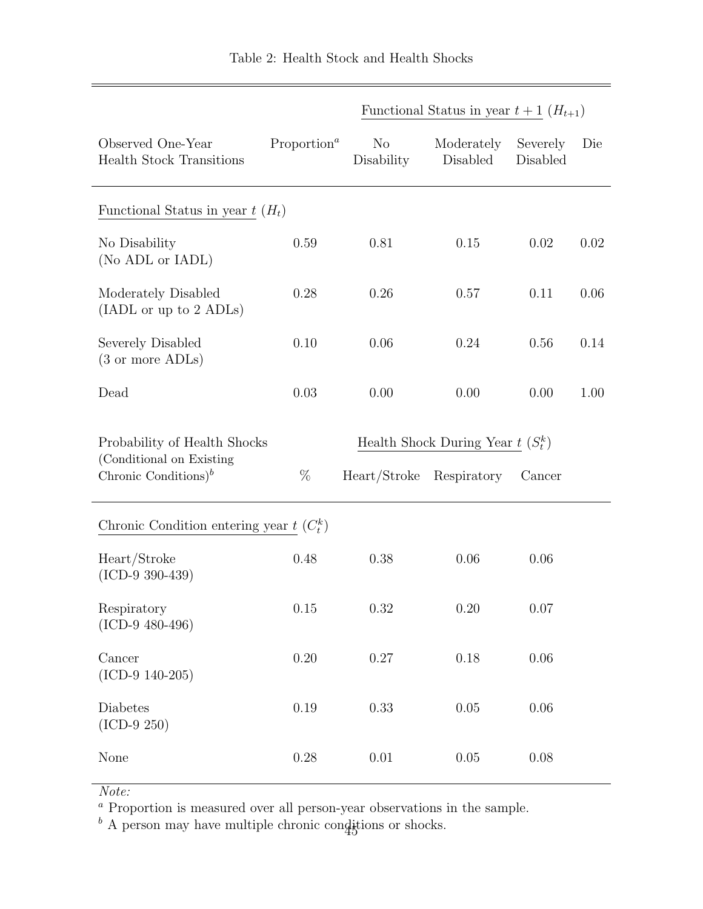|                                                              |                                      |                              | Functional Status in year $t+1$ $(H_{t+1})$ |                      |      |
|--------------------------------------------------------------|--------------------------------------|------------------------------|---------------------------------------------|----------------------|------|
| Observed One-Year<br><b>Health Stock Transitions</b>         | Proportion <sup><math>a</math></sup> | N <sub>o</sub><br>Disability | Moderately<br>Disabled                      | Severely<br>Disabled | Die  |
| Functional Status in year $t(H_t)$                           |                                      |                              |                                             |                      |      |
| No Disability<br>(No ADL or IADL)                            | 0.59                                 | 0.81                         | 0.15                                        | 0.02                 | 0.02 |
| Moderately Disabled<br>(IADL or up to 2 ADLs)                | 0.28                                 | 0.26                         | 0.57                                        | 0.11                 | 0.06 |
| Severely Disabled<br>(3 or more ADLs)                        | 0.10                                 | 0.06                         | 0.24                                        | 0.56                 | 0.14 |
| Dead                                                         | 0.03                                 | 0.00                         | 0.00                                        | 0.00                 | 1.00 |
| Probability of Health Shocks                                 |                                      |                              | Health Shock During Year $t(S_t^k)$         |                      |      |
| (Conditional on Existing<br>Chronic Conditions) <sup>b</sup> | %                                    | Heart/Stroke Respiratory     |                                             | Cancer               |      |
| Chronic Condition entering year $t(C_t^k)$                   |                                      |                              |                                             |                      |      |
| Heart/Stroke<br>$(ICD-9 390-439)$                            | 0.48                                 | 0.38                         | 0.06                                        | 0.06                 |      |
| Respiratory<br>$(ICD-9 480-496)$                             | 0.15                                 | 0.32                         | 0.20                                        | 0.07                 |      |
| Cancer<br>$(ICD-9 140-205)$                                  | 0.20                                 | 0.27                         | $0.18\,$                                    | 0.06                 |      |
| Diabetes<br>$(ICD-9 250)$                                    | 0.19                                 | 0.33                         | $0.05\,$                                    | 0.06                 |      |
| None                                                         | 0.28                                 | 0.01                         | 0.05                                        | 0.08                 |      |

Note:

<sup>a</sup> Proportion is measured over all person-year observations in the sample.

 $b$  A person may have multiple chronic conditions or shocks.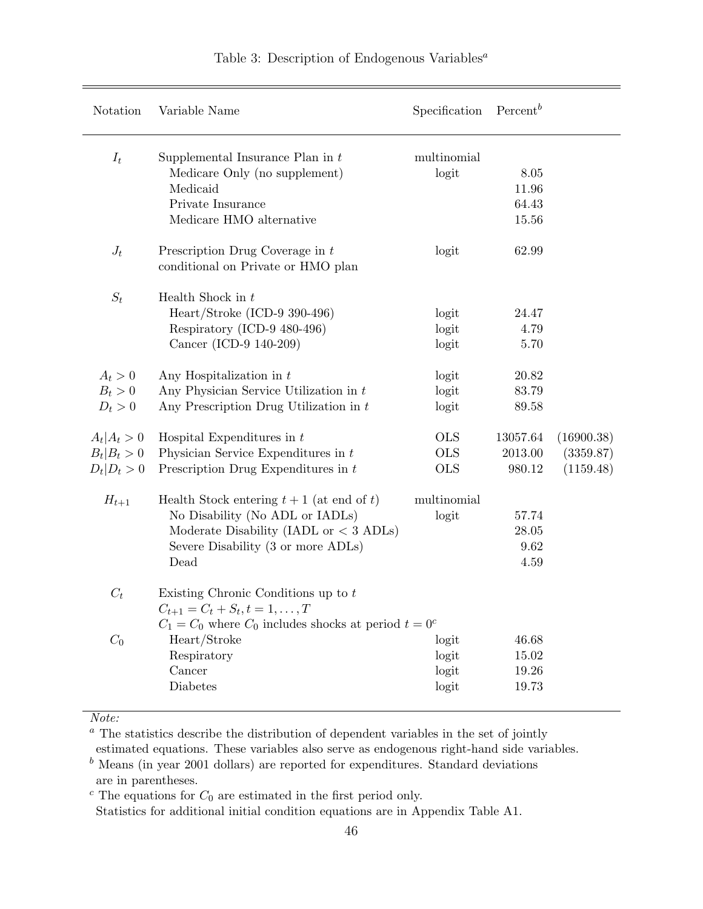| Notation                                  | Variable Name                                                                                                                                                            | Specification                          | $Percent^b$                     |                                      |
|-------------------------------------------|--------------------------------------------------------------------------------------------------------------------------------------------------------------------------|----------------------------------------|---------------------------------|--------------------------------------|
| $I_t$                                     | Supplemental Insurance Plan in $t$<br>Medicare Only (no supplement)<br>Medicaid<br>Private Insurance<br>Medicare HMO alternative                                         | multinomial<br>logit                   | 8.05<br>11.96<br>64.43<br>15.56 |                                      |
| $J_t$                                     | Prescription Drug Coverage in $t$<br>conditional on Private or HMO plan                                                                                                  | logit                                  | 62.99                           |                                      |
| $S_t$                                     | Health Shock in $t$<br>$Heart/Stroke (ICD-9 390-496)$<br>Respiratory (ICD-9 480-496)<br>Cancer (ICD-9 140-209)                                                           | logit<br>logit<br>logit                | 24.47<br>4.79<br>5.70           |                                      |
| $A_t > 0$                                 | Any Hospitalization in $t$                                                                                                                                               | logit                                  | 20.82                           |                                      |
| $B_t > 0$                                 | Any Physician Service Utilization in $t$                                                                                                                                 | logit                                  | 83.79                           |                                      |
| $D_t > 0$                                 | Any Prescription Drug Utilization in $t$                                                                                                                                 | logit                                  | 89.58                           |                                      |
| $A_t A_t>0$<br>$B_t B_t>0$<br>$D_t D_t>0$ | Hospital Expenditures in $t$<br>Physician Service Expenditures in $t$<br>Prescription Drug Expenditures in $t$                                                           | <b>OLS</b><br><b>OLS</b><br><b>OLS</b> | 13057.64<br>2013.00<br>980.12   | (16900.38)<br>(3359.87)<br>(1159.48) |
| $H_{t+1}$                                 | Health Stock entering $t + 1$ (at end of t)<br>No Disability (No ADL or IADLs)<br>Moderate Disability (IADL or $<$ 3 ADLs)<br>Severe Disability (3 or more ADLs)<br>Dead | multinomial<br>logit                   | 57.74<br>28.05<br>9.62<br>4.59  |                                      |
| $C_t$                                     | Existing Chronic Conditions up to $t$<br>$C_{t+1} = C_t + S_t, t = 1, \ldots, T$                                                                                         |                                        |                                 |                                      |
| $C_0$                                     | $C_1 = C_0$ where $C_0$ includes shocks at period $t = 0^c$<br>Heart/Stroke                                                                                              | logit                                  | 46.68                           |                                      |
|                                           | Respiratory                                                                                                                                                              | logit                                  | 15.02                           |                                      |
|                                           | Cancer                                                                                                                                                                   | logit                                  | 19.26                           |                                      |
|                                           | Diabetes                                                                                                                                                                 | logit                                  | 19.73                           |                                      |
|                                           |                                                                                                                                                                          |                                        |                                 |                                      |

# Table 3: Description of Endogenous Variables<sup> $a$ </sup>

Note:

 $^a$  The statistics describe the distribution of dependent variables in the set of jointly

estimated equations. These variables also serve as endogenous right-hand side variables.

 $<sup>b</sup>$  Means (in year 2001 dollars) are reported for expenditures. Standard deviations</sup> are in parentheses.

 $c$  The equations for  $C_0$  are estimated in the first period only.

Statistics for additional initial condition equations are in Appendix Table A1.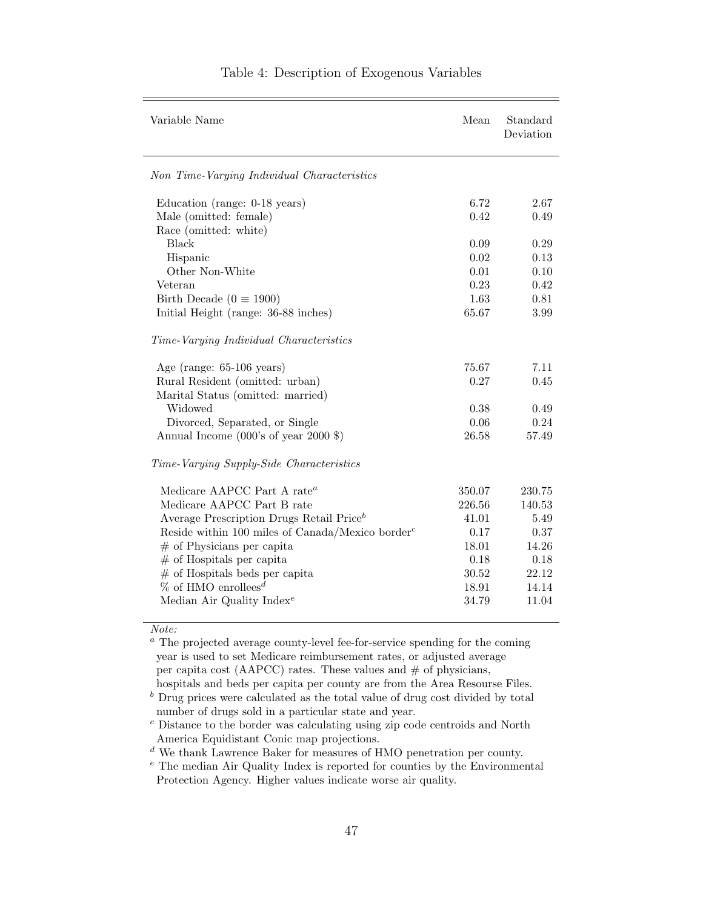| Variable Name                                                                                                                                                                                                                                                                                                                                                                   | Mean                                                                          | Standard<br>Deviation                                                        |
|---------------------------------------------------------------------------------------------------------------------------------------------------------------------------------------------------------------------------------------------------------------------------------------------------------------------------------------------------------------------------------|-------------------------------------------------------------------------------|------------------------------------------------------------------------------|
| Non Time-Varying Individual Characteristics                                                                                                                                                                                                                                                                                                                                     |                                                                               |                                                                              |
| Education (range: 0-18 years)<br>Male (omitted: female)                                                                                                                                                                                                                                                                                                                         | 6.72<br>0.42                                                                  | 2.67<br>0.49                                                                 |
| Race (omitted: white)<br><b>Black</b>                                                                                                                                                                                                                                                                                                                                           | 0.09                                                                          | 0.29                                                                         |
| Hispanic<br>Other Non-White<br>Veteran                                                                                                                                                                                                                                                                                                                                          | 0.02<br>0.01<br>0.23                                                          | 0.13<br>0.10<br>0.42                                                         |
| Birth Decade ( $0 \equiv 1900$ )<br>Initial Height (range: 36-88 inches)                                                                                                                                                                                                                                                                                                        | 1.63<br>65.67                                                                 | 0.81<br>3.99                                                                 |
| Time-Varying Individual Characteristics                                                                                                                                                                                                                                                                                                                                         |                                                                               |                                                                              |
| Age (range: $65-106$ years)<br>Rural Resident (omitted: urban)<br>Marital Status (omitted: married)<br>Widowed<br>Divorced, Separated, or Single<br>Annual Income (000's of year 2000 \$)                                                                                                                                                                                       | 75.67<br>0.27<br>0.38<br>0.06<br>26.58                                        | 7.11<br>0.45<br>0.49<br>0.24<br>57.49                                        |
| Time-Varying Supply-Side Characteristics                                                                                                                                                                                                                                                                                                                                        |                                                                               |                                                                              |
| Medicare AAPCC Part A rate <sup>a</sup><br>Medicare AAPCC Part B rate<br>Average Prescription Drugs Retail Price <sup>b</sup><br>Reside within 100 miles of Canada/Mexico border <sup>c</sup><br>$#$ of Physicians per capita<br>$#$ of Hospitals per capita<br>$#$ of Hospitals beds per capita<br>$\%$ of HMO enrollees <sup>d</sup><br>Median Air Quality Index <sup>e</sup> | 350.07<br>226.56<br>41.01<br>0.17<br>18.01<br>0.18<br>30.52<br>18.91<br>34.79 | 230.75<br>140.53<br>5.49<br>0.37<br>14.26<br>0.18<br>22.12<br>14.14<br>11.04 |
|                                                                                                                                                                                                                                                                                                                                                                                 |                                                                               |                                                                              |

### Table 4: Description of Exogenous Variables

Note:

<sup>a</sup> The projected average county-level fee-for-service spending for the coming year is used to set Medicare reimbursement rates, or adjusted average per capita cost (AAPCC) rates. These values and  $#$  of physicians,

hospitals and beds per capita per county are from the Area Resourse Files.

 $\real^b$  Drug prices were calculated as the total value of drug cost divided by total number of drugs sold in a particular state and year.

<sup>c</sup> Distance to the border was calculating using zip code centroids and North America Equidistant Conic map projections.

 $\real^d$  We thank Lawrence Baker for measures of HMO penetration per county.

<sup>e</sup> The median Air Quality Index is reported for counties by the Environmental Protection Agency. Higher values indicate worse air quality.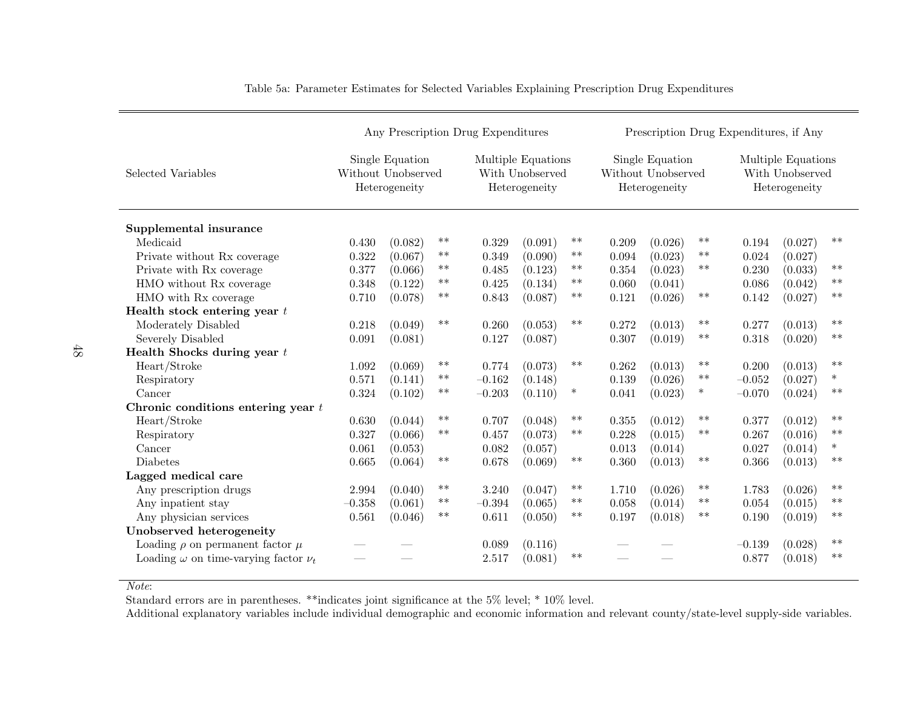|                                                 | Any Prescription Drug Expenditures |                                                        |            |          |                                                        |            | Prescription Drug Expenditures, if Any |                                                        |        |          |                                                        |        |  |
|-------------------------------------------------|------------------------------------|--------------------------------------------------------|------------|----------|--------------------------------------------------------|------------|----------------------------------------|--------------------------------------------------------|--------|----------|--------------------------------------------------------|--------|--|
| Selected Variables                              |                                    | Single Equation<br>Without Unobserved<br>Heterogeneity |            |          | Multiple Equations<br>With Unobserved<br>Heterogeneity |            |                                        | Single Equation<br>Without Unobserved<br>Heterogeneity |        |          | Multiple Equations<br>With Unobserved<br>Heterogeneity |        |  |
| Supplemental insurance                          |                                    |                                                        |            |          |                                                        |            |                                        |                                                        |        |          |                                                        |        |  |
| Medicaid                                        | 0.430                              | (0.082)                                                | $***$      | 0.329    | (0.091)                                                | $***$      | 0.209                                  | (0.026)                                                | $***$  | 0.194    | (0.027)                                                | $**$   |  |
| Private without Rx coverage                     | 0.322                              | (0.067)                                                | $\ast\ast$ | 0.349    | (0.090)                                                | $***$      | 0.094                                  | (0.023)                                                | $**$   | 0.024    | (0.027)                                                |        |  |
| Private with Rx coverage                        | 0.377                              | (0.066)                                                | $***$      | 0.485    | (0.123)                                                | $***$      | 0.354                                  | (0.023)                                                | $**$   | 0.230    | (0.033)                                                | $**$   |  |
| HMO without Rx coverage                         | 0.348                              | (0.122)                                                | $***$      | 0.425    | (0.134)                                                | $**$       | 0.060                                  | (0.041)                                                |        | 0.086    | (0.042)                                                | $**$   |  |
| HMO with Rx coverage                            | 0.710                              | (0.078)                                                | $***$      | 0.843    | (0.087)                                                | $***$      | 0.121                                  | (0.026)                                                | $***$  | 0.142    | (0.027)                                                | $**$   |  |
| Health stock entering year $t$                  |                                    |                                                        |            |          |                                                        |            |                                        |                                                        |        |          |                                                        |        |  |
| Moderately Disabled                             | 0.218                              | (0.049)                                                | $**$       | 0.260    | (0.053)                                                | $**$       | 0.272                                  | (0.013)                                                | $***$  | 0.277    | (0.013)                                                | $**$   |  |
| Severely Disabled                               | 0.091                              | (0.081)                                                |            | 0.127    | (0.087)                                                |            | 0.307                                  | (0.019)                                                | $***$  | 0.318    | (0.020)                                                | $**$   |  |
| Health Shocks during year $t$                   |                                    |                                                        |            |          |                                                        |            |                                        |                                                        |        |          |                                                        |        |  |
| Heart/Stroke                                    | 1.092                              | (0.069)                                                | $***$      | 0.774    | (0.073)                                                | $***$      | 0.262                                  | (0.013)                                                | $**$   | 0.200    | (0.013)                                                | $**$   |  |
| Respiratory                                     | 0.571                              | (0.141)                                                | $***$      | $-0.162$ | (0.148)                                                |            | 0.139                                  | (0.026)                                                | $***$  | $-0.052$ | (0.027)                                                | $\ast$ |  |
| Cancer                                          | 0.324                              | (0.102)                                                | $***$      | $-0.203$ | (0.110)                                                | $\ast$     | 0.041                                  | (0.023)                                                | $\ast$ | $-0.070$ | (0.024)                                                | $**$   |  |
| Chronic conditions entering year $t$            |                                    |                                                        |            |          |                                                        |            |                                        |                                                        |        |          |                                                        |        |  |
| Heart/Stroke                                    | 0.630                              | (0.044)                                                | **         | 0.707    | (0.048)                                                | $***$      | 0.355                                  | (0.012)                                                | $***$  | 0.377    | (0.012)                                                | $**$   |  |
| Respiratory                                     | 0.327                              | (0.066)                                                | $***$      | 0.457    | (0.073)                                                | $**$       | 0.228                                  | (0.015)                                                | $**$   | 0.267    | (0.016)                                                | $**$   |  |
| Cancer                                          | 0.061                              | (0.053)                                                |            | 0.082    | (0.057)                                                |            | 0.013                                  | (0.014)                                                |        | 0.027    | (0.014)                                                | $\ast$ |  |
| <b>Diabetes</b>                                 | 0.665                              | (0.064)                                                | $***$      | 0.678    | (0.069)                                                | $***$      | 0.360                                  | (0.013)                                                | $***$  | 0.366    | (0.013)                                                | $**$   |  |
| Lagged medical care                             |                                    |                                                        |            |          |                                                        |            |                                        |                                                        |        |          |                                                        |        |  |
| Any prescription drugs                          | 2.994                              | (0.040)                                                | $\ast\ast$ | 3.240    | (0.047)                                                | $\ast\ast$ | 1.710                                  | (0.026)                                                | $***$  | 1.783    | (0.026)                                                | $**$   |  |
| Any inpatient stay                              | $-0.358$                           | (0.061)                                                | $***$      | $-0.394$ | (0.065)                                                | $***$      | 0.058                                  | (0.014)                                                | $**$   | 0.054    | (0.015)                                                | $**$   |  |
| Any physician services                          | 0.561                              | (0.046)                                                | $***$      | 0.611    | (0.050)                                                | $***$      | 0.197                                  | (0.018)                                                | $**$   | 0.190    | (0.019)                                                | $**$   |  |
| Unobserved heterogeneity                        |                                    |                                                        |            |          |                                                        |            |                                        |                                                        |        |          |                                                        |        |  |
| Loading $\rho$ on permanent factor $\mu$        |                                    |                                                        |            | 0.089    | (0.116)                                                |            |                                        |                                                        |        | $-0.139$ | (0.028)                                                | $**$   |  |
| Loading $\omega$ on time-varying factor $\nu_t$ |                                    |                                                        |            | 2.517    | (0.081)                                                | $**$       |                                        |                                                        |        | 0.877    | (0.018)                                                | $**$   |  |

Table 5a: Parameter Estimates for Selected Variables Explaining Prescription Drug Expenditures

Note:

Standard errors are in parentheses. \*\*indicates joint significance at the 5% level; \* 10% level.

Additional explanatory variables include individual demographic and economic information and relevant county/state-level supply-side variables.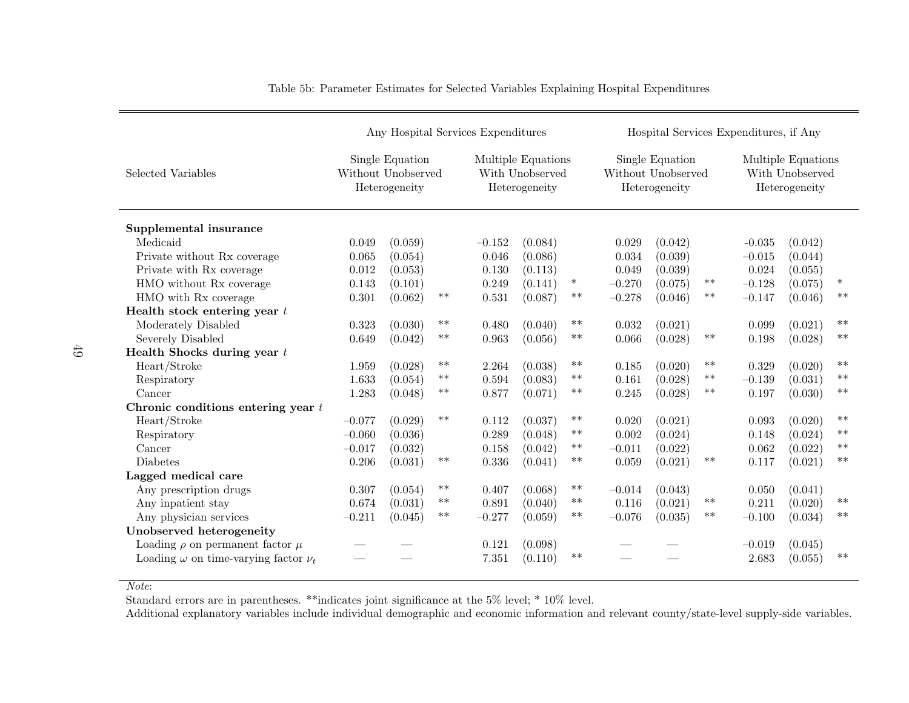|                                                 | Any Hospital Services Expenditures                                                                               |         |       |          |                                                        |        |                                                        | Hospital Services Expenditures, if Any |       |          |         |        |  |
|-------------------------------------------------|------------------------------------------------------------------------------------------------------------------|---------|-------|----------|--------------------------------------------------------|--------|--------------------------------------------------------|----------------------------------------|-------|----------|---------|--------|--|
| Selected Variables                              | Single Equation<br>Multiple Equations<br>With Unobserved<br>Without Unobserved<br>Heterogeneity<br>Heterogeneity |         |       |          | Single Equation<br>Without Unobserved<br>Heterogeneity |        | Multiple Equations<br>With Unobserved<br>Heterogeneity |                                        |       |          |         |        |  |
| Supplemental insurance                          |                                                                                                                  |         |       |          |                                                        |        |                                                        |                                        |       |          |         |        |  |
| Medicaid                                        | 0.049                                                                                                            | (0.059) |       | $-0.152$ | (0.084)                                                |        | 0.029                                                  | (0.042)                                |       | $-0.035$ | (0.042) |        |  |
| Private without Rx coverage                     | 0.065                                                                                                            | (0.054) |       | 0.046    | (0.086)                                                |        | 0.034                                                  | (0.039)                                |       | $-0.015$ | (0.044) |        |  |
| Private with Rx coverage                        | 0.012                                                                                                            | (0.053) |       | 0.130    | (0.113)                                                |        | 0.049                                                  | (0.039)                                |       | 0.024    | (0.055) |        |  |
| HMO without Rx coverage                         | 0.143                                                                                                            | (0.101) |       | 0.249    | (0.141)                                                | $\ast$ | $-0.270$                                               | (0.075)                                | $***$ | $-0.128$ | (0.075) | $\ast$ |  |
| HMO with Rx coverage                            | 0.301                                                                                                            | (0.062) | $***$ | 0.531    | (0.087)                                                | $***$  | $-0.278$                                               | (0.046)                                | $**$  | $-0.147$ | (0.046) | $**$   |  |
| Health stock entering year $t$                  |                                                                                                                  |         |       |          |                                                        |        |                                                        |                                        |       |          |         |        |  |
| Moderately Disabled                             | 0.323                                                                                                            | (0.030) | $***$ | 0.480    | (0.040)                                                | $***$  | 0.032                                                  | (0.021)                                |       | 0.099    | (0.021) | $**$   |  |
| Severely Disabled                               | 0.649                                                                                                            | (0.042) | $***$ | 0.963    | (0.056)                                                | $***$  | 0.066                                                  | (0.028)                                | $**$  | 0.198    | (0.028) | $***$  |  |
| Health Shocks during year $t$                   |                                                                                                                  |         |       |          |                                                        |        |                                                        |                                        |       |          |         |        |  |
| Heart/Stroke                                    | 1.959                                                                                                            | (0.028) | $***$ | 2.264    | (0.038)                                                | $***$  | 0.185                                                  | (0.020)                                | $**$  | 0.329    | (0.020) | $**$   |  |
| Respiratory                                     | 1.633                                                                                                            | (0.054) | $**$  | 0.594    | (0.083)                                                | $**$   | 0.161                                                  | (0.028)                                | $***$ | $-0.139$ | (0.031) | $**$   |  |
| Cancer                                          | 1.283                                                                                                            | (0.048) | $***$ | 0.877    | (0.071)                                                | $***$  | 0.245                                                  | (0.028)                                | $***$ | 0.197    | (0.030) | $**$   |  |
| Chronic conditions entering year $t$            |                                                                                                                  |         |       |          |                                                        |        |                                                        |                                        |       |          |         |        |  |
| Heart/Stroke                                    | $-0.077$                                                                                                         | (0.029) | $***$ | 0.112    | (0.037)                                                | $***$  | 0.020                                                  | (0.021)                                |       | 0.093    | (0.020) | $**$   |  |
| Respiratory                                     | $-0.060$                                                                                                         | (0.036) |       | 0.289    | (0.048)                                                | $***$  | 0.002                                                  | (0.024)                                |       | 0.148    | (0.024) | $**$   |  |
| Cancer                                          | $-0.017$                                                                                                         | (0.032) |       | 0.158    | (0.042)                                                | $***$  | $-0.011$                                               | (0.022)                                |       | 0.062    | (0.022) | $**$   |  |
| <b>Diabetes</b>                                 | 0.206                                                                                                            | (0.031) | $***$ | 0.336    | (0.041)                                                | $***$  | 0.059                                                  | (0.021)                                | $***$ | 0.117    | (0.021) | $**$   |  |
| Lagged medical care                             |                                                                                                                  |         |       |          |                                                        |        |                                                        |                                        |       |          |         |        |  |
| Any prescription drugs                          | 0.307                                                                                                            | (0.054) | $***$ | 0.407    | (0.068)                                                | $**$   | $-0.014$                                               | (0.043)                                |       | 0.050    | (0.041) |        |  |
| Any inpatient stay                              | 0.674                                                                                                            | (0.031) | $***$ | 0.891    | (0.040)                                                | $***$  | 0.116                                                  | (0.021)                                | $***$ | 0.211    | (0.020) | $***$  |  |
| Any physician services                          | $-0.211$                                                                                                         | (0.045) | $***$ | $-0.277$ | (0.059)                                                | $***$  | $-0.076$                                               | (0.035)                                | $***$ | $-0.100$ | (0.034) | $**$   |  |
| Unobserved heterogeneity                        |                                                                                                                  |         |       |          |                                                        |        |                                                        |                                        |       |          |         |        |  |
| Loading $\rho$ on permanent factor $\mu$        |                                                                                                                  |         |       | 0.121    | (0.098)                                                |        |                                                        |                                        |       | $-0.019$ | (0.045) |        |  |
| Loading $\omega$ on time-varying factor $\nu_t$ |                                                                                                                  |         |       | 7.351    | (0.110)                                                | $**$   |                                                        |                                        |       | 2.683    | (0.055) | $**$   |  |

Table 5b: Parameter Estimates for Selected Variables Explaining Hospital Expenditures

Note:

Standard errors are in parentheses. \*\*indicates joint significance at the 5% level; \* 10% level.

Additional explanatory variables include individual demographic and economic information and relevant county/state-level supply-side variables.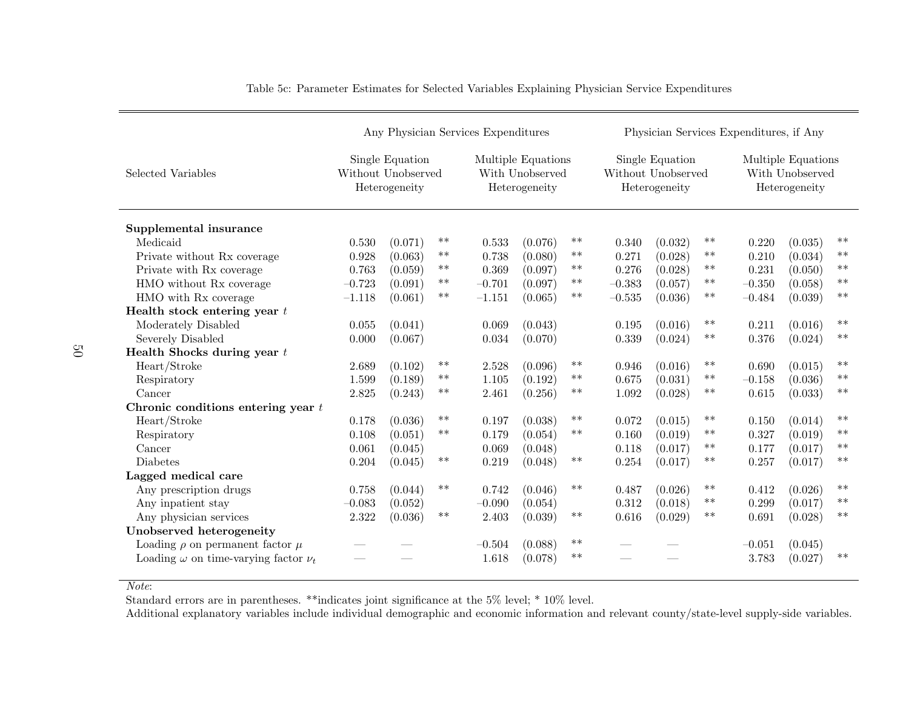|                                                 | Any Physician Services Expenditures                    |         |                                                        |          |         |                                                        | Physician Services Expenditures, if Any |         |                                                        |          |         |       |  |
|-------------------------------------------------|--------------------------------------------------------|---------|--------------------------------------------------------|----------|---------|--------------------------------------------------------|-----------------------------------------|---------|--------------------------------------------------------|----------|---------|-------|--|
| Selected Variables                              | Single Equation<br>Without Unobserved<br>Heterogeneity |         | Multiple Equations<br>With Unobserved<br>Heterogeneity |          |         | Single Equation<br>Without Unobserved<br>Heterogeneity |                                         |         | Multiple Equations<br>With Unobserved<br>Heterogeneity |          |         |       |  |
| Supplemental insurance                          |                                                        |         |                                                        |          |         |                                                        |                                         |         |                                                        |          |         |       |  |
| Medicaid                                        | 0.530                                                  | (0.071) | $***$                                                  | 0.533    | (0.076) | $***$                                                  | 0.340                                   | (0.032) | $***$                                                  | 0.220    | (0.035) | $**$  |  |
| Private without Rx coverage                     | 0.928                                                  | (0.063) | $***$                                                  | 0.738    | (0.080) | $***$                                                  | 0.271                                   | (0.028) | $**$                                                   | 0.210    | (0.034) | $**$  |  |
| Private with Rx coverage                        | 0.763                                                  | (0.059) | $***$                                                  | 0.369    | (0.097) | $***$                                                  | 0.276                                   | (0.028) | $***$                                                  | 0.231    | (0.050) | $**$  |  |
| HMO without Rx coverage                         | $-0.723$                                               | (0.091) | $***$                                                  | $-0.701$ | (0.097) | $***$                                                  | $-0.383$                                | (0.057) | $**$                                                   | $-0.350$ | (0.058) | $**$  |  |
| HMO with Rx coverage                            | $-1.118$                                               | (0.061) | $***$                                                  | $-1.151$ | (0.065) | $***$                                                  | $-0.535$                                | (0.036) | $***$                                                  | $-0.484$ | (0.039) | $***$ |  |
| Health stock entering year $t$                  |                                                        |         |                                                        |          |         |                                                        |                                         |         |                                                        |          |         |       |  |
| Moderately Disabled                             | 0.055                                                  | (0.041) |                                                        | 0.069    | (0.043) |                                                        | 0.195                                   | (0.016) | $***$                                                  | 0.211    | (0.016) | $**$  |  |
| Severely Disabled                               | 0.000                                                  | (0.067) |                                                        | 0.034    | (0.070) |                                                        | 0.339                                   | (0.024) | $***$                                                  | 0.376    | (0.024) | $***$ |  |
| Health Shocks during year $t$                   |                                                        |         |                                                        |          |         |                                                        |                                         |         |                                                        |          |         |       |  |
| Heart/Stroke                                    | 2.689                                                  | (0.102) | $***$                                                  | 2.528    | (0.096) | $***$                                                  | 0.946                                   | (0.016) | $***$                                                  | 0.690    | (0.015) | $***$ |  |
| Respiratory                                     | 1.599                                                  | (0.189) | $***$                                                  | 1.105    | (0.192) | $**$                                                   | 0.675                                   | (0.031) | $***$                                                  | $-0.158$ | (0.036) | $**$  |  |
| Cancer                                          | 2.825                                                  | (0.243) | $***$                                                  | 2.461    | (0.256) | $***$                                                  | 1.092                                   | (0.028) | $***$                                                  | 0.615    | (0.033) | $**$  |  |
| Chronic conditions entering year $t$            |                                                        |         |                                                        |          |         |                                                        |                                         |         |                                                        |          |         |       |  |
| Heart/Stroke                                    | 0.178                                                  | (0.036) | $***$                                                  | 0.197    | (0.038) | $***$                                                  | 0.072                                   | (0.015) | $**$                                                   | 0.150    | (0.014) | $**$  |  |
| Respiratory                                     | 0.108                                                  | (0.051) | $***$                                                  | 0.179    | (0.054) | $***$                                                  | 0.160                                   | (0.019) | $***$                                                  | 0.327    | (0.019) | $**$  |  |
| Cancer                                          | 0.061                                                  | (0.045) |                                                        | 0.069    | (0.048) |                                                        | 0.118                                   | (0.017) | $***$                                                  | 0.177    | (0.017) | $**$  |  |
| <b>Diabetes</b>                                 | 0.204                                                  | (0.045) | $***$                                                  | 0.219    | (0.048) | $***$                                                  | 0.254                                   | (0.017) | $***$                                                  | 0.257    | (0.017) | $**$  |  |
| Lagged medical care                             |                                                        |         |                                                        |          |         |                                                        |                                         |         |                                                        |          |         |       |  |
| Any prescription drugs                          | 0.758                                                  | (0.044) | $***$                                                  | 0.742    | (0.046) | $***$                                                  | 0.487                                   | (0.026) | $***$                                                  | 0.412    | (0.026) | $**$  |  |
| Any inpatient stay                              | $-0.083$                                               | (0.052) |                                                        | $-0.090$ | (0.054) |                                                        | 0.312                                   | (0.018) | $***$                                                  | 0.299    | (0.017) | $**$  |  |
| Any physician services                          | 2.322                                                  | (0.036) | $***$                                                  | 2.403    | (0.039) | $***$                                                  | 0.616                                   | (0.029) | $***$                                                  | 0.691    | (0.028) | $**$  |  |
| Unobserved heterogeneity                        |                                                        |         |                                                        |          |         |                                                        |                                         |         |                                                        |          |         |       |  |
| Loading $\rho$ on permanent factor $\mu$        |                                                        |         |                                                        | $-0.504$ | (0.088) | $***$                                                  |                                         |         |                                                        | $-0.051$ | (0.045) |       |  |
| Loading $\omega$ on time-varying factor $\nu_t$ |                                                        |         |                                                        | 1.618    | (0.078) | $**$                                                   |                                         |         |                                                        | 3.783    | (0.027) | $**$  |  |

Table 5c: Parameter Estimates for Selected Variables Explaining Physician Service Expenditures

Note:

Standard errors are in parentheses. \*\*indicates joint significance at the 5% level; \* 10% level.

Additional explanatory variables include individual demographic and economic information and relevant county/state-level supply-side variables.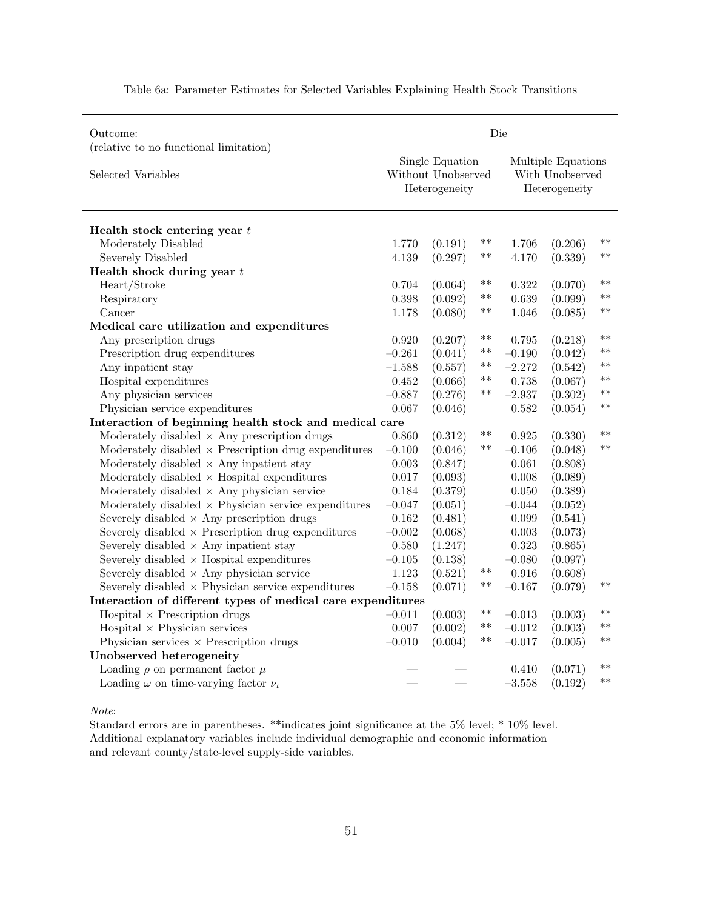| Outcome:                                                     | Die      |                                                        |            |                                                        |         |       |  |  |
|--------------------------------------------------------------|----------|--------------------------------------------------------|------------|--------------------------------------------------------|---------|-------|--|--|
| (relative to no functional limitation)<br>Selected Variables |          | Single Equation<br>Without Unobserved<br>Heterogeneity |            | Multiple Equations<br>With Unobserved<br>Heterogeneity |         |       |  |  |
|                                                              |          |                                                        |            |                                                        |         |       |  |  |
| Health stock entering year $t$                               |          |                                                        |            |                                                        |         |       |  |  |
| Moderately Disabled                                          | 1.770    | (0.191)                                                | **         | 1.706                                                  | (0.206) | $***$ |  |  |
| Severely Disabled                                            | 4.139    | (0.297)                                                | **         | 4.170                                                  | (0.339) | $**$  |  |  |
| Health shock during year $t$                                 |          |                                                        |            |                                                        |         |       |  |  |
| Heart/Stroke                                                 | 0.704    | (0.064)                                                | $\ast\ast$ | 0.322                                                  | (0.070) | $**$  |  |  |
| Respiratory                                                  | 0.398    | (0.092)                                                | **         | 0.639                                                  | (0.099) | $**$  |  |  |
| Cancer                                                       | 1.178    | (0.080)                                                | $***$      | 1.046                                                  | (0.085) | $***$ |  |  |
| Medical care utilization and expenditures                    |          |                                                        |            |                                                        |         |       |  |  |
| Any prescription drugs                                       | 0.920    | (0.207)                                                | $\ast\ast$ | 0.795                                                  | (0.218) | $***$ |  |  |
| Prescription drug expenditures                               | $-0.261$ | (0.041)                                                | **         | $-0.190$                                               | (0.042) | $***$ |  |  |
| Any inpatient stay                                           | $-1.588$ | (0.557)                                                | **         | $-2.272$                                               | (0.542) | $**$  |  |  |
| Hospital expenditures                                        | 0.452    | (0.066)                                                | $***$      | 0.738                                                  | (0.067) | $***$ |  |  |
| Any physician services                                       | $-0.887$ | (0.276)                                                | **         | $-2.937$                                               | (0.302) | $***$ |  |  |
| Physician service expenditures                               | 0.067    | (0.046)                                                |            | 0.582                                                  | (0.054) | $***$ |  |  |
| Interaction of beginning health stock and medical care       |          |                                                        |            |                                                        |         |       |  |  |
| Moderately disabled $\times$ Any prescription drugs          | 0.860    | (0.312)                                                | $***$      | 0.925                                                  | (0.330) | $**$  |  |  |
| Moderately disabled $\times$ Prescription drug expenditures  | $-0.100$ | (0.046)                                                | $***$      | $-0.106$                                               | (0.048) | $**$  |  |  |
| Moderately disabled $\times$ Any inpatient stay              | 0.003    | (0.847)                                                |            | 0.061                                                  | (0.808) |       |  |  |
| Moderately disabled $\times$ Hospital expenditures           | 0.017    | (0.093)                                                |            | 0.008                                                  | (0.089) |       |  |  |
| Moderately disabled $\times$ Any physician service           | 0.184    | (0.379)                                                |            | 0.050                                                  | (0.389) |       |  |  |
| Moderately disabled $\times$ Physician service expenditures  | $-0.047$ | (0.051)                                                |            | $-0.044$                                               | (0.052) |       |  |  |
| Severely disabled $\times$ Any prescription drugs            | 0.162    | (0.481)                                                |            | 0.099                                                  | (0.541) |       |  |  |
| Severely disabled $\times$ Prescription drug expenditures    | $-0.002$ | (0.068)                                                |            | 0.003                                                  | (0.073) |       |  |  |
| Severely disabled $\times$ Any inpatient stay                | 0.580    | (1.247)                                                |            | 0.323                                                  | (0.865) |       |  |  |
| Severely disabled $\times$ Hospital expenditures             | $-0.105$ | (0.138)                                                |            | $-0.080$                                               | (0.097) |       |  |  |
| Severely disabled $\times$ Any physician service             | 1.123    | (0.521)                                                | **         | 0.916                                                  | (0.608) |       |  |  |
| Severely disabled $\times$ Physician service expenditures    | $-0.158$ | (0.071)                                                | **         | $-0.167$                                               | (0.079) | $**$  |  |  |
| Interaction of different types of medical care expenditures  |          |                                                        |            |                                                        |         |       |  |  |
| $Hospital \times Precision$ drugs                            | $-0.011$ | (0.003)                                                | **         | $-0.013$                                               | (0.003) | $**$  |  |  |
| $Hospital \times Physician$ services                         | 0.007    | (0.002)                                                | $***$      | $-0.012$                                               | (0.003) | $***$ |  |  |
| Physician services $\times$ Prescription drugs               | $-0.010$ | (0.004)                                                | **         | $-0.017$                                               | (0.005) | $**$  |  |  |
| Unobserved heterogeneity                                     |          |                                                        |            |                                                        |         |       |  |  |
| Loading $\rho$ on permanent factor $\mu$                     |          |                                                        |            | 0.410                                                  | (0.071) | $***$ |  |  |
| Loading $\omega$ on time-varying factor $\nu_t$              |          |                                                        |            | $-3.558$                                               | (0.192) | $**$  |  |  |
|                                                              |          |                                                        |            |                                                        |         |       |  |  |

Table 6a: Parameter Estimates for Selected Variables Explaining Health Stock Transitions

Note: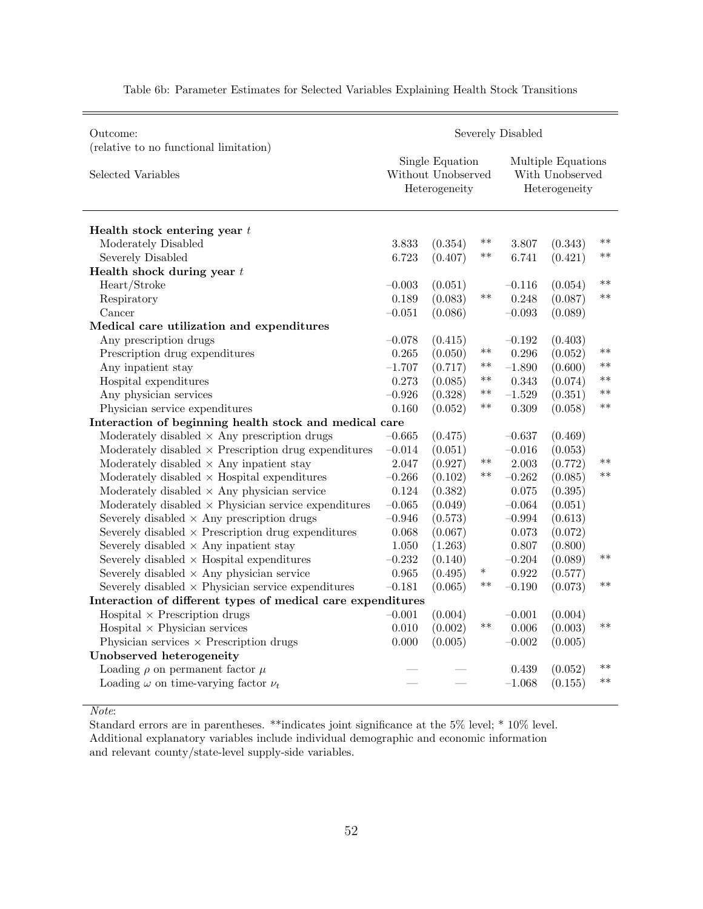| Outcome:                                                     | Severely Disabled |                                                        |        |                                                        |         |       |  |  |  |
|--------------------------------------------------------------|-------------------|--------------------------------------------------------|--------|--------------------------------------------------------|---------|-------|--|--|--|
| (relative to no functional limitation)<br>Selected Variables |                   | Single Equation<br>Without Unobserved<br>Heterogeneity |        | Multiple Equations<br>With Unobserved<br>Heterogeneity |         |       |  |  |  |
| Health stock entering year $t$                               |                   |                                                        |        |                                                        |         |       |  |  |  |
| Moderately Disabled                                          | 3.833             | (0.354)                                                | **     | 3.807                                                  | (0.343) | $**$  |  |  |  |
| Severely Disabled                                            | 6.723             | (0.407)                                                | $***$  | 6.741                                                  | (0.421) | $***$ |  |  |  |
| Health shock during year $t$                                 |                   |                                                        |        |                                                        |         |       |  |  |  |
| Heart/Stroke                                                 | $-0.003$          | (0.051)                                                |        | $-0.116$                                               | (0.054) | $***$ |  |  |  |
| Respiratory                                                  | 0.189             | (0.083)                                                | $***$  | 0.248                                                  | (0.087) | $**$  |  |  |  |
| Cancer                                                       | $-0.051$          | (0.086)                                                |        | $-0.093$                                               | (0.089) |       |  |  |  |
| Medical care utilization and expenditures                    |                   |                                                        |        |                                                        |         |       |  |  |  |
| Any prescription drugs                                       | $-0.078$          | (0.415)                                                |        | $-0.192$                                               | (0.403) |       |  |  |  |
| Prescription drug expenditures                               | 0.265             | (0.050)                                                | $***$  | 0.296                                                  | (0.052) | $***$ |  |  |  |
| Any inpatient stay                                           | $-1.707$          | (0.717)                                                | $***$  | $-1.890$                                               | (0.600) | $**$  |  |  |  |
| Hospital expenditures                                        | 0.273             | (0.085)                                                | **     | 0.343                                                  | (0.074) | $***$ |  |  |  |
| Any physician services                                       | $-0.926$          | (0.328)                                                | $***$  | $-1.529$                                               | (0.351) | $**$  |  |  |  |
| Physician service expenditures                               | 0.160             | (0.052)                                                | **     | 0.309                                                  | (0.058) | $***$ |  |  |  |
| Interaction of beginning health stock and medical care       |                   |                                                        |        |                                                        |         |       |  |  |  |
| Moderately disabled $\times$ Any prescription drugs          | $-0.665$          | (0.475)                                                |        | $-0.637$                                               | (0.469) |       |  |  |  |
| Moderately disabled $\times$ Prescription drug expenditures  | $-0.014$          | (0.051)                                                |        | $-0.016$                                               | (0.053) |       |  |  |  |
| Moderately disabled $\times$ Any inpatient stay              | 2.047             | (0.927)                                                | $***$  | 2.003                                                  | (0.772) | $***$ |  |  |  |
| Moderately disabled $\times$ Hospital expenditures           | $-0.266$          | (0.102)                                                | $***$  | $-0.262$                                               | (0.085) | $***$ |  |  |  |
| Moderately disabled $\times$ Any physician service           | 0.124             | (0.382)                                                |        | 0.075                                                  | (0.395) |       |  |  |  |
| Moderately disabled $\times$ Physician service expenditures  | $-0.065$          | (0.049)                                                |        | $-0.064$                                               | (0.051) |       |  |  |  |
| Severely disabled $\times$ Any prescription drugs            | $-0.946$          | (0.573)                                                |        | $-0.994$                                               | (0.613) |       |  |  |  |
| Severely disabled $\times$ Prescription drug expenditures    | 0.068             | (0.067)                                                |        | 0.073                                                  | (0.072) |       |  |  |  |
| Severely disabled $\times$ Any inpatient stay                | 1.050             | (1.263)                                                |        | 0.807                                                  | (0.800) |       |  |  |  |
| Severely disabled $\times$ Hospital expenditures             | $-0.232$          | (0.140)                                                |        | $-0.204$                                               | (0.089) | $**$  |  |  |  |
| Severely disabled $\times$ Any physician service             | 0.965             | (0.495)                                                | $\ast$ | 0.922                                                  | (0.577) |       |  |  |  |
| Severely disabled $\times$ Physician service expenditures    | $-0.181$          | (0.065)                                                | $***$  | $-0.190$                                               | (0.073) | $***$ |  |  |  |
| Interaction of different types of medical care expenditures  |                   |                                                        |        |                                                        |         |       |  |  |  |
| $Hospital \times Precision$ drugs                            | $-0.001$          | (0.004)                                                |        | $-0.001$                                               | (0.004) |       |  |  |  |
| $Hospital \times Physician$ services                         | 0.010             | (0.002)                                                | $**$   | 0.006                                                  | (0.003) | $***$ |  |  |  |
| Physician services $\times$ Prescription drugs               | 0.000             | (0.005)                                                |        | $-0.002$                                               | (0.005) |       |  |  |  |
| Unobserved heterogeneity                                     |                   |                                                        |        |                                                        |         |       |  |  |  |
| Loading $\rho$ on permanent factor $\mu$                     |                   |                                                        |        | 0.439                                                  | (0.052) | $**$  |  |  |  |
| Loading $\omega$ on time-varying factor $\nu_t$              |                   |                                                        |        | $-1.068$                                               | (0.155) | $**$  |  |  |  |
|                                                              |                   |                                                        |        |                                                        |         |       |  |  |  |

Table 6b: Parameter Estimates for Selected Variables Explaining Health Stock Transitions

Note: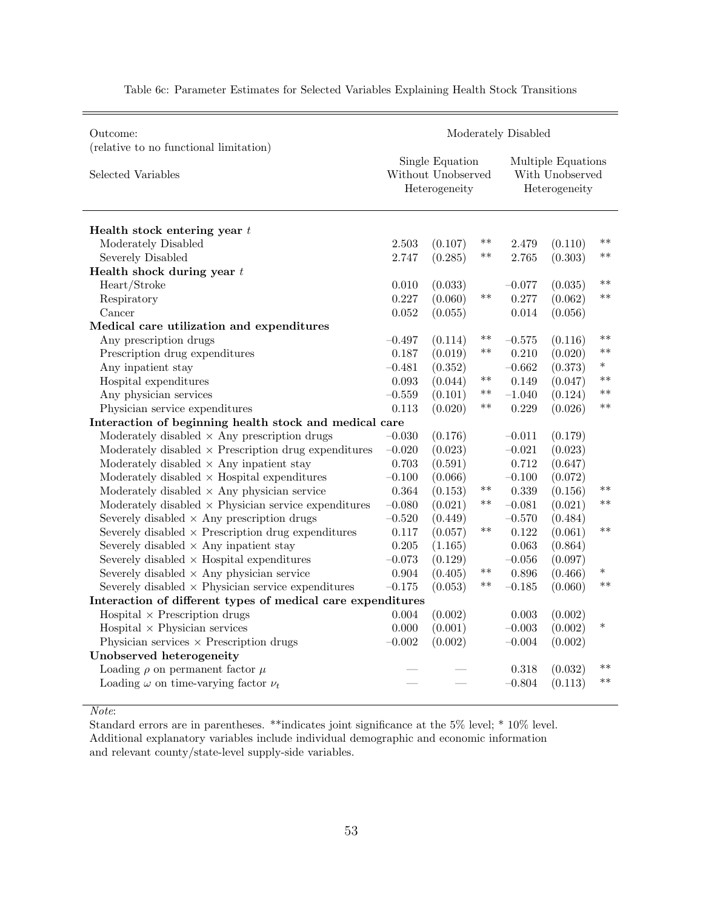| Outcome:                                                     | Moderately Disabled |                                                        |       |                                                        |         |        |  |  |  |
|--------------------------------------------------------------|---------------------|--------------------------------------------------------|-------|--------------------------------------------------------|---------|--------|--|--|--|
| (relative to no functional limitation)<br>Selected Variables |                     | Single Equation<br>Without Unobserved<br>Heterogeneity |       | Multiple Equations<br>With Unobserved<br>Heterogeneity |         |        |  |  |  |
| Health stock entering year $t$                               |                     |                                                        |       |                                                        |         |        |  |  |  |
| Moderately Disabled                                          | 2.503               | (0.107)                                                | $***$ | 2.479                                                  | (0.110) | $***$  |  |  |  |
| Severely Disabled                                            | 2.747               | (0.285)                                                | $***$ | 2.765                                                  | (0.303) | $**$   |  |  |  |
| Health shock during year $t$                                 |                     |                                                        |       |                                                        |         |        |  |  |  |
| Heart/Stroke                                                 | 0.010               | (0.033)                                                |       | $-0.077$                                               | (0.035) | $**$   |  |  |  |
| Respiratory                                                  | 0.227               | (0.060)                                                | $***$ | 0.277                                                  | (0.062) | $**$   |  |  |  |
| Cancer                                                       | 0.052               | (0.055)                                                |       | 0.014                                                  | (0.056) |        |  |  |  |
| Medical care utilization and expenditures                    |                     |                                                        |       |                                                        |         |        |  |  |  |
| Any prescription drugs                                       | $-0.497$            | (0.114)                                                | **    | $-0.575$                                               | (0.116) | $***$  |  |  |  |
| Prescription drug expenditures                               | 0.187               | (0.019)                                                | $***$ | 0.210                                                  | (0.020) | $***$  |  |  |  |
| Any inpatient stay                                           | $-0.481$            | (0.352)                                                |       | $-0.662$                                               | (0.373) | $\ast$ |  |  |  |
| Hospital expenditures                                        | 0.093               | (0.044)                                                | $***$ | 0.149                                                  | (0.047) | $**$   |  |  |  |
| Any physician services                                       | $-0.559$            | (0.101)                                                | $***$ | $-1.040$                                               | (0.124) | $***$  |  |  |  |
| Physician service expenditures                               | 0.113               | (0.020)                                                | $***$ | 0.229                                                  | (0.026) | $***$  |  |  |  |
| Interaction of beginning health stock and medical care       |                     |                                                        |       |                                                        |         |        |  |  |  |
| Moderately disabled $\times$ Any prescription drugs          | $-0.030$            | (0.176)                                                |       | $-0.011$                                               | (0.179) |        |  |  |  |
| Moderately disabled $\times$ Prescription drug expenditures  | $-0.020$            | (0.023)                                                |       | $-0.021$                                               | (0.023) |        |  |  |  |
| Moderately disabled $\times$ Any inpatient stay              | 0.703               | (0.591)                                                |       | 0.712                                                  | (0.647) |        |  |  |  |
| Moderately disabled $\times$ Hospital expenditures           | $-0.100$            | (0.066)                                                |       | $-0.100$                                               | (0.072) |        |  |  |  |
| Moderately disabled $\times$ Any physician service           | 0.364               | (0.153)                                                | $***$ | 0.339                                                  | (0.156) | $**$   |  |  |  |
| Moderately disabled $\times$ Physician service expenditures  | $-0.080$            | (0.021)                                                | $***$ | $-0.081$                                               | (0.021) | $***$  |  |  |  |
| Severely disabled $\times$ Any prescription drugs            | $-0.520$            | (0.449)                                                |       | $-0.570$                                               | (0.484) |        |  |  |  |
| Severely disabled $\times$ Prescription drug expenditures    | 0.117               | (0.057)                                                | $***$ | 0.122                                                  | (0.061) | $**$   |  |  |  |
| Severely disabled $\times$ Any inpatient stay                | 0.205               | (1.165)                                                |       | 0.063                                                  | (0.864) |        |  |  |  |
| Severely disabled $\times$ Hospital expenditures             | $-0.073$            | (0.129)                                                |       | $-0.056$                                               | (0.097) |        |  |  |  |
| Severely disabled $\times$ Any physician service             | 0.904               | (0.405)                                                | $***$ | 0.896                                                  | (0.466) | $\ast$ |  |  |  |
| Severely disabled $\times$ Physician service expenditures    | $-0.175$            | (0.053)                                                | $***$ | $-0.185$                                               | (0.060) | $**$   |  |  |  |
| Interaction of different types of medical care expenditures  |                     |                                                        |       |                                                        |         |        |  |  |  |
| $Hospital \times Precision$ drugs                            | 0.004               | (0.002)                                                |       | 0.003                                                  | (0.002) |        |  |  |  |
| $Hospital \times Physician$ services                         | 0.000               | (0.001)                                                |       | $-0.003$                                               | (0.002) | $\ast$ |  |  |  |
| Physician services $\times$ Prescription drugs               | $-0.002$            | (0.002)                                                |       | $-0.004$                                               | (0.002) |        |  |  |  |
| Unobserved heterogeneity                                     |                     |                                                        |       |                                                        |         |        |  |  |  |
| Loading $\rho$ on permanent factor $\mu$                     |                     |                                                        |       | 0.318                                                  | (0.032) | $***$  |  |  |  |
| Loading $\omega$ on time-varying factor $\nu_t$              |                     |                                                        |       | $-0.804$                                               | (0.113) | $***$  |  |  |  |
|                                                              |                     |                                                        |       |                                                        |         |        |  |  |  |

Table 6c: Parameter Estimates for Selected Variables Explaining Health Stock Transitions

Note: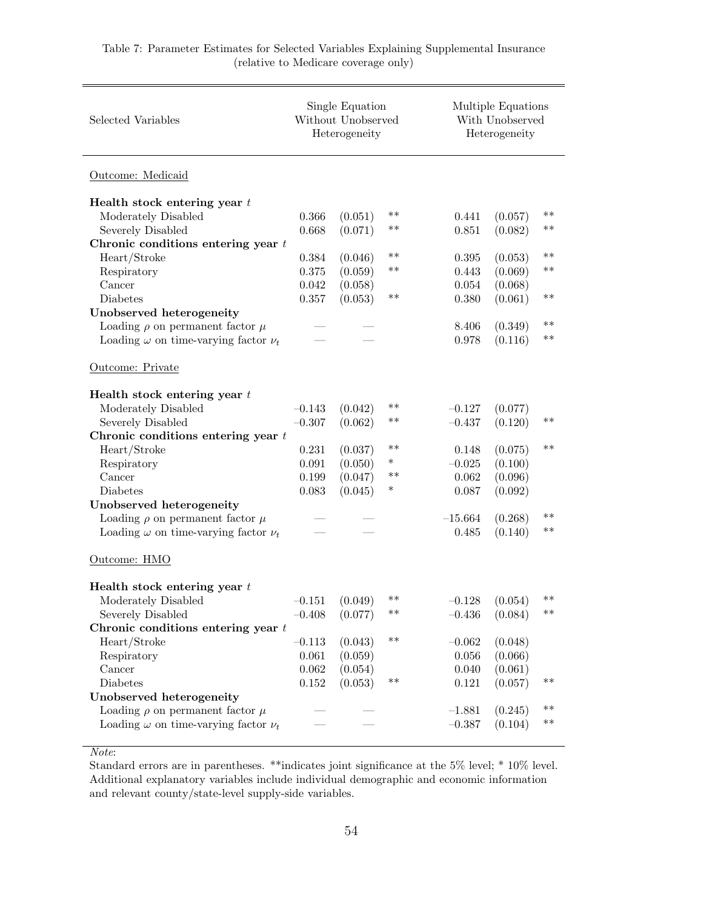| Selected Variables                              |           | Single Equation<br>Without Unobserved<br>Heterogeneity |            |           | Multiple Equations<br>With Unobserved<br>Heterogeneity |       |  |  |  |
|-------------------------------------------------|-----------|--------------------------------------------------------|------------|-----------|--------------------------------------------------------|-------|--|--|--|
| Outcome: Medicaid                               |           |                                                        |            |           |                                                        |       |  |  |  |
| Health stock entering year $t$                  |           |                                                        |            |           |                                                        |       |  |  |  |
| Moderately Disabled                             | 0.366     | (0.051)                                                | $***$      | 0.441     | (0.057)                                                | $**$  |  |  |  |
| Severely Disabled                               | 0.668     | (0.071)                                                | $***$      | 0.851     | (0.082)                                                | $***$ |  |  |  |
| Chronic conditions entering year $t$            |           |                                                        |            |           |                                                        |       |  |  |  |
| Heart/Stroke                                    | 0.384     | (0.046)                                                | $***$      | 0.395     | (0.053)                                                | $***$ |  |  |  |
| Respiratory                                     | $0.375\,$ | (0.059)                                                | $\ast\ast$ | 0.443     | (0.069)                                                | $***$ |  |  |  |
| Cancer                                          | 0.042     | (0.058)                                                |            | 0.054     | (0.068)                                                |       |  |  |  |
| Diabetes                                        | 0.357     | (0.053)                                                | $***$      | 0.380     | (0.061)                                                | $**$  |  |  |  |
| Unobserved heterogeneity                        |           |                                                        |            |           |                                                        |       |  |  |  |
| Loading $\rho$ on permanent factor $\mu$        |           |                                                        |            | 8.406     | (0.349)                                                | $***$ |  |  |  |
| Loading $\omega$ on time-varying factor $\nu_t$ |           |                                                        |            | 0.978     | (0.116)                                                | $***$ |  |  |  |
|                                                 |           |                                                        |            |           |                                                        |       |  |  |  |
| Outcome: Private                                |           |                                                        |            |           |                                                        |       |  |  |  |
| Health stock entering year $t$                  |           |                                                        |            |           |                                                        |       |  |  |  |
| Moderately Disabled                             | $-0.143$  | (0.042)                                                | $***$      | $-0.127$  | (0.077)                                                |       |  |  |  |
| Severely Disabled                               | $-0.307$  | (0.062)                                                | $***$      | $-0.437$  | (0.120)                                                | $***$ |  |  |  |
| Chronic conditions entering year $t$            |           |                                                        |            |           |                                                        |       |  |  |  |
| Heart/Stroke                                    | 0.231     | (0.037)                                                | $***$      | 0.148     | (0.075)                                                | $**$  |  |  |  |
| Respiratory                                     | 0.091     | (0.050)                                                | $\ast$     | $-0.025$  | (0.100)                                                |       |  |  |  |
| Cancer                                          | 0.199     | (0.047)                                                | $***$      | 0.062     | (0.096)                                                |       |  |  |  |
| Diabetes                                        | 0.083     | (0.045)                                                | *          | 0.087     | (0.092)                                                |       |  |  |  |
| Unobserved heterogeneity                        |           |                                                        |            |           |                                                        |       |  |  |  |
| Loading $\rho$ on permanent factor $\mu$        |           |                                                        |            | $-15.664$ | (0.268)                                                | $***$ |  |  |  |
| Loading $\omega$ on time-varying factor $\nu_t$ |           |                                                        |            | 0.485     | (0.140)                                                | $***$ |  |  |  |
|                                                 |           |                                                        |            |           |                                                        |       |  |  |  |
| Outcome: HMO                                    |           |                                                        |            |           |                                                        |       |  |  |  |
| Health stock entering year $t$                  |           |                                                        |            |           |                                                        |       |  |  |  |
| Moderately Disabled                             | $-0.151$  | (0.049)                                                | $***$      | $-0.128$  | (0.054)                                                | $***$ |  |  |  |
| Severely Disabled                               | $-0.408$  | (0.077)                                                | $***$      | $-0.436$  | (0.084)                                                | $**$  |  |  |  |
| Chronic conditions entering year $t$            |           |                                                        |            |           |                                                        |       |  |  |  |
| Heart/Stroke                                    | $-0.113$  | (0.043)                                                | $***$      | $-0.062$  | (0.048)                                                |       |  |  |  |
| Respiratory                                     | 0.061     | (0.059)                                                |            | 0.056     | (0.066)                                                |       |  |  |  |
| Cancer                                          | 0.062     | (0.054)                                                |            | 0.040     | (0.061)                                                |       |  |  |  |
| Diabetes                                        | 0.152     | (0.053)                                                | $**$       | 0.121     | (0.057)                                                | $***$ |  |  |  |
| Unobserved heterogeneity                        |           |                                                        |            |           |                                                        |       |  |  |  |
| Loading $\rho$ on permanent factor $\mu$        |           |                                                        |            | $-1.881$  | (0.245)                                                | $***$ |  |  |  |
| Loading $\omega$ on time-varying factor $\nu_t$ |           |                                                        |            | $-0.387$  | (0.104)                                                | $***$ |  |  |  |
|                                                 |           |                                                        |            |           |                                                        |       |  |  |  |

#### Table 7: Parameter Estimates for Selected Variables Explaining Supplemental Insurance (relative to Medicare coverage only)

#### Note: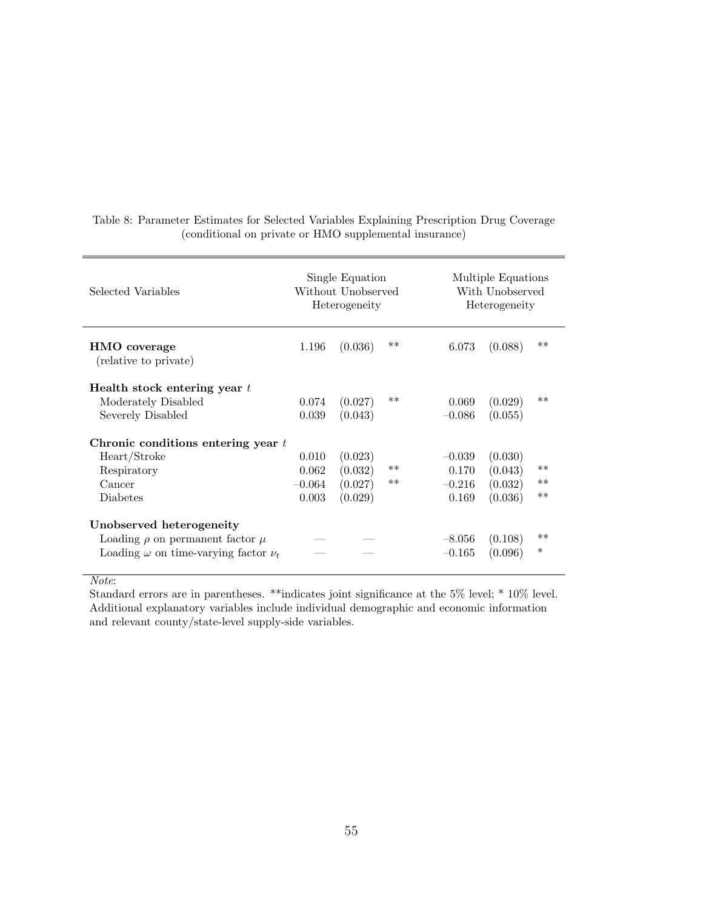| Selected Variables                              |          | Single Equation<br>Without Unobserved<br>Heterogeneity |       |          | Multiple Equations<br>With Unobserved<br>Heterogeneity |        |  |  |  |
|-------------------------------------------------|----------|--------------------------------------------------------|-------|----------|--------------------------------------------------------|--------|--|--|--|
| HMO coverage<br>(relative to private)           | 1.196    | (0.036)                                                | $**$  | 6.073    | (0.088)                                                | $**$   |  |  |  |
| Health stock entering year $t$                  |          |                                                        |       |          |                                                        |        |  |  |  |
| Moderately Disabled                             | 0.074    | (0.027)                                                | $**$  | 0.069    | (0.029)                                                | $**$   |  |  |  |
| Severely Disabled                               | 0.039    | (0.043)                                                |       | $-0.086$ | (0.055)                                                |        |  |  |  |
| Chronic conditions entering year $t$            |          |                                                        |       |          |                                                        |        |  |  |  |
| Heart/Stroke                                    | 0.010    | (0.023)                                                |       | $-0.039$ | (0.030)                                                |        |  |  |  |
| Respiratory                                     | 0.062    | (0.032)                                                | $***$ | 0.170    | (0.043)                                                | $**$   |  |  |  |
| Cancer                                          | $-0.064$ | (0.027)                                                | **    | $-0.216$ | (0.032)                                                | $**$   |  |  |  |
| Diabetes                                        | 0.003    | (0.029)                                                |       | 0.169    | (0.036)                                                | $**$   |  |  |  |
| Unobserved heterogeneity                        |          |                                                        |       |          |                                                        |        |  |  |  |
| Loading $\rho$ on permanent factor $\mu$        |          |                                                        |       | $-8.056$ | (0.108)                                                | $**$   |  |  |  |
| Loading $\omega$ on time-varying factor $\nu_t$ |          |                                                        |       | $-0.165$ | (0.096)                                                | $\ast$ |  |  |  |

Table 8: Parameter Estimates for Selected Variables Explaining Prescription Drug Coverage (conditional on private or HMO supplemental insurance)

Note: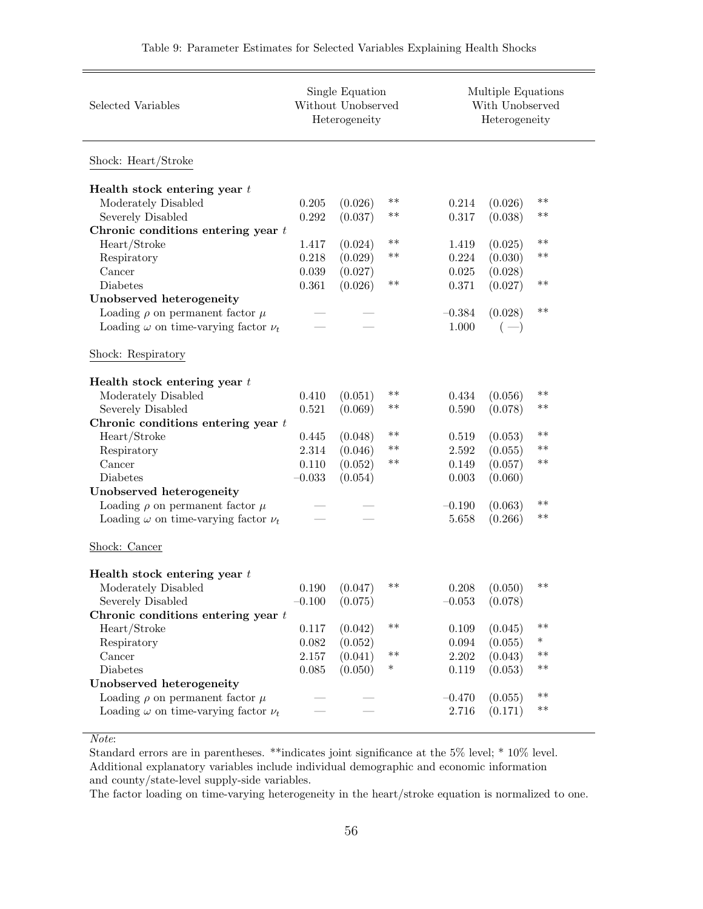| Selected Variables                              | Single Equation<br>Without Unobserved<br>Heterogeneity |         |            |          | Multiple Equations<br>With Unobserved<br>Heterogeneity |            |  |
|-------------------------------------------------|--------------------------------------------------------|---------|------------|----------|--------------------------------------------------------|------------|--|
| Shock: Heart/Stroke                             |                                                        |         |            |          |                                                        |            |  |
| Health stock entering year $t$                  |                                                        |         |            |          |                                                        |            |  |
| Moderately Disabled                             | 0.205                                                  | (0.026) | $***$      | 0.214    | (0.026)                                                | **         |  |
| Severely Disabled                               | 0.292                                                  | (0.037) | $***$      | 0.317    | (0.038)                                                | $***$      |  |
| Chronic conditions entering year $t$            |                                                        |         |            |          |                                                        |            |  |
| Heart/Stroke                                    | 1.417                                                  | (0.024) | $***$      | 1.419    | (0.025)                                                | $***$      |  |
| Respiratory                                     | 0.218                                                  | (0.029) | **         | 0.224    | (0.030)                                                | **         |  |
| Cancer                                          | 0.039                                                  | (0.027) |            | 0.025    | (0.028)                                                |            |  |
| Diabetes                                        | 0.361                                                  | (0.026) | $***$      | 0.371    | (0.027)                                                | $***$      |  |
| Unobserved heterogeneity                        |                                                        |         |            |          |                                                        |            |  |
| Loading $\rho$ on permanent factor $\mu$        |                                                        |         |            | $-0.384$ | (0.028)                                                | $***$      |  |
| Loading $\omega$ on time-varying factor $\nu_t$ |                                                        |         |            | 1.000    | $(-)$                                                  |            |  |
| Shock: Respiratory                              |                                                        |         |            |          |                                                        |            |  |
| Health stock entering year $t$                  |                                                        |         |            |          |                                                        |            |  |
| Moderately Disabled                             | 0.410                                                  | (0.051) | **         | 0.434    | (0.056)                                                | $\ast\ast$ |  |
| Severely Disabled                               | 0.521                                                  | (0.069) | $***$      | 0.590    | (0.078)                                                | **         |  |
| Chronic conditions entering year $t$            |                                                        |         |            |          |                                                        |            |  |
| Heart/Stroke                                    | 0.445                                                  | (0.048) | **         | 0.519    | (0.053)                                                | $***$      |  |
| Respiratory                                     | 2.314                                                  | (0.046) | **         | 2.592    | (0.055)                                                | $***$      |  |
| Cancer                                          | 0.110                                                  | (0.052) | $\ast\ast$ | 0.149    | (0.057)                                                | $***$      |  |
| Diabetes                                        | $-0.033$                                               | (0.054) |            | 0.003    | (0.060)                                                |            |  |
| Unobserved heterogeneity                        |                                                        |         |            |          |                                                        |            |  |
| Loading $\rho$ on permanent factor $\mu$        |                                                        |         |            | $-0.190$ | (0.063)                                                | $***$      |  |
| Loading $\omega$ on time-varying factor $\nu_t$ |                                                        |         |            | 5.658    | (0.266)                                                | $***$      |  |
| Shock: Cancer                                   |                                                        |         |            |          |                                                        |            |  |
| Health stock entering year $t$                  |                                                        |         |            |          |                                                        |            |  |
| Moderately Disabled                             | 0.190                                                  | (0.047) | $***$      | 0.208    | (0.050)                                                | $***$      |  |
| Severely Disabled                               | $-0.100$                                               | (0.075) |            | $-0.053$ | (0.078)                                                |            |  |
| Chronic conditions entering year $t$            |                                                        |         |            |          |                                                        |            |  |
| Heart/Stroke                                    | 0.117                                                  | (0.042) | $***$      | 0.109    | (0.045)                                                | $***$      |  |
| Respiratory                                     | 0.082                                                  | (0.052) |            | 0.094    | (0.055)                                                | $\ast$     |  |
| Cancer                                          | 2.157                                                  | (0.041) | $\ast\ast$ | 2.202    | (0.043)                                                | $***$      |  |
| Diabetes                                        | 0.085                                                  | (0.050) | $\ast$     | 0.119    | (0.053)                                                | $***$      |  |
| Unobserved heterogeneity                        |                                                        |         |            |          |                                                        |            |  |
| Loading $\rho$ on permanent factor $\mu$        |                                                        |         |            | $-0.470$ | (0.055)                                                | $***$      |  |
| Loading $\omega$ on time-varying factor $\nu_t$ |                                                        |         |            | 2.716    | (0.171)                                                | $***$      |  |
|                                                 |                                                        |         |            |          |                                                        |            |  |

Note:

Standard errors are in parentheses. \*\*indicates joint significance at the 5% level; \* 10% level. Additional explanatory variables include individual demographic and economic information and county/state-level supply-side variables.

The factor loading on time-varying heterogeneity in the heart/stroke equation is normalized to one.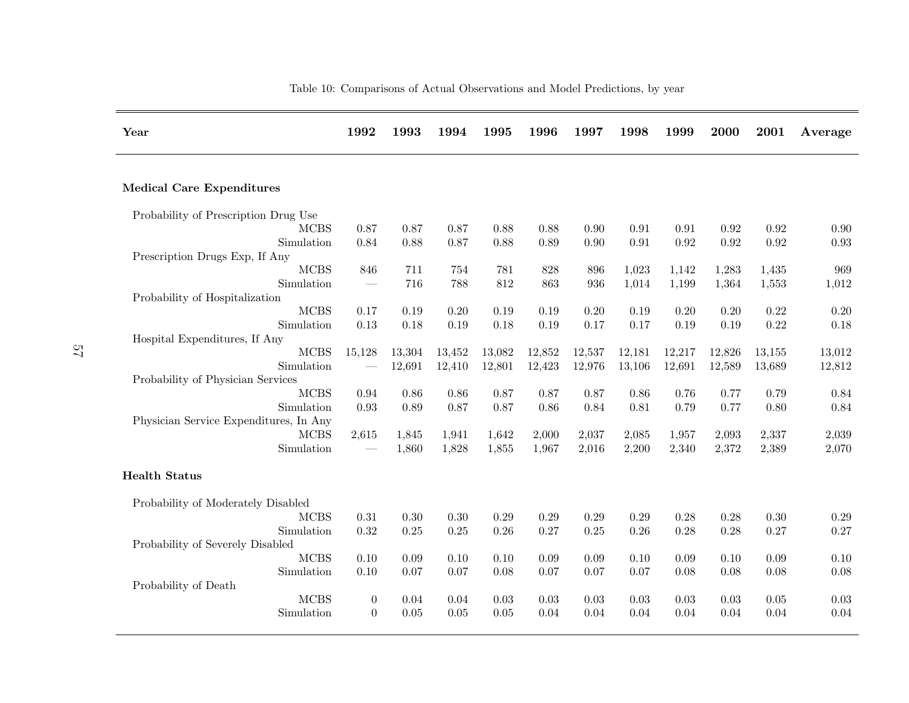| Year                                          | 1992                     | 1993       | 1994       | 1995   | 1996   | 1997   | 1998   | 1999           | 2000           | 2001   | Average  |
|-----------------------------------------------|--------------------------|------------|------------|--------|--------|--------|--------|----------------|----------------|--------|----------|
| <b>Medical Care Expenditures</b>              |                          |            |            |        |        |        |        |                |                |        |          |
|                                               |                          |            |            |        |        |        |        |                |                |        |          |
| Probability of Prescription Drug Use          |                          |            |            |        |        |        |        |                |                |        |          |
| <b>MCBS</b>                                   | 0.87                     | 0.87       | 0.87       | 0.88   | 0.88   | 0.90   | 0.91   | 0.91           | 0.92           | 0.92   | 0.90     |
| Simulation                                    | 0.84                     | 0.88       | 0.87       | 0.88   | 0.89   | 0.90   | 0.91   | 0.92           | 0.92           | 0.92   | 0.93     |
| Prescription Drugs Exp. If Any<br><b>MCBS</b> | 846                      |            |            | 781    | 828    | 896    |        |                |                |        | 969      |
| Simulation                                    |                          | 711<br>716 | 754<br>788 | 812    | 863    | 936    | 1,023  | 1,142<br>1,199 | 1,283<br>1,364 | 1,435  |          |
|                                               |                          |            |            |        |        |        | 1,014  |                |                | 1,553  | 1,012    |
| Probability of Hospitalization<br><b>MCBS</b> | 0.17                     | 0.19       | $0.20\,$   | 0.19   | 0.19   | 0.20   | 0.19   | $0.20\,$       | 0.20           | 0.22   | 0.20     |
| Simulation                                    | 0.13                     | 0.18       | 0.19       | 0.18   | 0.19   | 0.17   | 0.17   | $0.19\,$       | 0.19           | 0.22   | $0.18\,$ |
| Hospital Expenditures, If Any                 |                          |            |            |        |        |        |        |                |                |        |          |
| <b>MCBS</b>                                   | 15,128                   | 13,304     | 13,452     | 13,082 | 12,852 | 12,537 | 12,181 | 12,217         | 12,826         | 13,155 | 13,012   |
| Simulation                                    | $\overline{\phantom{m}}$ | 12,691     | 12,410     | 12,801 | 12,423 | 12,976 | 13,106 | 12,691         | 12,589         | 13,689 | 12,812   |
| Probability of Physician Services             |                          |            |            |        |        |        |        |                |                |        |          |
| <b>MCBS</b>                                   | 0.94                     | 0.86       | 0.86       | 0.87   | 0.87   | 0.87   | 0.86   | 0.76           | 0.77           | 0.79   | 0.84     |
| Simulation                                    | 0.93                     | 0.89       | 0.87       | 0.87   | 0.86   | 0.84   | 0.81   | 0.79           | 0.77           | 0.80   | 0.84     |
| Physician Service Expenditures, In Any        |                          |            |            |        |        |        |        |                |                |        |          |
| <b>MCBS</b>                                   | 2,615                    | 1,845      | 1,941      | 1,642  | 2,000  | 2,037  | 2,085  | 1,957          | 2,093          | 2,337  | 2,039    |
| Simulation                                    | $\overline{\phantom{m}}$ | 1,860      | 1,828      | 1,855  | 1,967  | 2,016  | 2,200  | 2,340          | 2,372          | 2,389  | 2,070    |
|                                               |                          |            |            |        |        |        |        |                |                |        |          |
| <b>Health Status</b>                          |                          |            |            |        |        |        |        |                |                |        |          |
| Probability of Moderately Disabled            |                          |            |            |        |        |        |        |                |                |        |          |
| <b>MCBS</b>                                   | 0.31                     | 0.30       | 0.30       | 0.29   | 0.29   | 0.29   | 0.29   | 0.28           | 0.28           | 0.30   | 0.29     |
| Simulation                                    | 0.32                     | 0.25       | 0.25       | 0.26   | 0.27   | 0.25   | 0.26   | 0.28           | 0.28           | 0.27   | 0.27     |
| Probability of Severely Disabled              |                          |            |            |        |        |        |        |                |                |        |          |
| <b>MCBS</b>                                   | 0.10                     | 0.09       | 0.10       | 0.10   | 0.09   | 0.09   | 0.10   | 0.09           | 0.10           | 0.09   | 0.10     |
| Simulation                                    | 0.10                     | 0.07       | 0.07       | 0.08   | 0.07   | 0.07   | 0.07   | 0.08           | 0.08           | 0.08   | 0.08     |
| Probability of Death                          |                          |            |            |        |        |        |        |                |                |        |          |
| <b>MCBS</b>                                   | $\boldsymbol{0}$         | 0.04       | 0.04       | 0.03   | 0.03   | 0.03   | 0.03   | $0.03\,$       | 0.03           | 0.05   | 0.03     |
| Simulation                                    | $\overline{0}$           | 0.05       | 0.05       | 0.05   | 0.04   | 0.04   | 0.04   | 0.04           | 0.04           | 0.04   | 0.04     |
|                                               |                          |            |            |        |        |        |        |                |                |        |          |

## Table 10: Comparisons of Actual Observations and Model Predictions, by year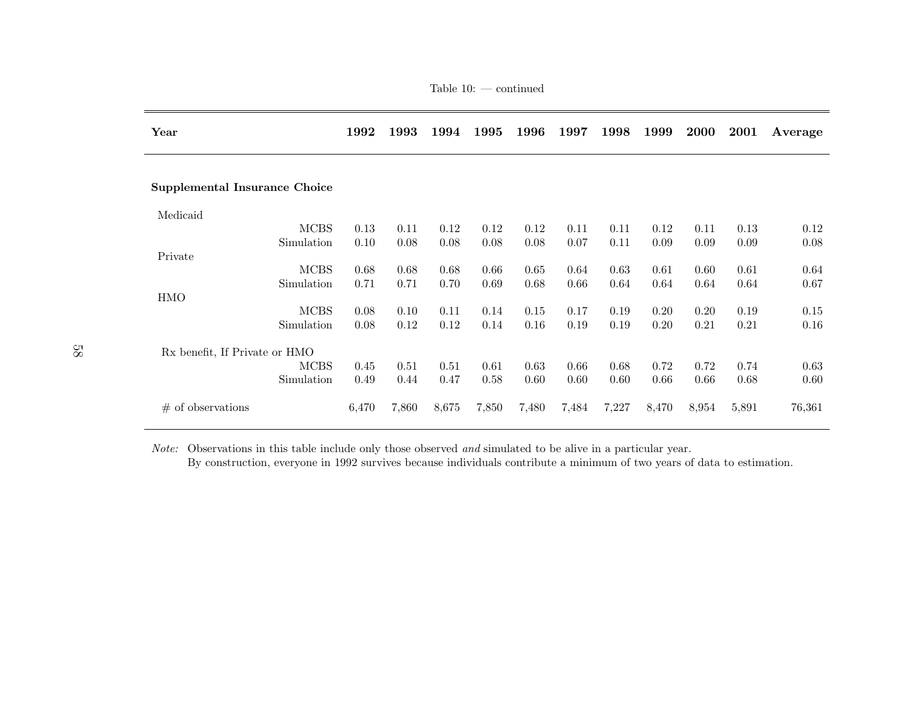| Year                                 | 1992  | 1993  | 1994  | 1995  | 1996  | 1997  | 1998  | 1999  | <b>2000</b> | 2001  | Average |
|--------------------------------------|-------|-------|-------|-------|-------|-------|-------|-------|-------------|-------|---------|
| <b>Supplemental Insurance Choice</b> |       |       |       |       |       |       |       |       |             |       |         |
| Medicaid                             |       |       |       |       |       |       |       |       |             |       |         |
| <b>MCBS</b>                          | 0.13  | 0.11  | 0.12  | 0.12  | 0.12  | 0.11  | 0.11  | 0.12  | 0.11        | 0.13  | 0.12    |
| Simulation                           | 0.10  | 0.08  | 0.08  | 0.08  | 0.08  | 0.07  | 0.11  | 0.09  | 0.09        | 0.09  | 0.08    |
| Private                              |       |       |       |       |       |       |       |       |             |       |         |
| <b>MCBS</b>                          | 0.68  | 0.68  | 0.68  | 0.66  | 0.65  | 0.64  | 0.63  | 0.61  | 0.60        | 0.61  | 0.64    |
| Simulation                           | 0.71  | 0.71  | 0.70  | 0.69  | 0.68  | 0.66  | 0.64  | 0.64  | 0.64        | 0.64  | 0.67    |
| <b>HMO</b>                           |       |       |       |       |       |       |       |       |             |       |         |
| <b>MCBS</b>                          | 0.08  | 0.10  | 0.11  | 0.14  | 0.15  | 0.17  | 0.19  | 0.20  | 0.20        | 0.19  | 0.15    |
| Simulation                           | 0.08  | 0.12  | 0.12  | 0.14  | 0.16  | 0.19  | 0.19  | 0.20  | 0.21        | 0.21  | 0.16    |
| Rx benefit, If Private or HMO        |       |       |       |       |       |       |       |       |             |       |         |
| <b>MCBS</b>                          | 0.45  | 0.51  | 0.51  | 0.61  | 0.63  | 0.66  | 0.68  | 0.72  | 0.72        | 0.74  | 0.63    |
| Simulation                           | 0.49  | 0.44  | 0.47  | 0.58  | 0.60  | 0.60  | 0.60  | 0.66  | 0.66        | 0.68  | 0.60    |
| $\#$ of observations                 | 6,470 | 7,860 | 8,675 | 7,850 | 7,480 | 7,484 | 7,227 | 8,470 | 8,954       | 5,891 | 76,361  |

Table 10: — continued

Note: Observations in this table include only those observed *and* simulated to be alive in a particular year.

By construction, everyone in 1992 survives because individuals contribute <sup>a</sup> minimum of two years of data to estimation.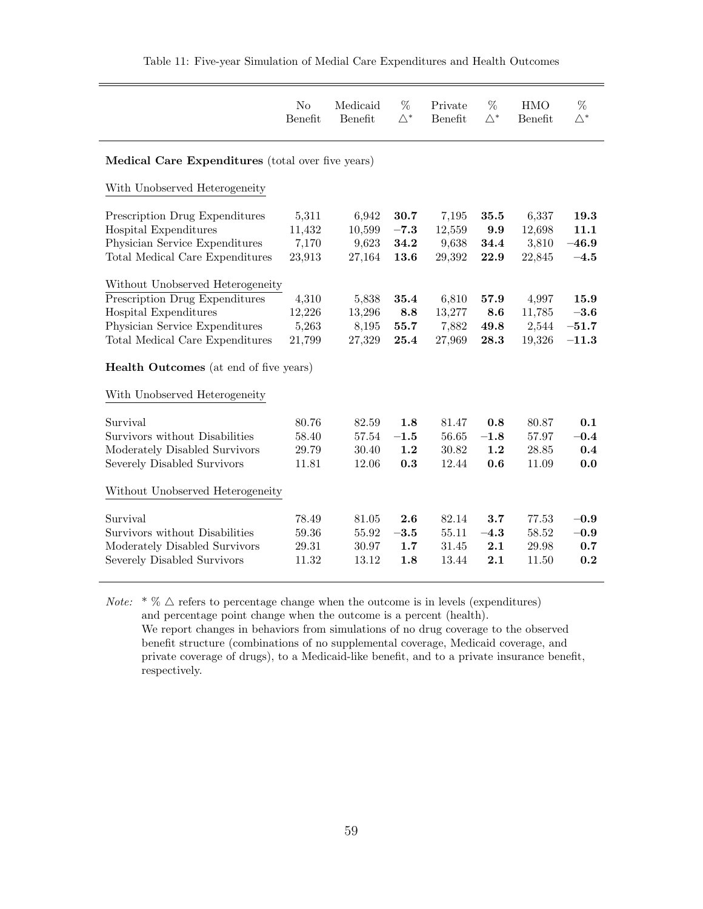|                                                                                                                                                                  | No<br>Benefit                      | Medicaid<br>Benefit                | $\%$<br>$\triangle^*$          | Private<br>Benefit                 | %<br>$\triangle^*$          | <b>HMO</b><br>Benefit              | %<br>$\triangle^*$                   |
|------------------------------------------------------------------------------------------------------------------------------------------------------------------|------------------------------------|------------------------------------|--------------------------------|------------------------------------|-----------------------------|------------------------------------|--------------------------------------|
| Medical Care Expenditures (total over five years)                                                                                                                |                                    |                                    |                                |                                    |                             |                                    |                                      |
| With Unobserved Heterogeneity                                                                                                                                    |                                    |                                    |                                |                                    |                             |                                    |                                      |
| Prescription Drug Expenditures<br>Hospital Expenditures<br>Physician Service Expenditures<br>Total Medical Care Expenditures                                     | 5,311<br>11,432<br>7,170<br>23,913 | 6,942<br>10,599<br>9,623<br>27,164 | 30.7<br>$-7.3$<br>34.2<br>13.6 | 7,195<br>12,559<br>9,638<br>29,392 | 35.5<br>9.9<br>34.4<br>22.9 | 6,337<br>12,698<br>3,810<br>22,845 | 19.3<br>11.1<br>$-46.9$<br>$-4.5$    |
| Without Unobserved Heterogeneity<br>Prescription Drug Expenditures<br>Hospital Expenditures<br>Physician Service Expenditures<br>Total Medical Care Expenditures | 4,310<br>12,226<br>5,263<br>21,799 | 5,838<br>13,296<br>8,195<br>27,329 | 35.4<br>8.8<br>55.7<br>25.4    | 6,810<br>13,277<br>7,882<br>27,969 | 57.9<br>8.6<br>49.8<br>28.3 | 4,997<br>11,785<br>2,544<br>19,326 | 15.9<br>$-3.6$<br>$-51.7$<br>$-11.3$ |
| <b>Health Outcomes</b> (at end of five years)<br>With Unobserved Heterogeneity                                                                                   |                                    |                                    |                                |                                    |                             |                                    |                                      |
| Survival<br>Survivors without Disabilities<br>Moderately Disabled Survivors<br>Severely Disabled Survivors                                                       | 80.76<br>58.40<br>29.79<br>11.81   | 82.59<br>57.54<br>30.40<br>12.06   | 1.8<br>$-1.5$<br>1.2<br>0.3    | 81.47<br>56.65<br>30.82<br>12.44   | 0.8<br>$-1.8$<br>1.2<br>0.6 | 80.87<br>57.97<br>28.85<br>11.09   | 0.1<br>$-0.4$<br>0.4<br>0.0          |
| Without Unobserved Heterogeneity                                                                                                                                 |                                    |                                    |                                |                                    |                             |                                    |                                      |
| Survival<br>Survivors without Disabilities<br>Moderately Disabled Survivors<br>Severely Disabled Survivors                                                       | 78.49<br>59.36<br>29.31<br>11.32   | 81.05<br>55.92<br>30.97<br>13.12   | 2.6<br>$-3.5$<br>1.7<br>1.8    | 82.14<br>55.11<br>31.45<br>13.44   | 3.7<br>$-4.3$<br>2.1<br>2.1 | 77.53<br>58.52<br>29.98<br>11.50   | $-0.9$<br>$-0.9$<br>0.7<br>0.2       |

*Note:*  $*\%$   $\triangle$  refers to percentage change when the outcome is in levels (expenditures) and percentage point change when the outcome is a percent (health). We report changes in behaviors from simulations of no drug coverage to the observed benefit structure (combinations of no supplemental coverage, Medicaid coverage, and private coverage of drugs), to a Medicaid-like benefit, and to a private insurance benefit, respectively.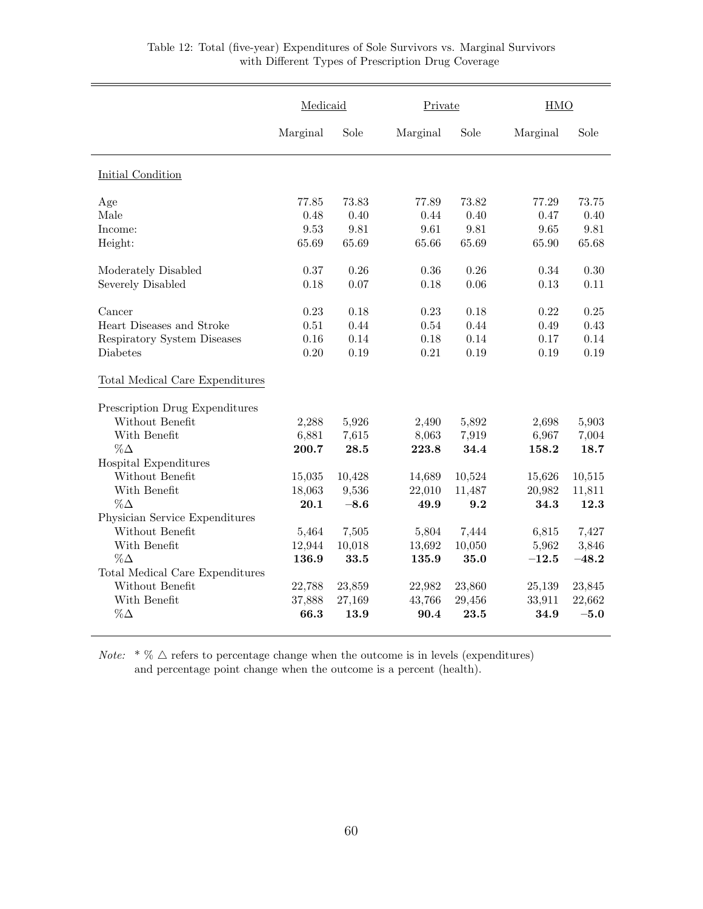|                                 | Medicaid |        | Private  |        | <b>HMO</b> |         |
|---------------------------------|----------|--------|----------|--------|------------|---------|
|                                 | Marginal | Sole   | Marginal | Sole   | Marginal   | Sole    |
| Initial Condition               |          |        |          |        |            |         |
| Age                             | 77.85    | 73.83  | 77.89    | 73.82  | 77.29      | 73.75   |
| Male                            | 0.48     | 0.40   | 0.44     | 0.40   | 0.47       | 0.40    |
| Income:                         | 9.53     | 9.81   | 9.61     | 9.81   | 9.65       | 9.81    |
| Height:                         | 65.69    | 65.69  | 65.66    | 65.69  | 65.90      | 65.68   |
| Moderately Disabled             | 0.37     | 0.26   | 0.36     | 0.26   | 0.34       | 0.30    |
| Severely Disabled               | 0.18     | 0.07   | 0.18     | 0.06   | 0.13       | 0.11    |
| Cancer                          | 0.23     | 0.18   | 0.23     | 0.18   | 0.22       | 0.25    |
| Heart Diseases and Stroke       | 0.51     | 0.44   | 0.54     | 0.44   | 0.49       | 0.43    |
| Respiratory System Diseases     | 0.16     | 0.14   | 0.18     | 0.14   | 0.17       | 0.14    |
| Diabetes                        | 0.20     | 0.19   | 0.21     | 0.19   | 0.19       | 0.19    |
| Total Medical Care Expenditures |          |        |          |        |            |         |
| Prescription Drug Expenditures  |          |        |          |        |            |         |
| Without Benefit                 | 2,288    | 5,926  | 2,490    | 5,892  | 2,698      | 5,903   |
| With Benefit                    | 6,881    | 7,615  | 8,063    | 7,919  | 6,967      | 7,004   |
| $\%\Delta$                      | 200.7    | 28.5   | 223.8    | 34.4   | 158.2      | 18.7    |
| Hospital Expenditures           |          |        |          |        |            |         |
| Without Benefit                 | 15,035   | 10,428 | 14,689   | 10,524 | 15,626     | 10,515  |
| With Benefit                    | 18,063   | 9,536  | 22,010   | 11,487 | 20,982     | 11,811  |
| $\%\Delta$                      | 20.1     | $-8.6$ | 49.9     | 9.2    | 34.3       | 12.3    |
| Physician Service Expenditures  |          |        |          |        |            |         |
| Without Benefit                 | 5,464    | 7,505  | 5,804    | 7,444  | 6,815      | 7,427   |
| With Benefit                    | 12,944   | 10,018 | 13,692   | 10,050 | 5,962      | 3,846   |
| $\%\Delta$                      | 136.9    | 33.5   | 135.9    | 35.0   | $-12.5$    | $-48.2$ |
| Total Medical Care Expenditures |          |        |          |        |            |         |
| Without Benefit                 | 22,788   | 23,859 | 22,982   | 23,860 | 25,139     | 23,845  |
| With Benefit                    | 37,888   | 27,169 | 43,766   | 29,456 | 33,911     | 22,662  |
| $\%\Delta$                      | 66.3     | 13.9   | 90.4     | 23.5   | 34.9       | $-5.0$  |

## Table 12: Total (five-year) Expenditures of Sole Survivors vs. Marginal Survivors with Different Types of Prescription Drug Coverage

*Note:*  $* \% \triangle$  refers to percentage change when the outcome is in levels (expenditures) and percentage point change when the outcome is a percent (health).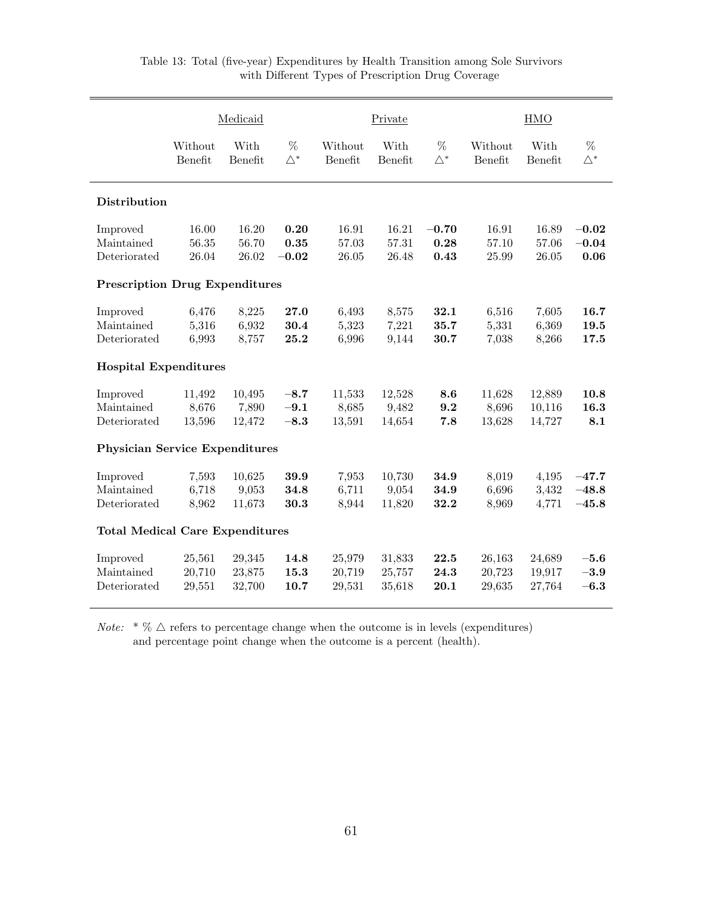|                                        |                            | Medicaid                   |                            |                            | Private                    |                         |                            | <b>HMO</b>                 |                               |
|----------------------------------------|----------------------------|----------------------------|----------------------------|----------------------------|----------------------------|-------------------------|----------------------------|----------------------------|-------------------------------|
|                                        | Without<br>Benefit         | With<br>Benefit            | %<br>$\triangle^*$         | Without<br>Benefit         | With<br>Benefit            | %<br>$\triangle^*$      | Without<br>Benefit         | With<br>Benefit            | %<br>$\triangle^*$            |
| <b>Distribution</b>                    |                            |                            |                            |                            |                            |                         |                            |                            |                               |
| Improved<br>Maintained<br>Deteriorated | 16.00<br>56.35<br>26.04    | 16.20<br>56.70<br>26.02    | 0.20<br>0.35<br>$-0.02$    | 16.91<br>57.03<br>26.05    | 16.21<br>57.31<br>26.48    | $-0.70$<br>0.28<br>0.43 | 16.91<br>57.10<br>25.99    | 16.89<br>57.06<br>26.05    | $-0.02$<br>$-0.04$<br>0.06    |
| <b>Prescription Drug Expenditures</b>  |                            |                            |                            |                            |                            |                         |                            |                            |                               |
| Improved<br>Maintained<br>Deteriorated | 6,476<br>5,316<br>6,993    | 8,225<br>6,932<br>8,757    | 27.0<br>30.4<br>25.2       | 6,493<br>5,323<br>6,996    | 8,575<br>7,221<br>9,144    | 32.1<br>35.7<br>30.7    | 6,516<br>5,331<br>7,038    | 7,605<br>6,369<br>8,266    | 16.7<br>19.5<br>17.5          |
| <b>Hospital Expenditures</b>           |                            |                            |                            |                            |                            |                         |                            |                            |                               |
| Improved<br>Maintained<br>Deteriorated | 11,492<br>8,676<br>13,596  | 10,495<br>7,890<br>12,472  | $-8.7$<br>$-9.1$<br>$-8.3$ | 11,533<br>8,685<br>13,591  | 12,528<br>9,482<br>14,654  | 8.6<br>9.2<br>7.8       | 11,628<br>8,696<br>13,628  | 12,889<br>10,116<br>14,727 | 10.8<br>16.3<br>8.1           |
| <b>Physician Service Expenditures</b>  |                            |                            |                            |                            |                            |                         |                            |                            |                               |
| Improved<br>Maintained<br>Deteriorated | 7,593<br>6,718<br>8,962    | 10,625<br>9,053<br>11,673  | 39.9<br>34.8<br>30.3       | 7,953<br>6,711<br>8,944    | 10,730<br>9,054<br>11,820  | 34.9<br>34.9<br>32.2    | 8,019<br>6,696<br>8,969    | 4,195<br>3,432<br>4,771    | $-47.7$<br>$-48.8$<br>$-45.8$ |
| <b>Total Medical Care Expenditures</b> |                            |                            |                            |                            |                            |                         |                            |                            |                               |
| Improved<br>Maintained<br>Deteriorated | 25,561<br>20,710<br>29,551 | 29,345<br>23,875<br>32,700 | 14.8<br>15.3<br>10.7       | 25,979<br>20,719<br>29,531 | 31,833<br>25,757<br>35,618 | 22.5<br>24.3<br>20.1    | 26,163<br>20,723<br>29,635 | 24,689<br>19,917<br>27,764 | $-5.6$<br>$-3.9$<br>$-6.3$    |

*Note:*  $\sqrt[*]{6}$   $\triangle$  refers to percentage change when the outcome is in levels (expenditures) and percentage point change when the outcome is a percent (health).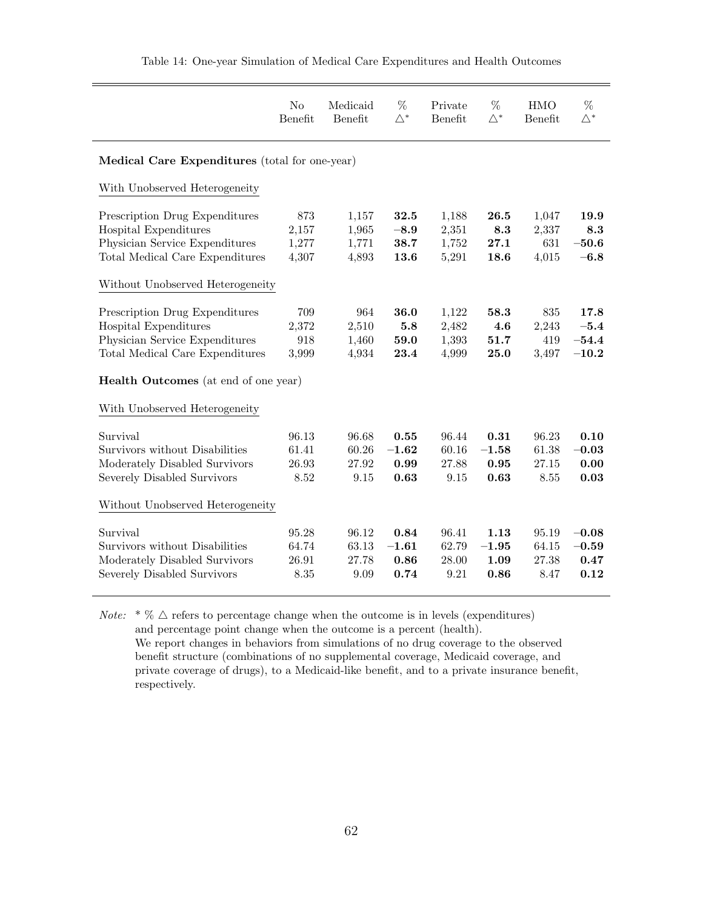|                                                                                                                                                                             | N <sub>o</sub><br>Benefit                      | Medicaid<br>Benefit              | $\%$<br>$\bigwedge^*$           | Private<br>Benefit               | %<br>$\bigwedge^*$              | <b>HMO</b><br>Benefit           | %<br>$\triangle^*$                   |  |  |  |  |
|-----------------------------------------------------------------------------------------------------------------------------------------------------------------------------|------------------------------------------------|----------------------------------|---------------------------------|----------------------------------|---------------------------------|---------------------------------|--------------------------------------|--|--|--|--|
|                                                                                                                                                                             | Medical Care Expenditures (total for one-year) |                                  |                                 |                                  |                                 |                                 |                                      |  |  |  |  |
| With Unobserved Heterogeneity                                                                                                                                               |                                                |                                  |                                 |                                  |                                 |                                 |                                      |  |  |  |  |
| Prescription Drug Expenditures<br>Hospital Expenditures<br>Physician Service Expenditures<br>Total Medical Care Expenditures                                                | $873\,$<br>2,157<br>1,277<br>4,307             | 1,157<br>1,965<br>1,771<br>4,893 | 32.5<br>$-8.9$<br>38.7<br>13.6  | 1,188<br>2,351<br>1,752<br>5,291 | 26.5<br>8.3<br>27.1<br>18.6     | 1,047<br>2,337<br>631<br>4,015  | 19.9<br>8.3<br>$-50.6$<br>$-6.8$     |  |  |  |  |
| Without Unobserved Heterogeneity                                                                                                                                            |                                                |                                  |                                 |                                  |                                 |                                 |                                      |  |  |  |  |
| Prescription Drug Expenditures<br>Hospital Expenditures<br>Physician Service Expenditures<br>Total Medical Care Expenditures<br><b>Health Outcomes</b> (at end of one year) | 709<br>2,372<br>918<br>3,999                   | 964<br>2,510<br>1,460<br>4,934   | 36.0<br>5.8<br>59.0<br>23.4     | 1,122<br>2,482<br>1,393<br>4,999 | 58.3<br>4.6<br>51.7<br>25.0     | 835<br>2,243<br>419<br>3,497    | 17.8<br>$-5.4$<br>$-54.4$<br>$-10.2$ |  |  |  |  |
| With Unobserved Heterogeneity                                                                                                                                               |                                                |                                  |                                 |                                  |                                 |                                 |                                      |  |  |  |  |
| Survival<br>Survivors without Disabilities<br>Moderately Disabled Survivors<br>Severely Disabled Survivors                                                                  | 96.13<br>61.41<br>26.93<br>8.52                | 96.68<br>60.26<br>27.92<br>9.15  | 0.55<br>$-1.62$<br>0.99<br>0.63 | 96.44<br>60.16<br>27.88<br>9.15  | 0.31<br>$-1.58$<br>0.95<br>0.63 | 96.23<br>61.38<br>27.15<br>8.55 | 0.10<br>$-0.03$<br>0.00<br>0.03      |  |  |  |  |
| Without Unobserved Heterogeneity                                                                                                                                            |                                                |                                  |                                 |                                  |                                 |                                 |                                      |  |  |  |  |
| Survival<br>Survivors without Disabilities<br>Moderately Disabled Survivors<br>Severely Disabled Survivors                                                                  | 95.28<br>64.74<br>26.91<br>8.35                | 96.12<br>63.13<br>27.78<br>9.09  | 0.84<br>$-1.61$<br>0.86<br>0.74 | 96.41<br>62.79<br>28.00<br>9.21  | 1.13<br>$-1.95$<br>1.09<br>0.86 | 95.19<br>64.15<br>27.38<br>8.47 | $-0.08$<br>$-0.59$<br>0.47<br>0.12   |  |  |  |  |

Table 14: One-year Simulation of Medical Care Expenditures and Health Outcomes

*Note:*  $* \% \triangle$  refers to percentage change when the outcome is in levels (expenditures) and percentage point change when the outcome is a percent (health). We report changes in behaviors from simulations of no drug coverage to the observed benefit structure (combinations of no supplemental coverage, Medicaid coverage, and private coverage of drugs), to a Medicaid-like benefit, and to a private insurance benefit, respectively.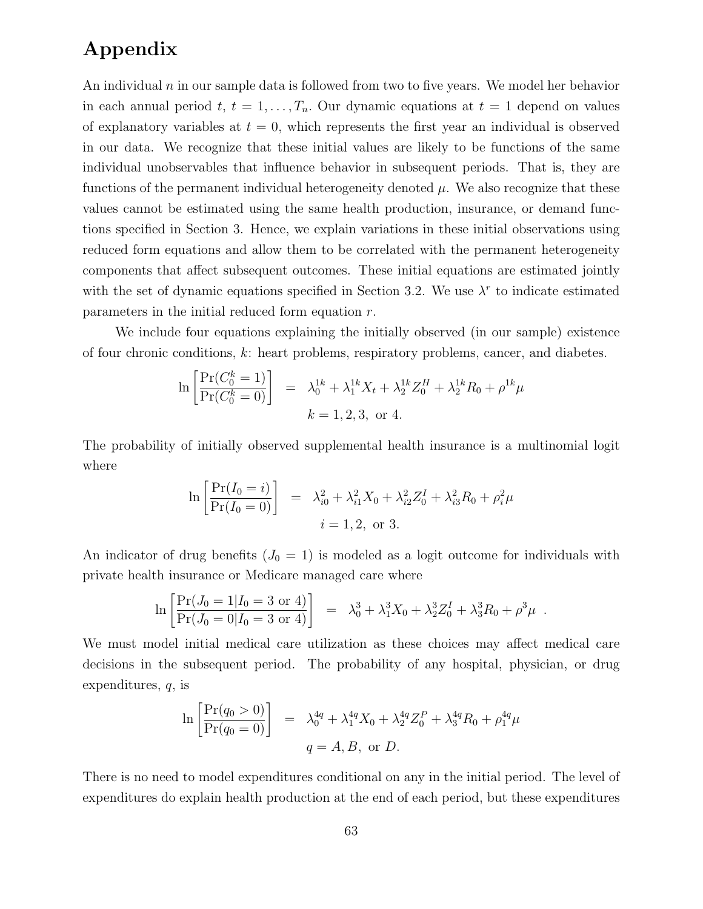# Appendix

An individual  $n$  in our sample data is followed from two to five years. We model her behavior in each annual period  $t, t = 1, \ldots, T_n$ . Our dynamic equations at  $t = 1$  depend on values of explanatory variables at  $t = 0$ , which represents the first year an individual is observed in our data. We recognize that these initial values are likely to be functions of the same individual unobservables that influence behavior in subsequent periods. That is, they are functions of the permanent individual heterogeneity denoted  $\mu$ . We also recognize that these values cannot be estimated using the same health production, insurance, or demand functions specified in Section 3. Hence, we explain variations in these initial observations using reduced form equations and allow them to be correlated with the permanent heterogeneity components that affect subsequent outcomes. These initial equations are estimated jointly with the set of dynamic equations specified in Section 3.2. We use  $\lambda^r$  to indicate estimated parameters in the initial reduced form equation r.

We include four equations explaining the initially observed (in our sample) existence of four chronic conditions, k: heart problems, respiratory problems, cancer, and diabetes.

$$
\ln \left[ \frac{\Pr(C_0^k = 1)}{\Pr(C_0^k = 0)} \right] = \lambda_0^{1k} + \lambda_1^{1k} X_t + \lambda_2^{1k} Z_0^H + \lambda_2^{1k} R_0 + \rho^{1k} \mu
$$
  

$$
k = 1, 2, 3, \text{ or } 4.
$$

The probability of initially observed supplemental health insurance is a multinomial logit where

$$
\ln\left[\frac{\Pr(I_0 = i)}{\Pr(I_0 = 0)}\right] = \lambda_{i0}^2 + \lambda_{i1}^2 X_0 + \lambda_{i2}^2 Z_0^I + \lambda_{i3}^2 R_0 + \rho_i^2 \mu_{i1} + \lambda_{i2}^2 Z_0^I
$$
  
 $i = 1, 2, \text{ or } 3.$ 

An indicator of drug benefits  $(J_0 = 1)$  is modeled as a logit outcome for individuals with private health insurance or Medicare managed care where

$$
\ln \left[ \frac{\Pr(J_0 = 1 | I_0 = 3 \text{ or } 4)}{\Pr(J_0 = 0 | I_0 = 3 \text{ or } 4)} \right] = \lambda_0^3 + \lambda_1^3 X_0 + \lambda_2^3 Z_0^I + \lambda_3^3 R_0 + \rho^3 \mu.
$$

We must model initial medical care utilization as these choices may affect medical care decisions in the subsequent period. The probability of any hospital, physician, or drug expenditures, q, is

$$
\ln\left[\frac{\Pr(q_0 > 0)}{\Pr(q_0 = 0)}\right] = \lambda_0^{4q} + \lambda_1^{4q} X_0 + \lambda_2^{4q} Z_0^P + \lambda_3^{4q} R_0 + \rho_1^{4q} \mu
$$
  
  $q = A, B, \text{ or } D.$ 

There is no need to model expenditures conditional on any in the initial period. The level of expenditures do explain health production at the end of each period, but these expenditures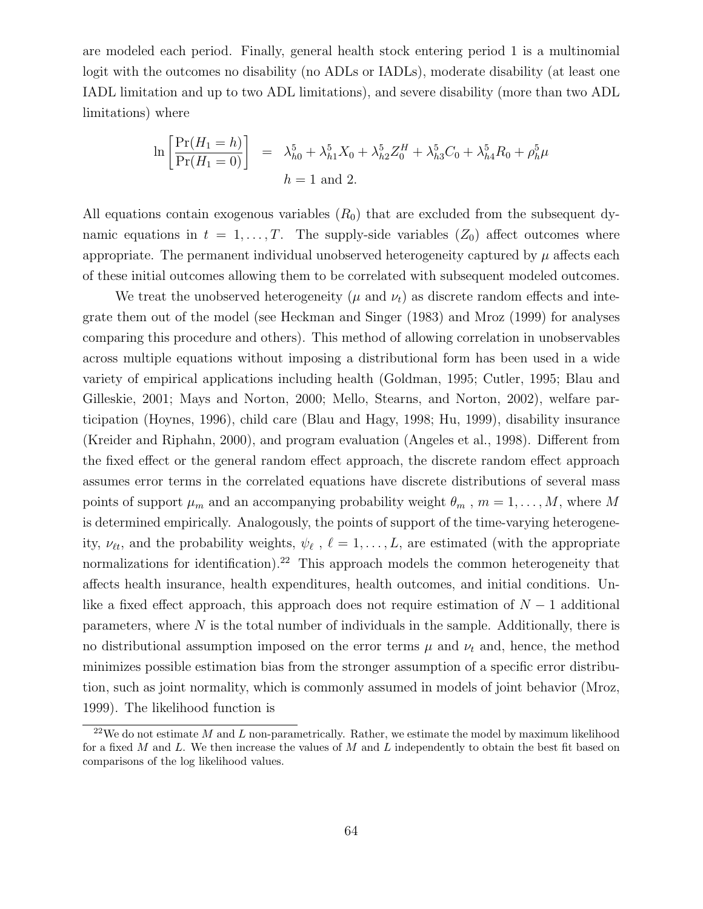are modeled each period. Finally, general health stock entering period 1 is a multinomial logit with the outcomes no disability (no ADLs or IADLs), moderate disability (at least one IADL limitation and up to two ADL limitations), and severe disability (more than two ADL limitations) where

$$
\ln\left[\frac{\Pr(H_1 = h)}{\Pr(H_1 = 0)}\right] = \lambda_{h0}^5 + \lambda_{h1}^5 X_0 + \lambda_{h2}^5 Z_0^H + \lambda_{h3}^5 C_0 + \lambda_{h4}^5 R_0 + \rho_h^5 \mu
$$
  

$$
h = 1 \text{ and } 2.
$$

All equations contain exogenous variables  $(R_0)$  that are excluded from the subsequent dynamic equations in  $t = 1, \ldots, T$ . The supply-side variables  $(Z_0)$  affect outcomes where appropriate. The permanent individual unobserved heterogeneity captured by  $\mu$  affects each of these initial outcomes allowing them to be correlated with subsequent modeled outcomes.

We treat the unobserved heterogeneity  $(\mu$  and  $\nu_t)$  as discrete random effects and integrate them out of the model (see Heckman and Singer (1983) and Mroz (1999) for analyses comparing this procedure and others). This method of allowing correlation in unobservables across multiple equations without imposing a distributional form has been used in a wide variety of empirical applications including health (Goldman, 1995; Cutler, 1995; Blau and Gilleskie, 2001; Mays and Norton, 2000; Mello, Stearns, and Norton, 2002), welfare participation (Hoynes, 1996), child care (Blau and Hagy, 1998; Hu, 1999), disability insurance (Kreider and Riphahn, 2000), and program evaluation (Angeles et al., 1998). Different from the fixed effect or the general random effect approach, the discrete random effect approach assumes error terms in the correlated equations have discrete distributions of several mass points of support  $\mu_m$  and an accompanying probability weight  $\theta_m$ ,  $m = 1, \ldots, M$ , where M is determined empirically. Analogously, the points of support of the time-varying heterogeneity,  $\nu_{\ell t}$ , and the probability weights,  $\psi_{\ell}$ ,  $\ell = 1, \ldots, L$ , are estimated (with the appropriate normalizations for identification).<sup>22</sup> This approach models the common heterogeneity that affects health insurance, health expenditures, health outcomes, and initial conditions. Unlike a fixed effect approach, this approach does not require estimation of  $N-1$  additional parameters, where N is the total number of individuals in the sample. Additionally, there is no distributional assumption imposed on the error terms  $\mu$  and  $\nu_t$  and, hence, the method minimizes possible estimation bias from the stronger assumption of a specific error distribution, such as joint normality, which is commonly assumed in models of joint behavior (Mroz, 1999). The likelihood function is

<sup>&</sup>lt;sup>22</sup>We do not estimate M and L non-parametrically. Rather, we estimate the model by maximum likelihood for a fixed M and L. We then increase the values of M and L independently to obtain the best fit based on comparisons of the log likelihood values.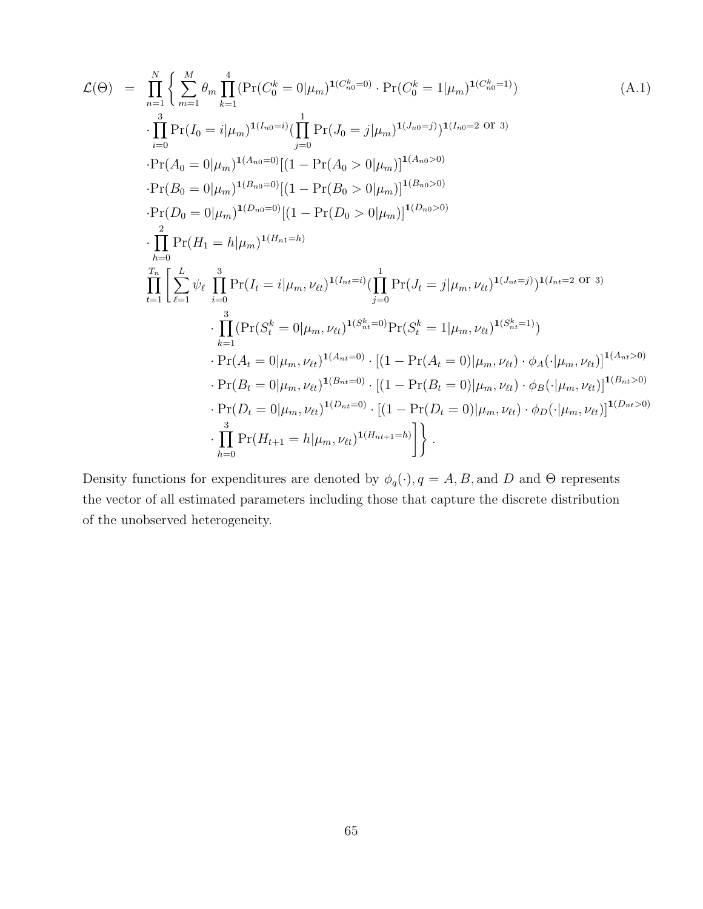$$
\mathcal{L}(\Theta) = \prod_{n=1}^{N} \left\{ \sum_{m=1}^{M} \theta_{m} \prod_{k=1}^{4} (\Pr(C_{0}^{k} = 0 | \mu_{m})^{1(C_{n0}^{k} = 0)} \cdot \Pr(C_{0}^{k} = 1 | \mu_{m})^{1(C_{n0}^{k} = 1)}) \right\} \cdot \prod_{i=0}^{3} \Pr(I_{0} = i | \mu_{m})^{1(I_{n0} = i)} (\prod_{j=0}^{1} \Pr(J_{0} = j | \mu_{m})^{1(I_{n0} = j)})^{1(I_{n0} = 2 \text{ or } 3)} \n\cdot \Pr(A_{0} = 0 | \mu_{m})^{1(A_{n0} = 0)} [(1 - \Pr(A_{0} > 0 | \mu_{m})]^{1(A_{n0} > 0)} \n\cdot \Pr(B_{0} = 0 | \mu_{m})^{1(B_{n0} = 0)} [(1 - \Pr(B_{0} > 0 | \mu_{m})]^{1(B_{n0} > 0)} \n\cdot \prod_{k=0}^{2} \Pr(H_{1} = h | \mu_{m})^{1(H_{n1} = h)} \n\prod_{k=0}^{T_{n}} \left\{ \sum_{\ell=1}^{L} \psi_{\ell} \prod_{i=0}^{3} \Pr(I_{\ell} = i | \mu_{m}, \nu_{\ell})^{1(I_{n\ell} = i)} (\prod_{j=0}^{1} \Pr(J_{\ell} = j | \mu_{m}, \nu_{\ell})^{1(I_{n\ell} = j)})^{1(I_{n\ell} = 2 \text{ or } 3)} \right\} \cdot \prod_{k=1}^{3} (\Pr(S_{\ell}^{k} = 0 | \mu_{m}, \nu_{\ell})^{1(A_{n\ell} = 0)} \cdot \left[ (1 - \Pr(A_{\ell} = 0) | \mu_{m}, \nu_{\ell})^{1(S_{n\ell}^{k} = 1)} \right] \n\cdot \Pr(A_{\ell} = 0 | \mu_{m}, \nu_{\ell})^{1(A_{n\ell} = 0)} \cdot \left[ (1 - \Pr(B_{\ell} = 0) | \mu_{m}, \nu_{\ell}) \cdot \phi_{A}(\cdot | \mu_{m}, \nu_{\ell}) \right]^{1(A_{n\ell} > 0)} \n\cdot \Pr(B_{\ell} = 0 | \mu_{m}, \nu_{\ell})^{1
$$

Density functions for expenditures are denoted by  $\phi_q(\cdot)$ ,  $q = A, B$ , and D and  $\Theta$  represents the vector of all estimated parameters including those that capture the discrete distribution of the unobserved heterogeneity.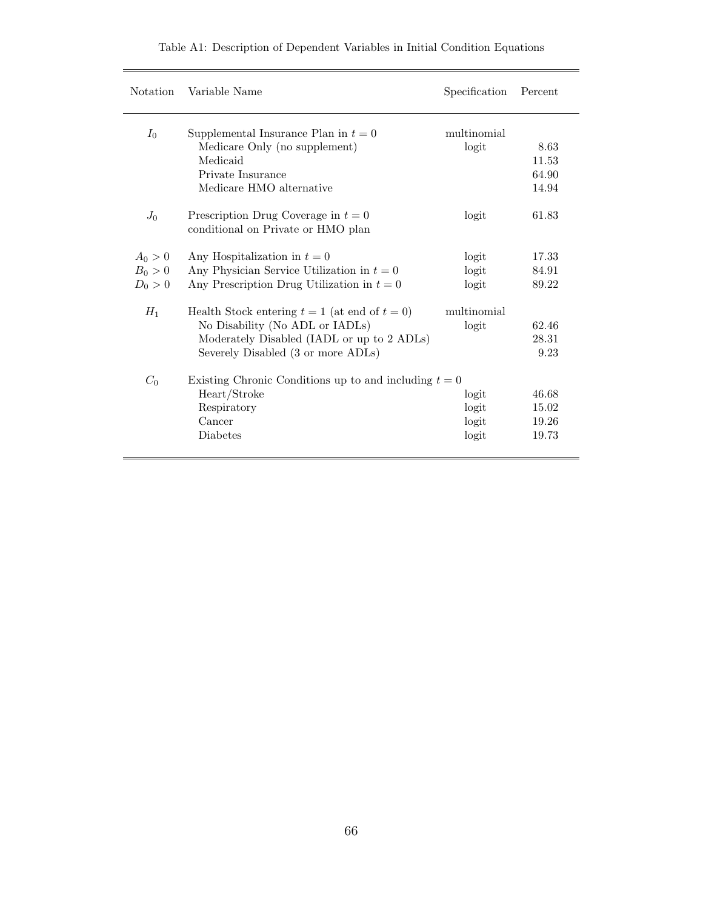| Notation  | Variable Name                                                               | Specification | Percent |
|-----------|-----------------------------------------------------------------------------|---------------|---------|
| $I_0$     | Supplemental Insurance Plan in $t=0$                                        | multinomial   |         |
|           | Medicare Only (no supplement)                                               | logit         | 8.63    |
|           | Medicaid                                                                    |               | 11.53   |
|           | Private Insurance                                                           |               | 64.90   |
|           | Medicare HMO alternative                                                    |               | 14.94   |
| $J_0$     | Prescription Drug Coverage in $t = 0$<br>conditional on Private or HMO plan | logit         | 61.83   |
|           |                                                                             |               |         |
| $A_0 > 0$ | Any Hospitalization in $t=0$                                                | logit         | 17.33   |
| $B_0 > 0$ | Any Physician Service Utilization in $t=0$                                  | logit         | 84.91   |
| $D_0 > 0$ | Any Prescription Drug Utilization in $t = 0$                                | logit         | 89.22   |
| $H_1$     | Health Stock entering $t = 1$ (at end of $t = 0$ )                          | multinomial   |         |
|           | No Disability (No ADL or IADLs)                                             | logit         | 62.46   |
|           | Moderately Disabled (IADL or up to 2 ADLs)                                  |               | 28.31   |
|           | Severely Disabled (3 or more ADLs)                                          |               | 9.23    |
| $C_0$     | Existing Chronic Conditions up to and including $t = 0$                     |               |         |
|           | Heart/Stroke                                                                | logit         | 46.68   |
|           | Respiratory                                                                 | logit         | 15.02   |
|           | Cancer                                                                      | logit         | 19.26   |
|           | Diabetes                                                                    | logit         | 19.73   |
|           |                                                                             |               |         |

# Table A1: Description of Dependent Variables in Initial Condition Equations

 $\equiv$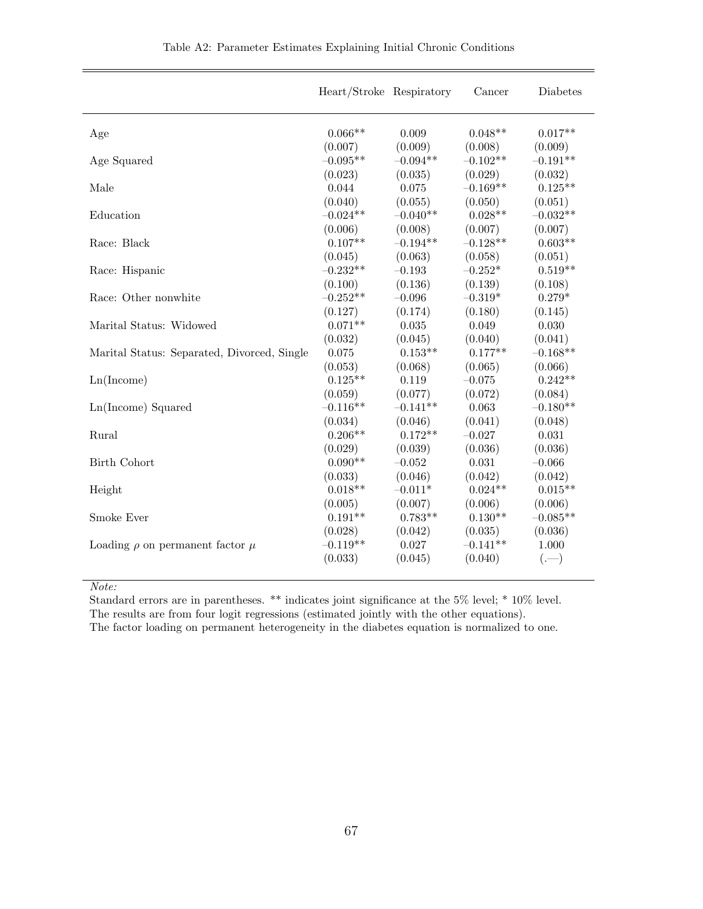|                                             | Heart/Stroke Respiratory |            | Cancer     | Diabetes   |
|---------------------------------------------|--------------------------|------------|------------|------------|
| Age                                         | $0.066**$                | 0.009      | $0.048**$  | $0.017**$  |
|                                             | (0.007)                  | (0.009)    | (0.008)    | (0.009)    |
| Age Squared                                 | $-0.095**$               | $-0.094**$ | $-0.102**$ | $-0.191**$ |
|                                             | (0.023)                  | (0.035)    | (0.029)    | (0.032)    |
| Male                                        | 0.044                    | 0.075      | $-0.169**$ | $0.125**$  |
|                                             | (0.040)                  | (0.055)    | (0.050)    | (0.051)    |
| Education                                   | $-0.024**$               | $-0.040**$ | $0.028**$  | $-0.032**$ |
|                                             | (0.006)                  | (0.008)    | (0.007)    | (0.007)    |
| Race: Black                                 | $0.107**$                | $-0.194**$ | $-0.128**$ | $0.603**$  |
|                                             | (0.045)                  | (0.063)    | (0.058)    | (0.051)    |
| Race: Hispanic                              | $-0.232**$               | $-0.193$   | $-0.252*$  | $0.519**$  |
|                                             | (0.100)                  | (0.136)    | (0.139)    | (0.108)    |
| Race: Other nonwhite                        | $-0.252**$               | $-0.096$   | $-0.319*$  | $0.279*$   |
|                                             | (0.127)                  | (0.174)    | (0.180)    | (0.145)    |
| Marital Status: Widowed                     | $0.071**$                | 0.035      | 0.049      | 0.030      |
|                                             | (0.032)                  | (0.045)    | (0.040)    | (0.041)    |
| Marital Status: Separated, Divorced, Single | 0.075                    | $0.153**$  | $0.177**$  | $-0.168**$ |
|                                             | (0.053)                  | (0.068)    | (0.065)    | (0.066)    |
| Ln(Income)                                  | $0.125**$                | 0.119      | $-0.075$   | $0.242**$  |
|                                             | (0.059)                  | (0.077)    | (0.072)    | (0.084)    |
| Ln(Income) Squared                          | $-0.116**$               | $-0.141**$ | 0.063      | $-0.180**$ |
|                                             | (0.034)                  | (0.046)    | (0.041)    | (0.048)    |
| Rural                                       | $0.206**$                | $0.172**$  | $-0.027$   | 0.031      |
|                                             | (0.029)                  | (0.039)    | (0.036)    | (0.036)    |
| Birth Cohort                                | $0.090**$                | $-0.052$   | 0.031      | $-0.066$   |
|                                             | (0.033)                  | (0.046)    | (0.042)    | (0.042)    |
| Height                                      | $0.018**$                | $-0.011*$  | $0.024**$  | $0.015**$  |
|                                             | (0.005)                  | (0.007)    | (0.006)    | (0.006)    |
| Smoke Ever                                  | $0.191**$                | $0.783**$  | $0.130**$  | $-0.085**$ |
|                                             | (0.028)                  | (0.042)    | (0.035)    | (0.036)    |
| Loading $\rho$ on permanent factor $\mu$    | $-0.119**$               | 0.027      | $-0.141**$ | 1.000      |
|                                             | (0.033)                  | (0.045)    | (0.040)    | $(-)$      |
|                                             |                          |            |            |            |

Note:

Standard errors are in parentheses. \*\* indicates joint significance at the 5% level; \* 10% level. The results are from four logit regressions (estimated jointly with the other equations).

The factor loading on permanent heterogeneity in the diabetes equation is normalized to one.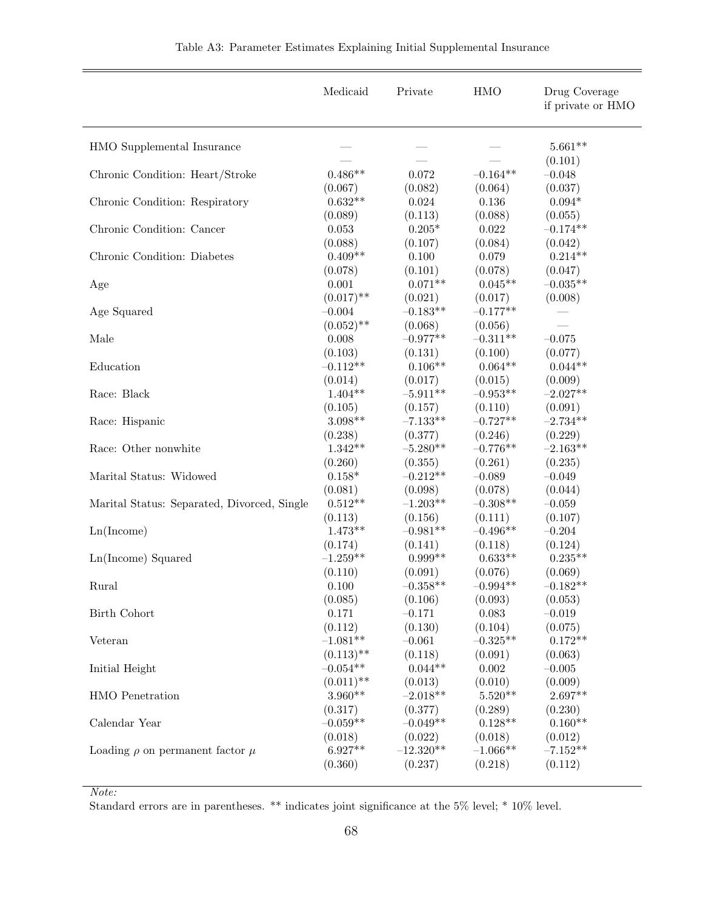|                                             | Medicaid                 | Private               | <b>HMO</b>            | Drug Coverage<br>if private or HMO |
|---------------------------------------------|--------------------------|-----------------------|-----------------------|------------------------------------|
| HMO Supplemental Insurance                  |                          |                       |                       | $5.661**$                          |
| Chronic Condition: Heart/Stroke             | $0.486**$                | 0.072                 | $-0.164**$            | (0.101)<br>$-0.048$                |
| Chronic Condition: Respiratory              | (0.067)                  | (0.082)               | (0.064)               | (0.037)                            |
|                                             | $0.632**$                | $\,0.024\,$           | 0.136                 | $0.094*$                           |
|                                             | (0.089)                  | (0.113)               | (0.088)               | (0.055)                            |
| Chronic Condition: Cancer                   | 0.053                    | $0.205*$              | 0.022                 | $-0.174**$                         |
|                                             | (0.088)                  | (0.107)               | (0.084)               | (0.042)                            |
| Chronic Condition: Diabetes                 | $0.409**$                | $0.100\,$             | 0.079                 | $0.214**$                          |
|                                             | (0.078)                  | (0.101)               | (0.078)               | (0.047)                            |
| Age                                         | 0.001                    | $0.071**$             | $0.045**$             | $-0.035**$                         |
|                                             | $(0.017)$ **             | (0.021)               | (0.017)               | (0.008)                            |
| Age Squared                                 | $-0.004$<br>$(0.052)$ ** | $-0.183**$<br>(0.068) | $-0.177**$<br>(0.056) |                                    |
| Male                                        | 0.008                    | $-0.977**$            | $-0.311**$            | $-0.075$                           |
|                                             | (0.103)                  | (0.131)               | (0.100)               | (0.077)                            |
| Education                                   | $-0.112**$               | $0.106**$             | $0.064**$             | $0.044**$                          |
|                                             | (0.014)                  | (0.017)               | (0.015)               | (0.009)                            |
| Race: Black                                 | $1.404**$                | $-5.911**$            | $-0.953**$            | $-2.027**$                         |
|                                             | (0.105)                  | (0.157)               | (0.110)               | (0.091)                            |
| Race: Hispanic                              | $3.098**$                | $-7.133**$            | $-0.727**$            | $-2.734**$                         |
|                                             | (0.238)                  | (0.377)               | (0.246)               | (0.229)                            |
| Race: Other nonwhite                        | $1.342**$                | $-5.280**$            | $-0.776**$            | $-2.163**$                         |
|                                             | (0.260)                  | (0.355)               | (0.261)               | (0.235)                            |
| Marital Status: Widowed                     | $0.158*$                 | $-0.212**$            | $-0.089$              | $-0.049$                           |
|                                             | (0.081)                  | (0.098)               | (0.078)               | (0.044)                            |
|                                             | $0.512**$                | $-1.203**$            | $-0.308**$            | $-0.059$                           |
| Marital Status: Separated, Divorced, Single | (0.113)                  | (0.156)               | (0.111)               | (0.107)                            |
| Ln(Income)                                  | $1.473**$                | $-0.981**$            | $-0.496**$            | $-0.204$                           |
| Ln(Income) Squared                          | (0.174)                  | (0.141)               | (0.118)               | (0.124)                            |
|                                             | $-1.259**$               | $0.999**$             | $0.633**$             | $0.235**$                          |
| Rural                                       | (0.110)                  | (0.091)               | (0.076)               | (0.069)                            |
|                                             | 0.100                    | $-0.358**$            | $-0.994**$            | $-0.182**$                         |
| <b>Birth Cohort</b>                         | (0.085)                  | (0.106)               | (0.093)               | (0.053)                            |
|                                             | 0.171                    | $-0.171$              | 0.083                 | $-0.019$                           |
| Veteran                                     | (0.112)                  | (0.130)               | (0.104)               | (0.075)                            |
|                                             | $-1.081**$               | $-0.061$              | $-0.325**$            | $0.172**$                          |
| Initial Height                              | $(0.113)$ **             | (0.118)               | (0.091)               | (0.063)                            |
|                                             | $-0.054**$               | $0.044**$             | 0.002                 | $-0.005$                           |
| HMO Penetration                             | $(0.011)$ **             | (0.013)               | (0.010)               | (0.009)                            |
|                                             | $3.960**$                | $-2.018**$            | $5.520**$             | $2.697**$                          |
| Calendar Year                               | (0.317)                  | (0.377)               | (0.289)               | (0.230)                            |
|                                             | $-0.059**$               | $-0.049**$            | $0.128**$             | $0.160**$                          |
| Loading $\rho$ on permanent factor $\mu$    | (0.018)                  | (0.022)               | (0.018)               | (0.012)                            |
|                                             | $6.927**$                | $-12.320**$           | $-1.066**$            | $-7.152**$                         |
|                                             | (0.360)                  | (0.237)               | (0.218)               | (0.112)                            |
|                                             |                          |                       |                       |                                    |

Note:

Standard errors are in parentheses. \*\* indicates joint significance at the 5% level; \* 10% level.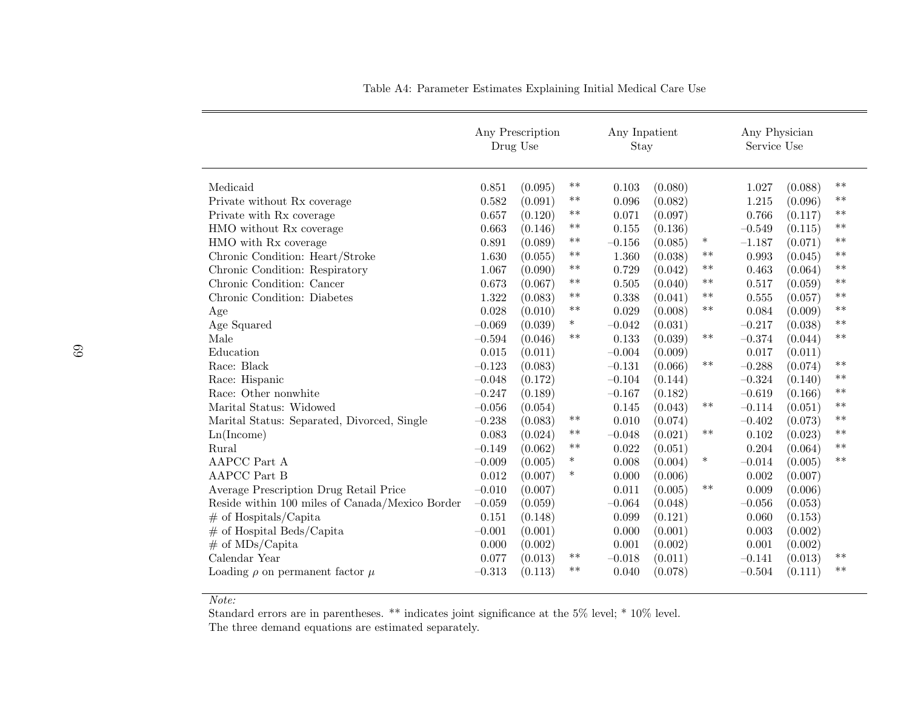|                                                 |          | Any Prescription<br>Drug Use |        | Any Inpatient<br>Stay |         |        | Any Physician<br>Service Use |         |       |
|-------------------------------------------------|----------|------------------------------|--------|-----------------------|---------|--------|------------------------------|---------|-------|
| Medicaid                                        | 0.851    | (0.095)                      | $***$  | 0.103                 | (0.080) |        | 1.027                        | (0.088) | $**$  |
| Private without Rx coverage                     | 0.582    | (0.091)                      | $***$  | 0.096                 | (0.082) |        | 1.215                        | (0.096) | $***$ |
| Private with Rx coverage                        | 0.657    | (0.120)                      | **     | 0.071                 | (0.097) |        | 0.766                        | (0.117) | $**$  |
| HMO without Rx coverage                         | 0.663    | (0.146)                      | $***$  | 0.155                 | (0.136) |        | $-0.549$                     | (0.115) | $**$  |
| HMO with Rx coverage                            | 0.891    | (0.089)                      | $***$  | $-0.156$              | (0.085) | $\ast$ | $-1.187$                     | (0.071) | $***$ |
| Chronic Condition: Heart/Stroke                 | 1.630    | (0.055)                      | $***$  | 1.360                 | (0.038) | $***$  | 0.993                        | (0.045) | $***$ |
| Chronic Condition: Respiratory                  | 1.067    | (0.090)                      | $***$  | 0.729                 | (0.042) | $***$  | 0.463                        | (0.064) | $**$  |
| Chronic Condition: Cancer                       | 0.673    | (0.067)                      | $***$  | 0.505                 | (0.040) | $***$  | 0.517                        | (0.059) | $***$ |
| Chronic Condition: Diabetes                     | 1.322    | (0.083)                      | $***$  | 0.338                 | (0.041) | $***$  | 0.555                        | (0.057) | $***$ |
| Age                                             | 0.028    | (0.010)                      | $***$  | 0.029                 | (0.008) | $***$  | 0.084                        | (0.009) | $***$ |
| Age Squared                                     | $-0.069$ | (0.039)                      | $\ast$ | $-0.042$              | (0.031) |        | $-0.217$                     | (0.038) | $***$ |
| Male                                            | $-0.594$ | (0.046)                      | $***$  | 0.133                 | (0.039) | $***$  | $-0.374$                     | (0.044) | $***$ |
| Education                                       | 0.015    | (0.011)                      |        | $-0.004$              | (0.009) |        | 0.017                        | (0.011) |       |
| Race: Black                                     | $-0.123$ | (0.083)                      |        | $-0.131$              | (0.066) | $***$  | $-0.288$                     | (0.074) | $***$ |
| Race: Hispanic                                  | $-0.048$ | (0.172)                      |        | $-0.104$              | (0.144) |        | $-0.324$                     | (0.140) | $***$ |
| Race: Other nonwhite                            | $-0.247$ | (0.189)                      |        | $-0.167$              | (0.182) |        | $-0.619$                     | (0.166) | $***$ |
| Marital Status: Widowed                         | $-0.056$ | (0.054)                      |        | 0.145                 | (0.043) | $***$  | $-0.114$                     | (0.051) | $***$ |
| Marital Status: Separated, Divorced, Single     | $-0.238$ | (0.083)                      | $***$  | 0.010                 | (0.074) |        | $-0.402$                     | (0.073) | $***$ |
| Ln(Income)                                      | 0.083    | (0.024)                      | $***$  | $-0.048$              | (0.021) | $***$  | 0.102                        | (0.023) | $***$ |
| Rural                                           | $-0.149$ | (0.062)                      | $***$  | 0.022                 | (0.051) |        | 0.204                        | (0.064) | $***$ |
| AAPCC Part A                                    | $-0.009$ | (0.005)                      | $\ast$ | 0.008                 | (0.004) | $\ast$ | $-0.014$                     | (0.005) | $***$ |
| <b>AAPCC</b> Part B                             | 0.012    | (0.007)                      | $\ast$ | 0.000                 | (0.006) |        | 0.002                        | (0.007) |       |
| Average Prescription Drug Retail Price          | $-0.010$ | (0.007)                      |        | 0.011                 | (0.005) | $***$  | 0.009                        | (0.006) |       |
| Reside within 100 miles of Canada/Mexico Border | $-0.059$ | (0.059)                      |        | $-0.064$              | (0.048) |        | $-0.056$                     | (0.053) |       |
| $#$ of Hospitals/Capita                         | 0.151    | (0.148)                      |        | 0.099                 | (0.121) |        | 0.060                        | (0.153) |       |
| $#$ of Hospital Beds/Capita                     | $-0.001$ | (0.001)                      |        | 0.000                 | (0.001) |        | 0.003                        | (0.002) |       |
| $\#$ of MDs/Capita                              | 0.000    | (0.002)                      |        | 0.001                 | (0.002) |        | 0.001                        | (0.002) |       |
| Calendar Year                                   | 0.077    | (0.013)                      | $***$  | $-0.018$              | (0.011) |        | $-0.141$                     | (0.013) | $***$ |
| Loading $\rho$ on permanent factor $\mu$        | $-0.313$ | (0.113)                      | $***$  | 0.040                 | (0.078) |        | $-0.504$                     | (0.111) | $**$  |

Table A4: Parameter Estimates Explaining Initial Medical Care Use

Note:

 Standard errors are in parentheses. \*\* indicates joint significance at the 5% level; \* 10% level. The three demand equations are estimated separately.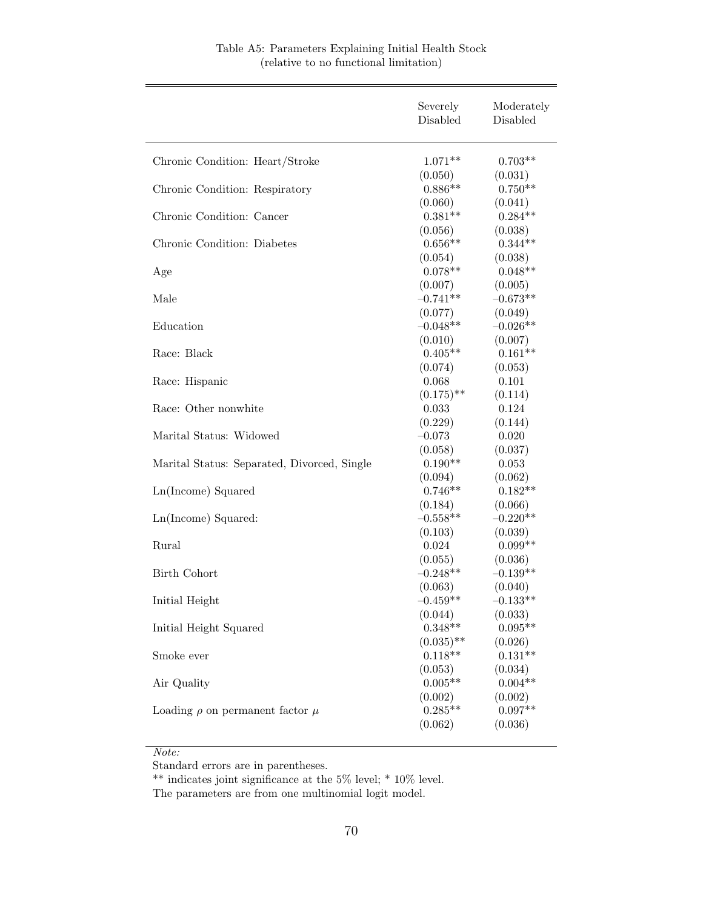|                                             | Severely<br>Disabled             | Moderately<br>Disabled           |
|---------------------------------------------|----------------------------------|----------------------------------|
| Chronic Condition: Heart/Stroke             | $1.071**$                        | $0.703**$                        |
| Chronic Condition: Respiratory              | (0.050)<br>$0.886**$             | (0.031)<br>$0.750**$             |
| Chronic Condition: Cancer                   | (0.060)<br>$0.381**$             | (0.041)<br>$0.284**$             |
| Chronic Condition: Diabetes                 | (0.056)<br>$0.656**$             | (0.038)<br>$0.344**$             |
| Age                                         | (0.054)<br>$0.078**$             | (0.038)<br>$0.048**$             |
| Male                                        | (0.007)<br>$-0.741**$            | (0.005)<br>$-0.673**$            |
| Education                                   | (0.077)<br>$-0.048**$            | (0.049)<br>$-0.026**$            |
| Race: Black                                 | (0.010)<br>$0.405**$             | (0.007)<br>$0.161**$             |
| Race: Hispanic                              | (0.074)<br>0.068                 | (0.053)<br>0.101                 |
| Race: Other nonwhite                        | $(0.175)$ **<br>0.033            | (0.114)<br>0.124                 |
| Marital Status: Widowed                     | (0.229)<br>$-0.073$              | (0.144)<br>0.020                 |
| Marital Status: Separated, Divorced, Single | (0.058)<br>$0.190**$             | (0.037)<br>0.053                 |
| Ln(Income) Squared                          | (0.094)<br>$0.746**$             | (0.062)<br>$0.182**$             |
| Ln(Income) Squared:                         | (0.184)<br>$-0.558**$            | (0.066)<br>$-0.220**$            |
| Rural                                       | (0.103)<br>0.024                 | (0.039)<br>$0.099**$             |
| Birth Cohort                                | (0.055)<br>$-0.248**$<br>(0.063) | (0.036)<br>$-0.139**$<br>(0.040) |
| Initial Height                              | $-0.459**$<br>(0.044)            | $-0.133**$<br>(0.033)            |
| Initial Height Squared                      | $0.348**$<br>$(0.035)$ **        | $0.095**$<br>(0.026)             |
| Smoke ever                                  | $0.118**$<br>(0.053)             | $0.131**$<br>(0.034)             |
| Air Quality                                 | $0.005**$<br>(0.002)             | $0.004**$<br>(0.002)             |
| Loading $\rho$ on permanent factor $\mu$    | $0.285**$<br>(0.062)             | $0.097**$<br>(0.036)             |

## Table A5: Parameters Explaining Initial Health Stock (relative to no functional limitation)

#### Note:

Standard errors are in parentheses.

\*\* indicates joint significance at the 5% level; \*  $10\%$  level.

The parameters are from one multinomial logit model.